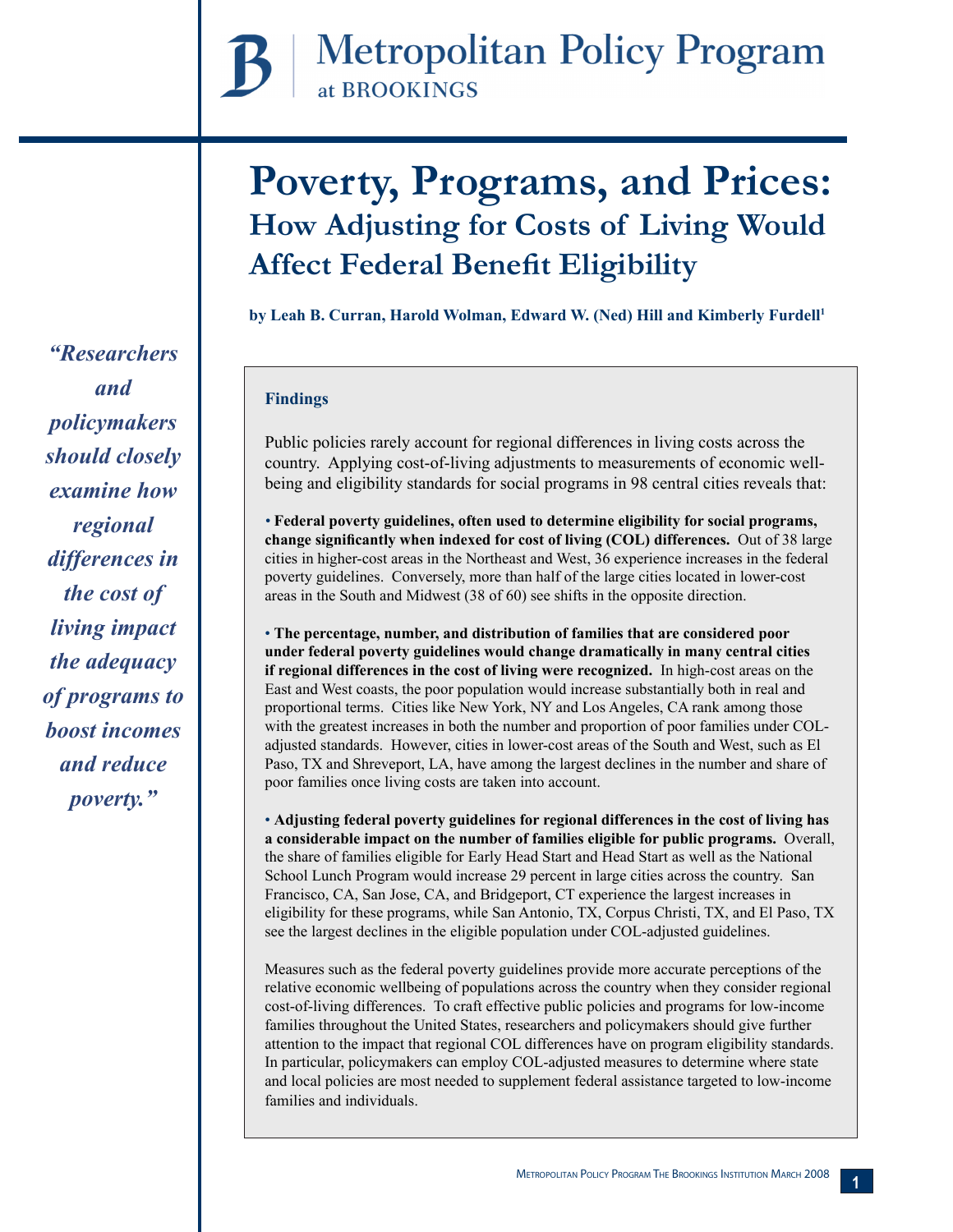# **Poverty, Programs, and Prices: How Adjusting for Costs of Living Would Affect Federal Benefit Eligibility**

**by Leah B. Curran, Harold Wolman, Edward W. (Ned) Hill and Kimberly Furdell<sup>1</sup>**

# **Findings**

Public policies rarely account for regional differences in living costs across the country. Applying cost-of-living adjustments to measurements of economic wellbeing and eligibility standards for social programs in 98 central cities reveals that:

*•* **Federal poverty guidelines, often used to determine eligibility for social programs, change significantly when indexed for cost of living (COL) differences.** Out of 38 large cities in higher-cost areas in the Northeast and West, 36 experience increases in the federal poverty guidelines. Conversely, more than half of the large cities located in lower-cost areas in the South and Midwest (38 of 60) see shifts in the opposite direction.

• **The percentage, number, and distribution of families that are considered poor under federal poverty guidelines would change dramatically in many central cities if regional differences in the cost of living were recognized.** In high-cost areas on the East and West coasts, the poor population would increase substantially both in real and proportional terms. Cities like New York, NY and Los Angeles, CA rank among those with the greatest increases in both the number and proportion of poor families under COLadjusted standards. However, cities in lower-cost areas of the South and West, such as El Paso, TX and Shreveport, LA, have among the largest declines in the number and share of poor families once living costs are taken into account.

• **Adjusting federal poverty guidelines for regional differences in the cost of living has a considerable impact on the number of families eligible for public programs.** Overall, the share of families eligible for Early Head Start and Head Start as well as the National School Lunch Program would increase 29 percent in large cities across the country. San Francisco, CA, San Jose, CA, and Bridgeport, CT experience the largest increases in eligibility for these programs, while San Antonio, TX, Corpus Christi, TX, and El Paso, TX see the largest declines in the eligible population under COL-adjusted guidelines.

Measures such as the federal poverty guidelines provide more accurate perceptions of the relative economic wellbeing of populations across the country when they consider regional cost-of-living differences. To craft effective public policies and programs for low-income families throughout the United States, researchers and policymakers should give further attention to the impact that regional COL differences have on program eligibility standards. In particular, policymakers can employ COL-adjusted measures to determine where state and local policies are most needed to supplement federal assistance targeted to low-income families and individuals.

*"Researchers and policymakers should closely examine how regional differences in the cost of living impact the adequacy of programs to boost incomes and reduce poverty."*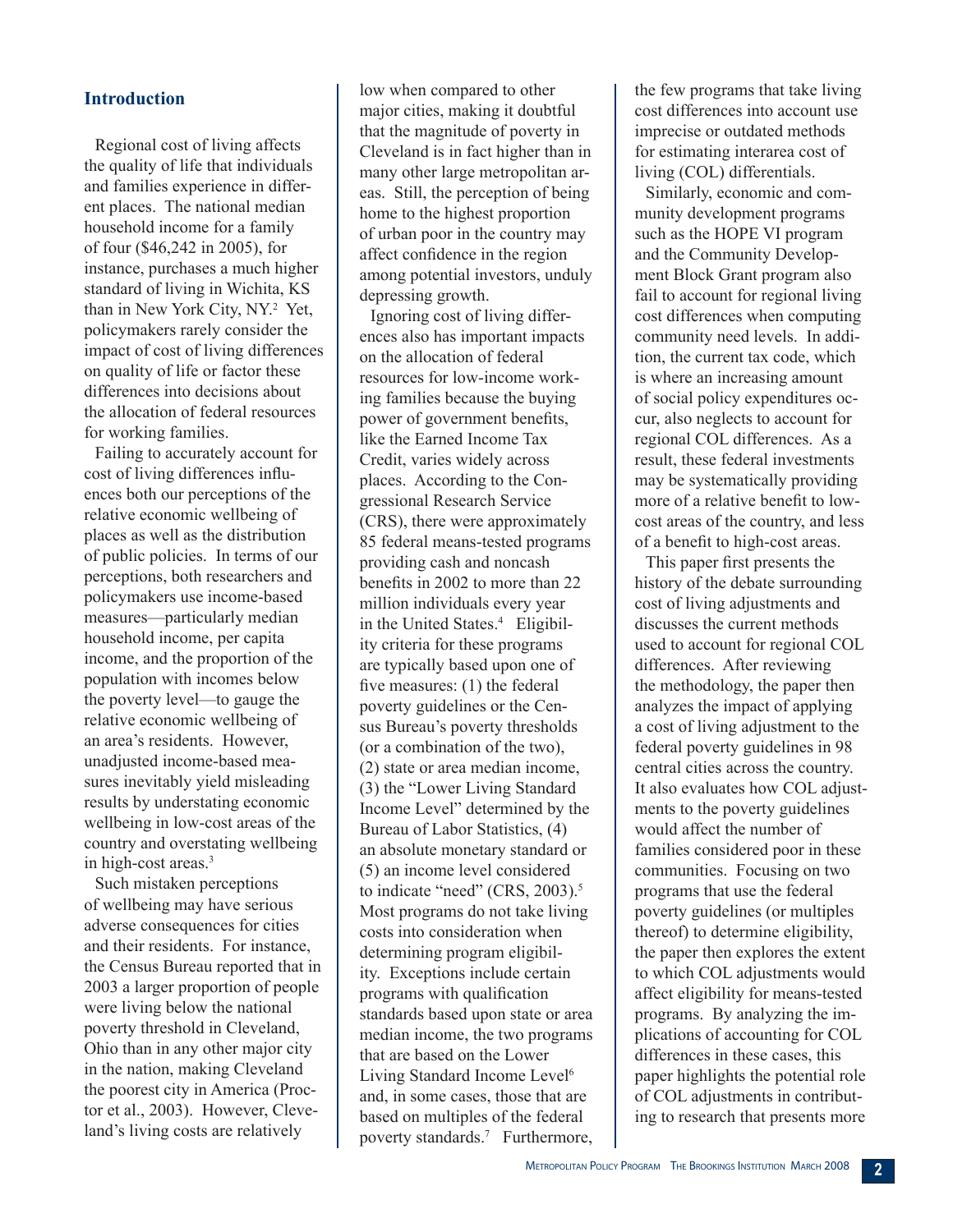## **Introduction**

Regional cost of living affects the quality of life that individuals and families experience in different places. The national median household income for a family of four (\$46,242 in 2005), for instance, purchases a much higher standard of living in Wichita, KS than in New York City, NY.<sup>2</sup> Yet, policymakers rarely consider the impact of cost of living differences on quality of life or factor these differences into decisions about the allocation of federal resources for working families.

Failing to accurately account for cost of living differences influences both our perceptions of the relative economic wellbeing of places as well as the distribution of public policies. In terms of our perceptions, both researchers and policymakers use income-based measures—particularly median household income, per capita income, and the proportion of the population with incomes below the poverty level—to gauge the relative economic wellbeing of an area's residents. However, unadjusted income-based measures inevitably yield misleading results by understating economic wellbeing in low-cost areas of the country and overstating wellbeing in high-cost areas.3

Such mistaken perceptions of wellbeing may have serious adverse consequences for cities and their residents. For instance, the Census Bureau reported that in 2003 a larger proportion of people were living below the national poverty threshold in Cleveland, Ohio than in any other major city in the nation, making Cleveland the poorest city in America (Proctor et al., 2003). However, Cleveland's living costs are relatively

low when compared to other major cities, making it doubtful that the magnitude of poverty in Cleveland is in fact higher than in many other large metropolitan areas. Still, the perception of being home to the highest proportion of urban poor in the country may affect confidence in the region among potential investors, unduly depressing growth.

Ignoring cost of living differences also has important impacts on the allocation of federal resources for low-income working families because the buying power of government benefits, like the Earned Income Tax Credit, varies widely across places. According to the Congressional Research Service (CRS), there were approximately 85 federal means-tested programs providing cash and noncash benefits in 2002 to more than 22 million individuals every year in the United States.<sup>4</sup> Eligibility criteria for these programs are typically based upon one of five measures: (1) the federal poverty guidelines or the Census Bureau's poverty thresholds (or a combination of the two), (2) state or area median income, (3) the "Lower Living Standard Income Level" determined by the Bureau of Labor Statistics, (4) an absolute monetary standard or (5) an income level considered to indicate "need" (CRS, 2003).<sup>5</sup> Most programs do not take living costs into consideration when determining program eligibility. Exceptions include certain programs with qualification standards based upon state or area median income, the two programs that are based on the Lower Living Standard Income Level<sup>6</sup> and, in some cases, those that are based on multiples of the federal poverty standards.<sup>7</sup> Furthermore, the few programs that take living cost differences into account use imprecise or outdated methods for estimating interarea cost of living (COL) differentials.

Similarly, economic and community development programs such as the HOPE VI program and the Community Development Block Grant program also fail to account for regional living cost differences when computing community need levels. In addition, the current tax code, which is where an increasing amount of social policy expenditures occur, also neglects to account for regional COL differences. As a result, these federal investments may be systematically providing more of a relative benefit to lowcost areas of the country, and less of a benefit to high-cost areas.

This paper first presents the history of the debate surrounding cost of living adjustments and discusses the current methods used to account for regional COL differences. After reviewing the methodology, the paper then analyzes the impact of applying a cost of living adjustment to the federal poverty guidelines in 98 central cities across the country. It also evaluates how COL adjustments to the poverty guidelines would affect the number of families considered poor in these communities. Focusing on two programs that use the federal poverty guidelines (or multiples thereof) to determine eligibility, the paper then explores the extent to which COL adjustments would affect eligibility for means-tested programs. By analyzing the implications of accounting for COL differences in these cases, this paper highlights the potential role of COL adjustments in contributing to research that presents more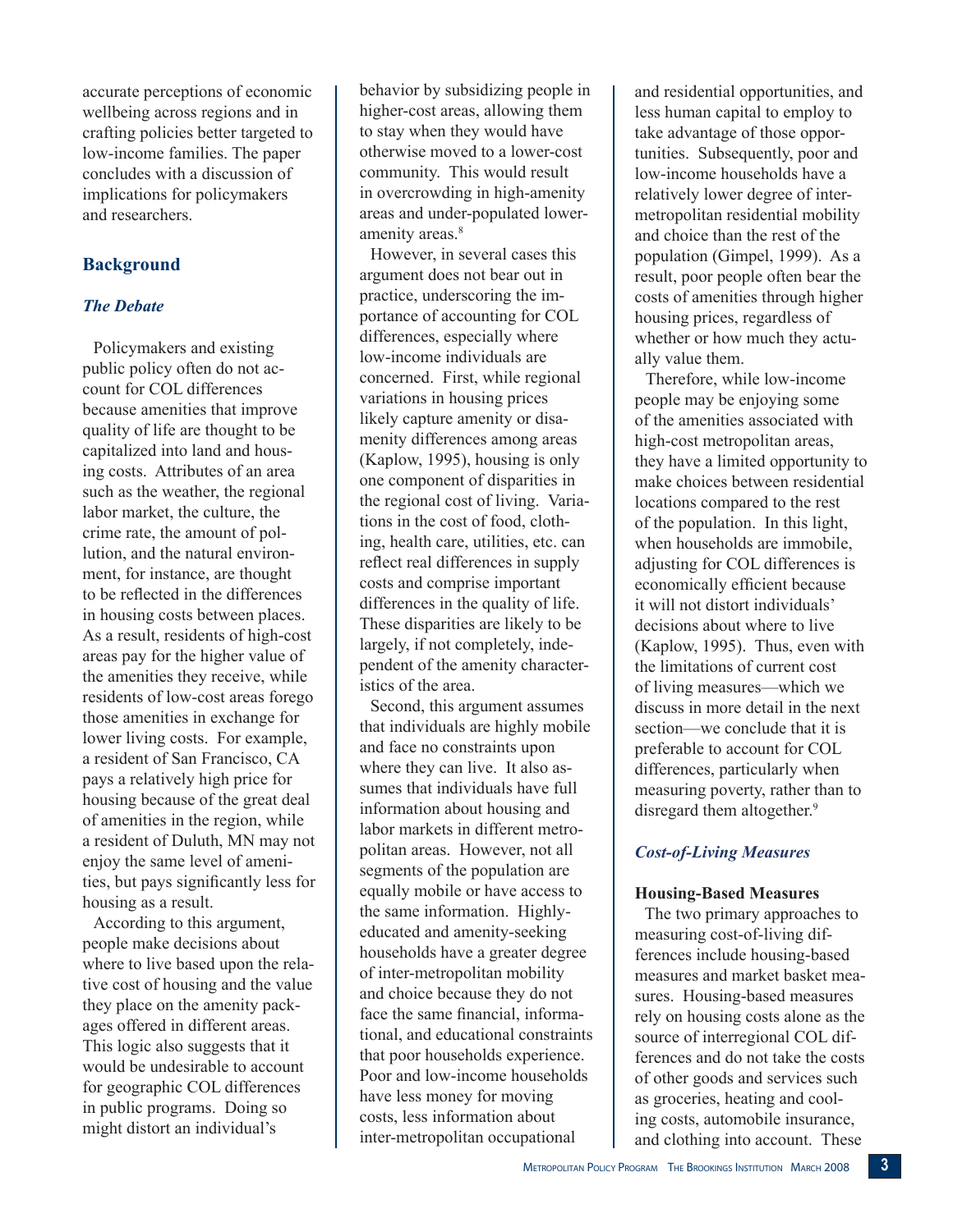accurate perceptions of economic wellbeing across regions and in crafting policies better targeted to low-income families. The paper concludes with a discussion of implications for policymakers and researchers.

# **Background**

## *The Debate*

Policymakers and existing public policy often do not account for COL differences because amenities that improve quality of life are thought to be capitalized into land and housing costs. Attributes of an area such as the weather, the regional labor market, the culture, the crime rate, the amount of pollution, and the natural environment, for instance, are thought to be reflected in the differences in housing costs between places. As a result, residents of high-cost areas pay for the higher value of the amenities they receive, while residents of low-cost areas forego those amenities in exchange for lower living costs. For example, a resident of San Francisco, CA pays a relatively high price for housing because of the great deal of amenities in the region, while a resident of Duluth, MN may not enjoy the same level of amenities, but pays significantly less for housing as a result.

According to this argument, people make decisions about where to live based upon the relative cost of housing and the value they place on the amenity packages offered in different areas. This logic also suggests that it would be undesirable to account for geographic COL differences in public programs. Doing so might distort an individual's

behavior by subsidizing people in higher-cost areas, allowing them to stay when they would have otherwise moved to a lower-cost community. This would result in overcrowding in high-amenity areas and under-populated loweramenity areas.<sup>8</sup>

However, in several cases this argument does not bear out in practice, underscoring the importance of accounting for COL differences, especially where low-income individuals are concerned. First, while regional variations in housing prices likely capture amenity or disamenity differences among areas (Kaplow, 1995), housing is only one component of disparities in the regional cost of living. Variations in the cost of food, clothing, health care, utilities, etc. can reflect real differences in supply costs and comprise important differences in the quality of life. These disparities are likely to be largely, if not completely, independent of the amenity characteristics of the area.

Second, this argument assumes that individuals are highly mobile and face no constraints upon where they can live. It also assumes that individuals have full information about housing and labor markets in different metropolitan areas. However, not all segments of the population are equally mobile or have access to the same information. Highlyeducated and amenity-seeking households have a greater degree of inter-metropolitan mobility and choice because they do not face the same financial, informational, and educational constraints that poor households experience. Poor and low-income households have less money for moving costs, less information about inter-metropolitan occupational

and residential opportunities, and less human capital to employ to take advantage of those opportunities. Subsequently, poor and low-income households have a relatively lower degree of intermetropolitan residential mobility and choice than the rest of the population (Gimpel, 1999). As a result, poor people often bear the costs of amenities through higher housing prices, regardless of whether or how much they actually value them.

Therefore, while low-income people may be enjoying some of the amenities associated with high-cost metropolitan areas, they have a limited opportunity to make choices between residential locations compared to the rest of the population. In this light, when households are immobile, adjusting for COL differences is economically efficient because it will not distort individuals' decisions about where to live (Kaplow, 1995). Thus, even with the limitations of current cost of living measures—which we discuss in more detail in the next section—we conclude that it is preferable to account for COL differences, particularly when measuring poverty, rather than to disregard them altogether.<sup>9</sup>

# *Cost-of-Living Measures*

#### **Housing-Based Measures**

The two primary approaches to measuring cost-of-living differences include housing-based measures and market basket measures. Housing-based measures rely on housing costs alone as the source of interregional COL differences and do not take the costs of other goods and services such as groceries, heating and cooling costs, automobile insurance, and clothing into account. These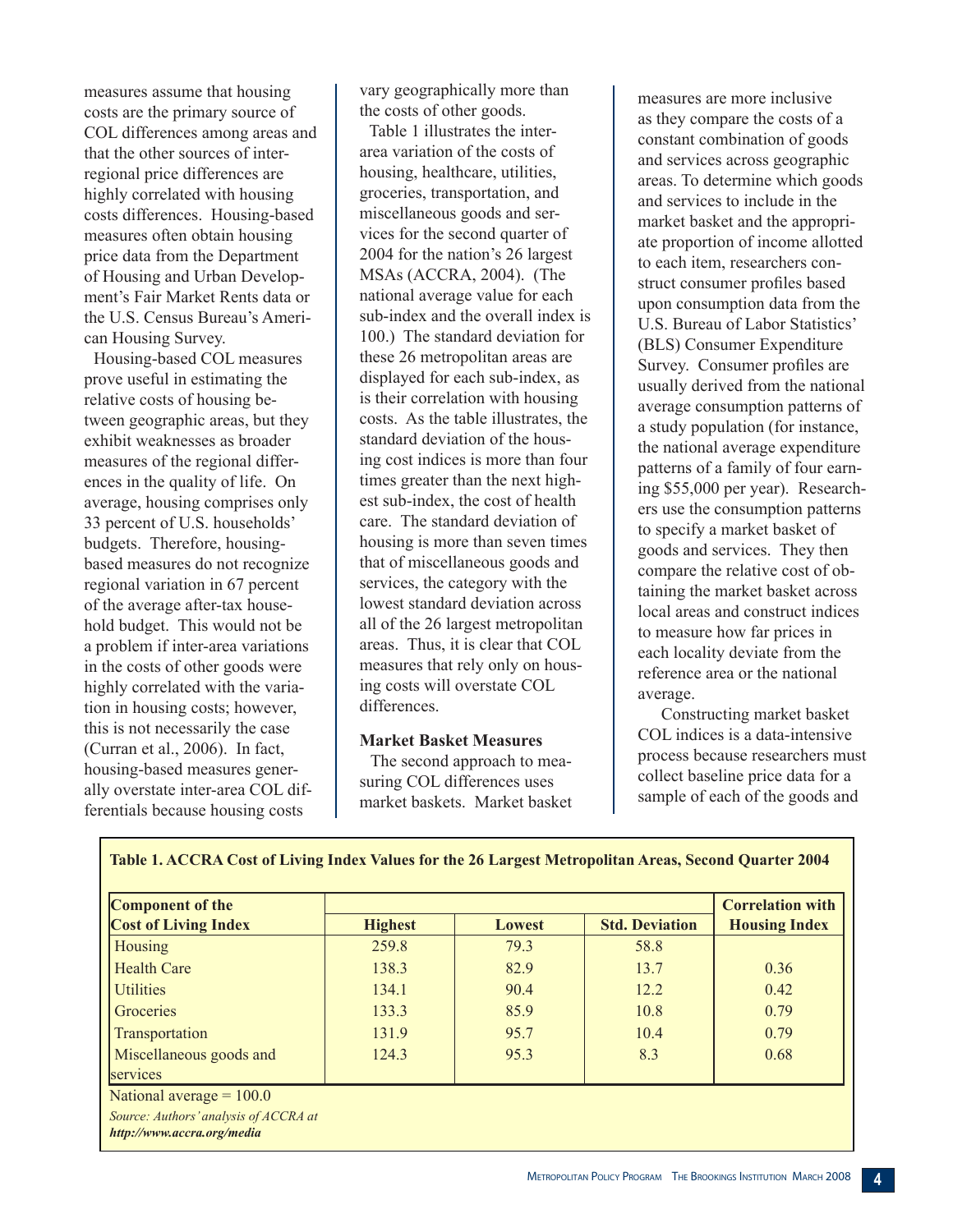measures assume that housing costs are the primary source of COL differences among areas and that the other sources of interregional price differences are highly correlated with housing costs differences. Housing-based measures often obtain housing price data from the Department of Housing and Urban Development's Fair Market Rents data or the U.S. Census Bureau's American Housing Survey.

Housing-based COL measures prove useful in estimating the relative costs of housing between geographic areas, but they exhibit weaknesses as broader measures of the regional differences in the quality of life. On average, housing comprises only 33 percent of U.S. households' budgets. Therefore, housingbased measures do not recognize regional variation in 67 percent of the average after-tax household budget. This would not be a problem if inter-area variations in the costs of other goods were highly correlated with the variation in housing costs; however, this is not necessarily the case (Curran et al., 2006). In fact, housing-based measures generally overstate inter-area COL differentials because housing costs

vary geographically more than the costs of other goods.

Table 1 illustrates the interarea variation of the costs of housing, healthcare, utilities, groceries, transportation, and miscellaneous goods and services for the second quarter of 2004 for the nation's 26 largest MSAs (ACCRA, 2004). (The national average value for each sub-index and the overall index is 100.) The standard deviation for these 26 metropolitan areas are displayed for each sub-index, as is their correlation with housing costs. As the table illustrates, the standard deviation of the housing cost indices is more than four times greater than the next highest sub-index, the cost of health care. The standard deviation of housing is more than seven times that of miscellaneous goods and services, the category with the lowest standard deviation across all of the 26 largest metropolitan areas. Thus, it is clear that COL measures that rely only on housing costs will overstate COL differences.

#### **Market Basket Measures**

The second approach to measuring COL differences uses market baskets. Market basket measures are more inclusive as they compare the costs of a constant combination of goods and services across geographic areas. To determine which goods and services to include in the market basket and the appropriate proportion of income allotted to each item, researchers construct consumer profiles based upon consumption data from the U.S. Bureau of Labor Statistics' (BLS) Consumer Expenditure Survey. Consumer profiles are usually derived from the national average consumption patterns of a study population (for instance, the national average expenditure patterns of a family of four earning \$55,000 per year). Researchers use the consumption patterns to specify a market basket of goods and services. They then compare the relative cost of obtaining the market basket across local areas and construct indices to measure how far prices in each locality deviate from the reference area or the national average.

Constructing market basket COL indices is a data-intensive process because researchers must collect baseline price data for a sample of each of the goods and

| Component of the                                                    |                                 |      |                       | <b>Correlation with</b> |  |
|---------------------------------------------------------------------|---------------------------------|------|-----------------------|-------------------------|--|
| <b>Cost of Living Index</b>                                         | <b>Highest</b><br><b>Lowest</b> |      | <b>Std. Deviation</b> | <b>Housing Index</b>    |  |
| <b>Housing</b>                                                      | 259.8                           | 79.3 | 58.8                  |                         |  |
| <b>Health Care</b>                                                  | 138.3                           | 82.9 | 13.7                  | 0.36                    |  |
| <b>Utilities</b>                                                    | 134.1                           | 90.4 | 12.2                  | 0.42                    |  |
| Groceries                                                           | 133.3                           | 85.9 | 10.8                  | 0.79                    |  |
| Transportation                                                      | 131.9                           | 95.7 | 10.4                  | 0.79                    |  |
| Miscellaneous goods and                                             | 124.3                           | 95.3 | 8.3                   | 0.68                    |  |
| services                                                            |                                 |      |                       |                         |  |
| National average $= 100.0$                                          |                                 |      |                       |                         |  |
| Source: Authors' analysis of ACCRA at<br>http://www.accra.org/media |                                 |      |                       |                         |  |

#### **Table 1. ACCRA Cost of Living Index Values for the 26 Largest Metropolitan Areas, Second Quarter 2004**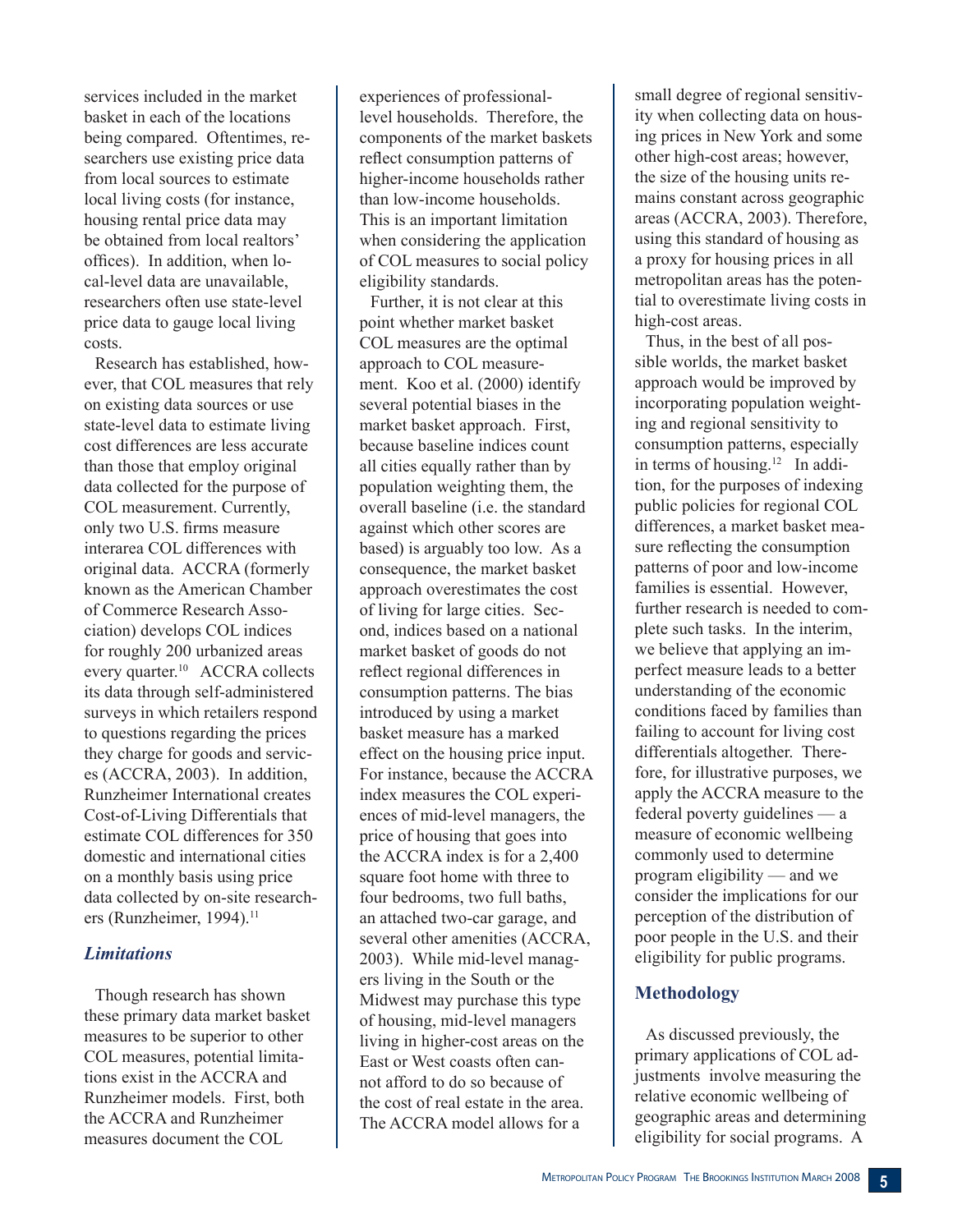services included in the market basket in each of the locations being compared. Oftentimes, researchers use existing price data from local sources to estimate local living costs (for instance, housing rental price data may be obtained from local realtors' offices). In addition, when local-level data are unavailable, researchers often use state-level price data to gauge local living costs.

Research has established, however, that COL measures that rely on existing data sources or use state-level data to estimate living cost differences are less accurate than those that employ original data collected for the purpose of COL measurement. Currently, only two U.S. firms measure interarea COL differences with original data. ACCRA (formerly known as the American Chamber of Commerce Research Association) develops COL indices for roughly 200 urbanized areas every quarter.<sup>10</sup> ACCRA collects its data through self-administered surveys in which retailers respond to questions regarding the prices they charge for goods and services (ACCRA, 2003). In addition, Runzheimer International creates Cost-of-Living Differentials that estimate COL differences for 350 domestic and international cities on a monthly basis using price data collected by on-site researchers (Runzheimer, 1994).<sup>11</sup>

# *Limitations*

Though research has shown these primary data market basket measures to be superior to other COL measures, potential limitations exist in the ACCRA and Runzheimer models. First, both the ACCRA and Runzheimer measures document the COL

experiences of professionallevel households. Therefore, the components of the market baskets reflect consumption patterns of higher-income households rather than low-income households. This is an important limitation when considering the application of COL measures to social policy eligibility standards.

Further, it is not clear at this point whether market basket COL measures are the optimal approach to COL measurement. Koo et al. (2000) identify several potential biases in the market basket approach. First, because baseline indices count all cities equally rather than by population weighting them, the overall baseline (i.e. the standard against which other scores are based) is arguably too low. As a consequence, the market basket approach overestimates the cost of living for large cities. Second, indices based on a national market basket of goods do not reflect regional differences in consumption patterns. The bias introduced by using a market basket measure has a marked effect on the housing price input. For instance, because the ACCRA index measures the COL experiences of mid-level managers, the price of housing that goes into the ACCRA index is for a 2,400 square foot home with three to four bedrooms, two full baths, an attached two-car garage, and several other amenities (ACCRA, 2003). While mid-level managers living in the South or the Midwest may purchase this type of housing, mid-level managers living in higher-cost areas on the East or West coasts often cannot afford to do so because of the cost of real estate in the area. The ACCRA model allows for a

small degree of regional sensitivity when collecting data on housing prices in New York and some other high-cost areas; however, the size of the housing units remains constant across geographic areas (ACCRA, 2003). Therefore, using this standard of housing as a proxy for housing prices in all metropolitan areas has the potential to overestimate living costs in high-cost areas.

Thus, in the best of all possible worlds, the market basket approach would be improved by incorporating population weighting and regional sensitivity to consumption patterns, especially in terms of housing.<sup>12</sup> In addition, for the purposes of indexing public policies for regional COL differences, a market basket measure reflecting the consumption patterns of poor and low-income families is essential. However, further research is needed to complete such tasks. In the interim, we believe that applying an imperfect measure leads to a better understanding of the economic conditions faced by families than failing to account for living cost differentials altogether. Therefore, for illustrative purposes, we apply the ACCRA measure to the federal poverty guidelines — a measure of economic wellbeing commonly used to determine program eligibility — and we consider the implications for our perception of the distribution of poor people in the U.S. and their eligibility for public programs.

# **Methodology**

As discussed previously, the primary applications of COL adjustments involve measuring the relative economic wellbeing of geographic areas and determining eligibility for social programs. A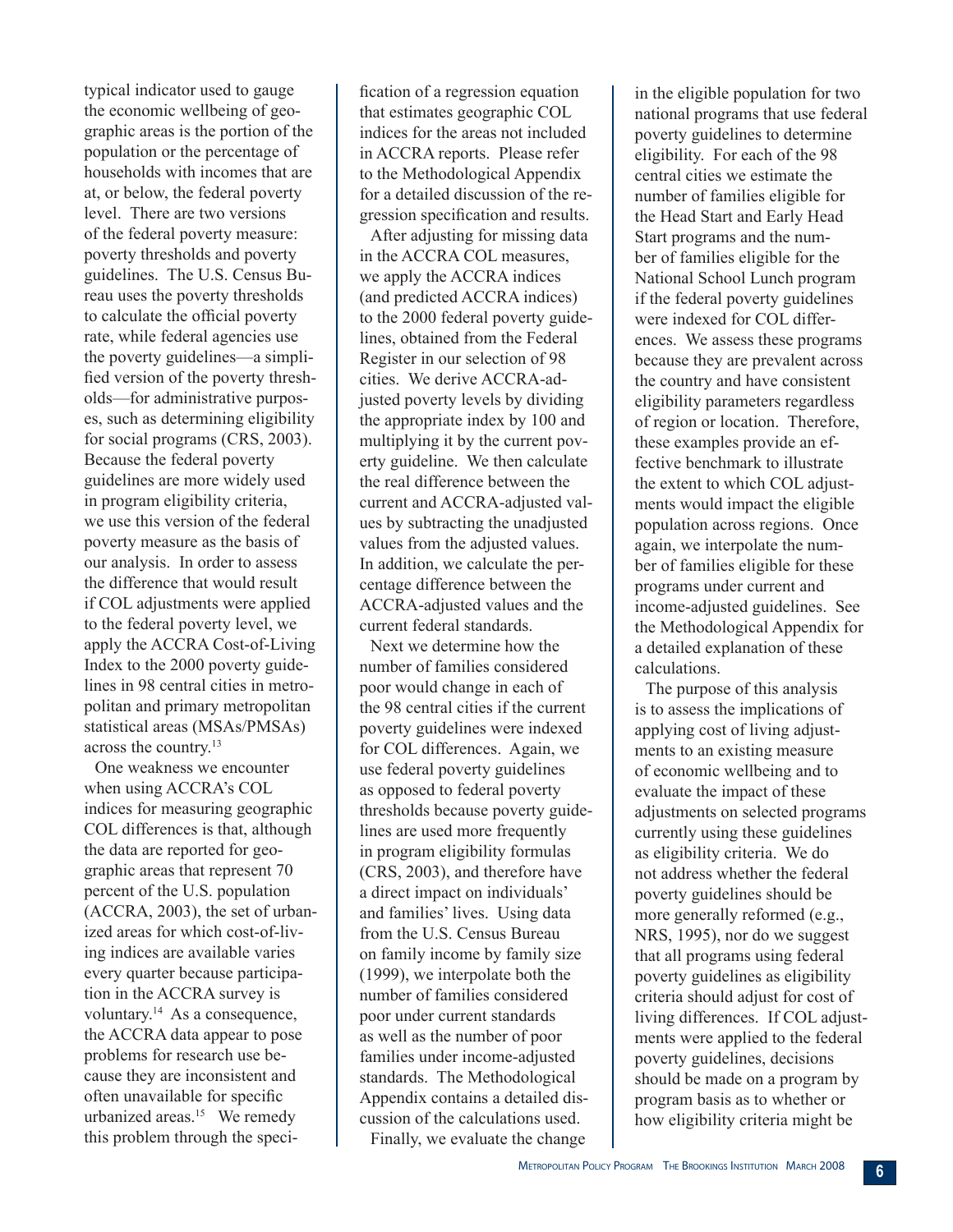typical indicator used to gauge the economic wellbeing of geographic areas is the portion of the population or the percentage of households with incomes that are at, or below, the federal poverty level. There are two versions of the federal poverty measure: poverty thresholds and poverty guidelines. The U.S. Census Bureau uses the poverty thresholds to calculate the official poverty rate, while federal agencies use the poverty guidelines—a simplified version of the poverty thresholds—for administrative purposes, such as determining eligibility for social programs (CRS, 2003). Because the federal poverty guidelines are more widely used in program eligibility criteria, we use this version of the federal poverty measure as the basis of our analysis. In order to assess the difference that would result if COL adjustments were applied to the federal poverty level, we apply the ACCRA Cost-of-Living Index to the 2000 poverty guidelines in 98 central cities in metropolitan and primary metropolitan statistical areas (MSAs/PMSAs) across the country.<sup>13</sup>

One weakness we encounter when using ACCRA's COL indices for measuring geographic COL differences is that, although the data are reported for geographic areas that represent 70 percent of the U.S. population (ACCRA, 2003), the set of urbanized areas for which cost-of-living indices are available varies every quarter because participation in the ACCRA survey is voluntary.<sup>14</sup> As a consequence, the ACCRA data appear to pose problems for research use because they are inconsistent and often unavailable for specific urbanized areas.<sup>15</sup> We remedy this problem through the specification of a regression equation that estimates geographic COL indices for the areas not included in ACCRA reports. Please refer to the Methodological Appendix for a detailed discussion of the regression specification and results.

After adjusting for missing data in the ACCRA COL measures, we apply the ACCRA indices (and predicted ACCRA indices) to the 2000 federal poverty guidelines, obtained from the Federal Register in our selection of 98 cities. We derive ACCRA-adjusted poverty levels by dividing the appropriate index by 100 and multiplying it by the current poverty guideline. We then calculate the real difference between the current and ACCRA-adjusted values by subtracting the unadjusted values from the adjusted values. In addition, we calculate the percentage difference between the ACCRA-adjusted values and the current federal standards.

Next we determine how the number of families considered poor would change in each of the 98 central cities if the current poverty guidelines were indexed for COL differences. Again, we use federal poverty guidelines as opposed to federal poverty thresholds because poverty guidelines are used more frequently in program eligibility formulas (CRS, 2003), and therefore have a direct impact on individuals' and families' lives. Using data from the U.S. Census Bureau on family income by family size (1999), we interpolate both the number of families considered poor under current standards as well as the number of poor families under income-adjusted standards. The Methodological Appendix contains a detailed discussion of the calculations used.

in the eligible population for two national programs that use federal poverty guidelines to determine eligibility. For each of the 98 central cities we estimate the number of families eligible for the Head Start and Early Head Start programs and the number of families eligible for the National School Lunch program if the federal poverty guidelines were indexed for COL differences. We assess these programs because they are prevalent across the country and have consistent eligibility parameters regardless of region or location. Therefore, these examples provide an effective benchmark to illustrate the extent to which COL adjustments would impact the eligible population across regions. Once again, we interpolate the number of families eligible for these programs under current and income-adjusted guidelines. See the Methodological Appendix for a detailed explanation of these calculations.

The purpose of this analysis is to assess the implications of applying cost of living adjustments to an existing measure of economic wellbeing and to evaluate the impact of these adjustments on selected programs currently using these guidelines as eligibility criteria. We do not address whether the federal poverty guidelines should be more generally reformed (e.g., NRS, 1995), nor do we suggest that all programs using federal poverty guidelines as eligibility criteria should adjust for cost of living differences. If COL adjustments were applied to the federal poverty guidelines, decisions should be made on a program by program basis as to whether or how eligibility criteria might be

Finally, we evaluate the change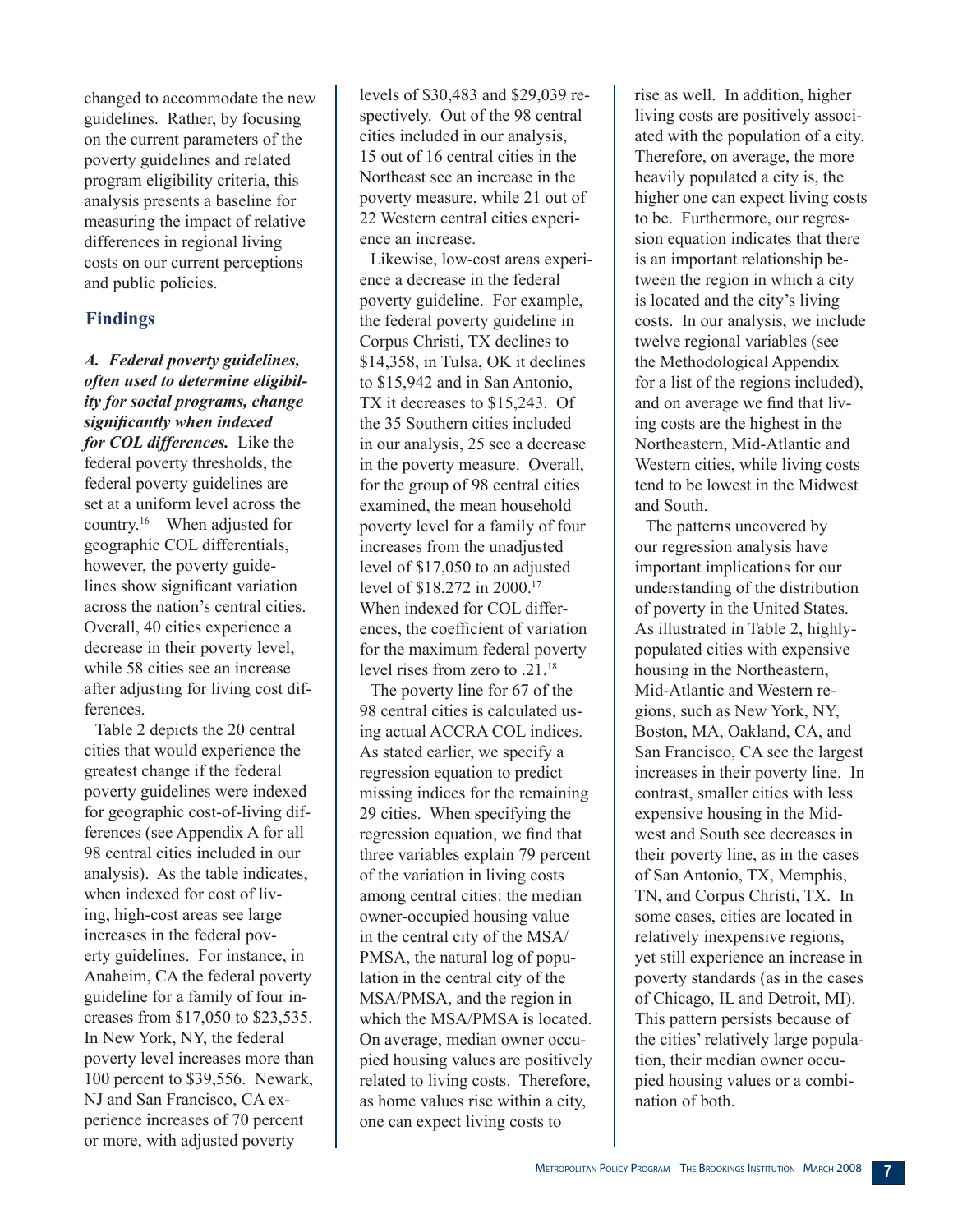changed to accommodate the new guidelines. Rather, by focusing on the current parameters of the poverty guidelines and related program eligibility criteria, this analysis presents a baseline for measuring the impact of relative differences in regional living costs on our current perceptions and public policies.

# **Findings**

*A. Federal poverty guidelines, often used to determine eligibility for social programs, change significantly when indexed for COL differences.* Like the federal poverty thresholds, the federal poverty guidelines are set at a uniform level across the country.<sup>16</sup> When adjusted for geographic COL differentials, however, the poverty guidelines show significant variation across the nation's central cities. Overall, 40 cities experience a decrease in their poverty level, while 58 cities see an increase after adjusting for living cost differences.

Table 2 depicts the 20 central cities that would experience the greatest change if the federal poverty guidelines were indexed for geographic cost-of-living differences (see Appendix A for all 98 central cities included in our analysis). As the table indicates, when indexed for cost of living, high-cost areas see large increases in the federal poverty guidelines. For instance, in Anaheim, CA the federal poverty guideline for a family of four increases from \$17,050 to \$23,535. In New York, NY, the federal poverty level increases more than 100 percent to \$39,556. Newark, NJ and San Francisco, CA experience increases of 70 percent or more, with adjusted poverty

levels of \$30,483 and \$29,039 respectively. Out of the 98 central cities included in our analysis, 15 out of 16 central cities in the Northeast see an increase in the poverty measure, while 21 out of 22 Western central cities experience an increase.

Likewise, low-cost areas experience a decrease in the federal poverty guideline. For example, the federal poverty guideline in Corpus Christi, TX declines to \$14,358, in Tulsa, OK it declines to \$15,942 and in San Antonio, TX it decreases to \$15,243. Of the 35 Southern cities included in our analysis, 25 see a decrease in the poverty measure. Overall, for the group of 98 central cities examined, the mean household poverty level for a family of four increases from the unadjusted level of \$17,050 to an adjusted level of \$18,272 in 2000.<sup>17</sup> When indexed for COL differences, the coefficient of variation for the maximum federal poverty level rises from zero to .21.18

The poverty line for 67 of the 98 central cities is calculated using actual ACCRA COL indices. As stated earlier, we specify a regression equation to predict missing indices for the remaining 29 cities. When specifying the regression equation, we find that three variables explain 79 percent of the variation in living costs among central cities: the median owner-occupied housing value in the central city of the MSA/ PMSA, the natural log of population in the central city of the MSA/PMSA, and the region in which the MSA/PMSA is located. On average, median owner occupied housing values are positively related to living costs. Therefore, as home values rise within a city, one can expect living costs to

rise as well. In addition, higher living costs are positively associated with the population of a city. Therefore, on average, the more heavily populated a city is, the higher one can expect living costs to be. Furthermore, our regression equation indicates that there is an important relationship between the region in which a city is located and the city's living costs. In our analysis, we include twelve regional variables (see the Methodological Appendix for a list of the regions included), and on average we find that living costs are the highest in the Northeastern, Mid-Atlantic and Western cities, while living costs tend to be lowest in the Midwest and South.

The patterns uncovered by our regression analysis have important implications for our understanding of the distribution of poverty in the United States. As illustrated in Table 2, highlypopulated cities with expensive housing in the Northeastern, Mid-Atlantic and Western regions, such as New York, NY, Boston, MA, Oakland, CA, and San Francisco, CA see the largest increases in their poverty line. In contrast, smaller cities with less expensive housing in the Midwest and South see decreases in their poverty line, as in the cases of San Antonio, TX, Memphis, TN, and Corpus Christi, TX. In some cases, cities are located in relatively inexpensive regions, yet still experience an increase in poverty standards (as in the cases of Chicago, IL and Detroit, MI). This pattern persists because of the cities' relatively large population, their median owner occupied housing values or a combination of both.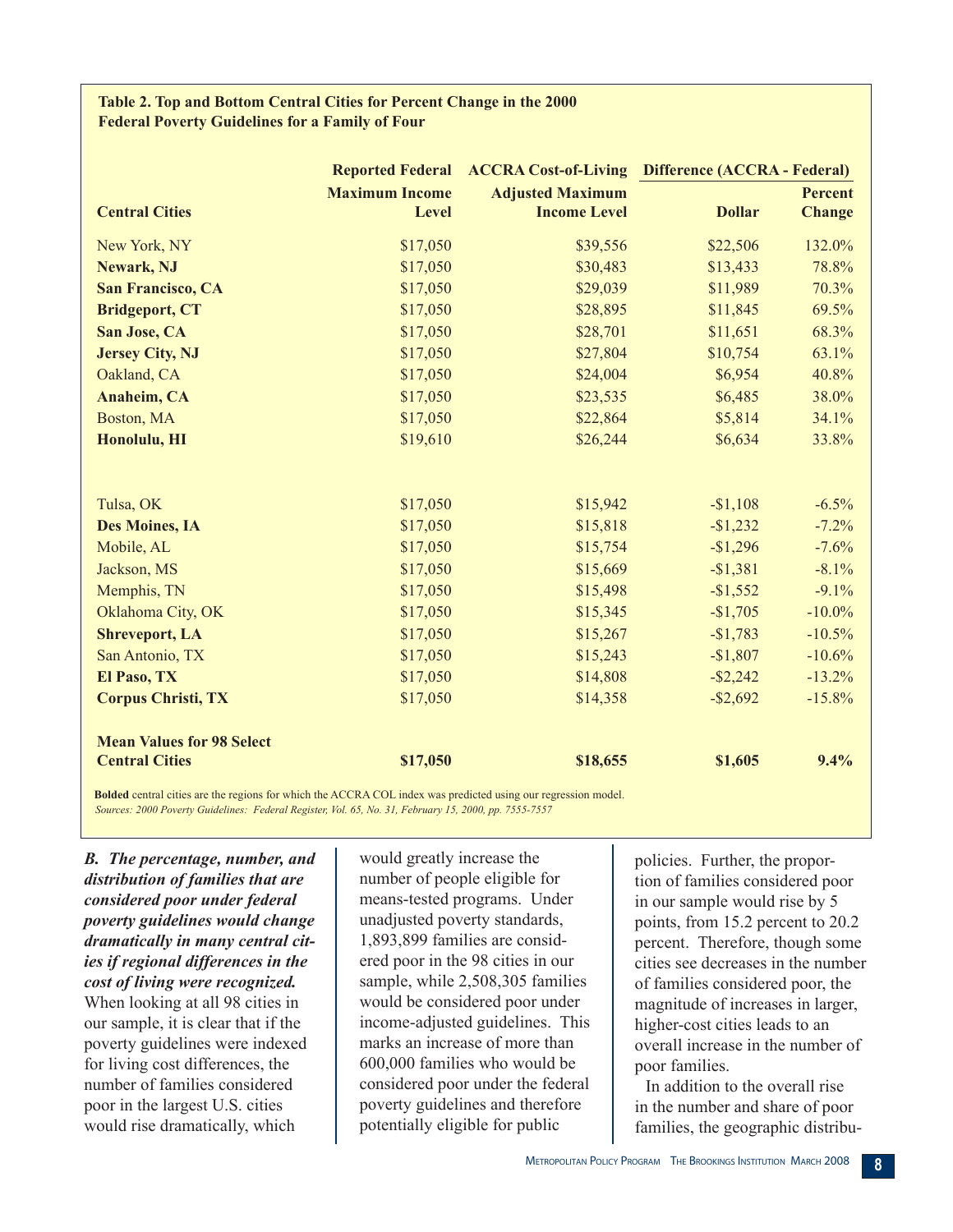#### **Table 2. Top and Bottom Central Cities for Percent Change in the 2000 Federal Poverty Guidelines for a Family of Four**

|                                                                                                                                       |                       | Reported Federal ACCRA Cost-of-Living Difference (ACCRA - Federal) |               |                |
|---------------------------------------------------------------------------------------------------------------------------------------|-----------------------|--------------------------------------------------------------------|---------------|----------------|
|                                                                                                                                       | <b>Maximum Income</b> | <b>Adjusted Maximum</b>                                            |               | <b>Percent</b> |
| <b>Central Cities</b>                                                                                                                 | Level                 | <b>Income Level</b>                                                | <b>Dollar</b> | <b>Change</b>  |
| New York, NY                                                                                                                          | \$17,050              | \$39,556                                                           | \$22,506      | 132.0%         |
| Newark, NJ                                                                                                                            | \$17,050              | \$30,483                                                           | \$13,433      | 78.8%          |
| <b>San Francisco, CA</b>                                                                                                              | \$17,050              | \$29,039                                                           | \$11,989      | 70.3%          |
| <b>Bridgeport, CT</b>                                                                                                                 | \$17,050              | \$28,895                                                           | \$11,845      | 69.5%          |
| San Jose, CA                                                                                                                          | \$17,050              | \$28,701                                                           | \$11,651      | 68.3%          |
| <b>Jersey City, NJ</b>                                                                                                                | \$17,050              | \$27,804                                                           | \$10,754      | 63.1%          |
| Oakland, CA                                                                                                                           | \$17,050              | \$24,004                                                           | \$6,954       | 40.8%          |
| <b>Anaheim, CA</b>                                                                                                                    | \$17,050              | \$23,535                                                           | \$6,485       | 38.0%          |
| Boston, MA                                                                                                                            | \$17,050              | \$22,864                                                           | \$5,814       | 34.1%          |
| Honolulu, HI                                                                                                                          | \$19,610              | \$26,244                                                           | \$6,634       | 33.8%          |
|                                                                                                                                       |                       |                                                                    |               |                |
| Tulsa, OK                                                                                                                             | \$17,050              | \$15,942                                                           | $-$1,108$     | $-6.5%$        |
| <b>Des Moines, IA</b>                                                                                                                 | \$17,050              | \$15,818                                                           | $-$1,232$     | $-7.2%$        |
| Mobile, AL                                                                                                                            | \$17,050              | \$15,754                                                           | $-$1,296$     | $-7.6%$        |
| Jackson, MS                                                                                                                           | \$17,050              | \$15,669                                                           | $-$1,381$     | $-8.1%$        |
| Memphis, TN                                                                                                                           | \$17,050              | \$15,498                                                           | $-$1,552$     | $-9.1%$        |
| Oklahoma City, OK                                                                                                                     | \$17,050              | \$15,345                                                           | $-$1,705$     | $-10.0\%$      |
| <b>Shreveport, LA</b>                                                                                                                 | \$17,050              | \$15,267                                                           | $-$1,783$     | $-10.5%$       |
| San Antonio, TX                                                                                                                       | \$17,050              | \$15,243                                                           | $-$1,807$     | $-10.6%$       |
| El Paso, TX                                                                                                                           | \$17,050              | \$14,808                                                           | $-$ \$2,242   | $-13.2%$       |
| <b>Corpus Christi, TX</b>                                                                                                             | \$17,050              | \$14,358                                                           | $-$ \$2,692   | $-15.8%$       |
| <b>Mean Values for 98 Select</b>                                                                                                      |                       |                                                                    |               |                |
| <b>Central Cities</b>                                                                                                                 | \$17,050              | \$18,655                                                           | \$1,605       | 9.4%           |
| <b>Rolded</b> central cities are the regions for which the $\Lambda$ CCR $\Lambda$ COL index was predicted using our regression model |                       |                                                                    |               |                |

**Bolded** central cities are the regions for which the ACCRA COL index was predicted using our regression model.

*Sources: 2000 Poverty Guidelines: Federal Register, Vol. 65, No. 31, February 15, 2000, pp. 7555-7557*

*B. The percentage, number, and distribution of families that are considered poor under federal poverty guidelines would change dramatically in many central cities if regional differences in the cost of living were recognized.*  When looking at all 98 cities in our sample, it is clear that if the poverty guidelines were indexed for living cost differences, the number of families considered poor in the largest U.S. cities would rise dramatically, which

would greatly increase the number of people eligible for means-tested programs. Under unadjusted poverty standards, 1,893,899 families are considered poor in the 98 cities in our sample, while 2,508,305 families would be considered poor under income-adjusted guidelines. This marks an increase of more than 600,000 families who would be considered poor under the federal poverty guidelines and therefore potentially eligible for public

policies. Further, the proportion of families considered poor in our sample would rise by 5 points, from 15.2 percent to 20.2 percent. Therefore, though some cities see decreases in the number of families considered poor, the magnitude of increases in larger, higher-cost cities leads to an overall increase in the number of poor families.

In addition to the overall rise in the number and share of poor families, the geographic distribu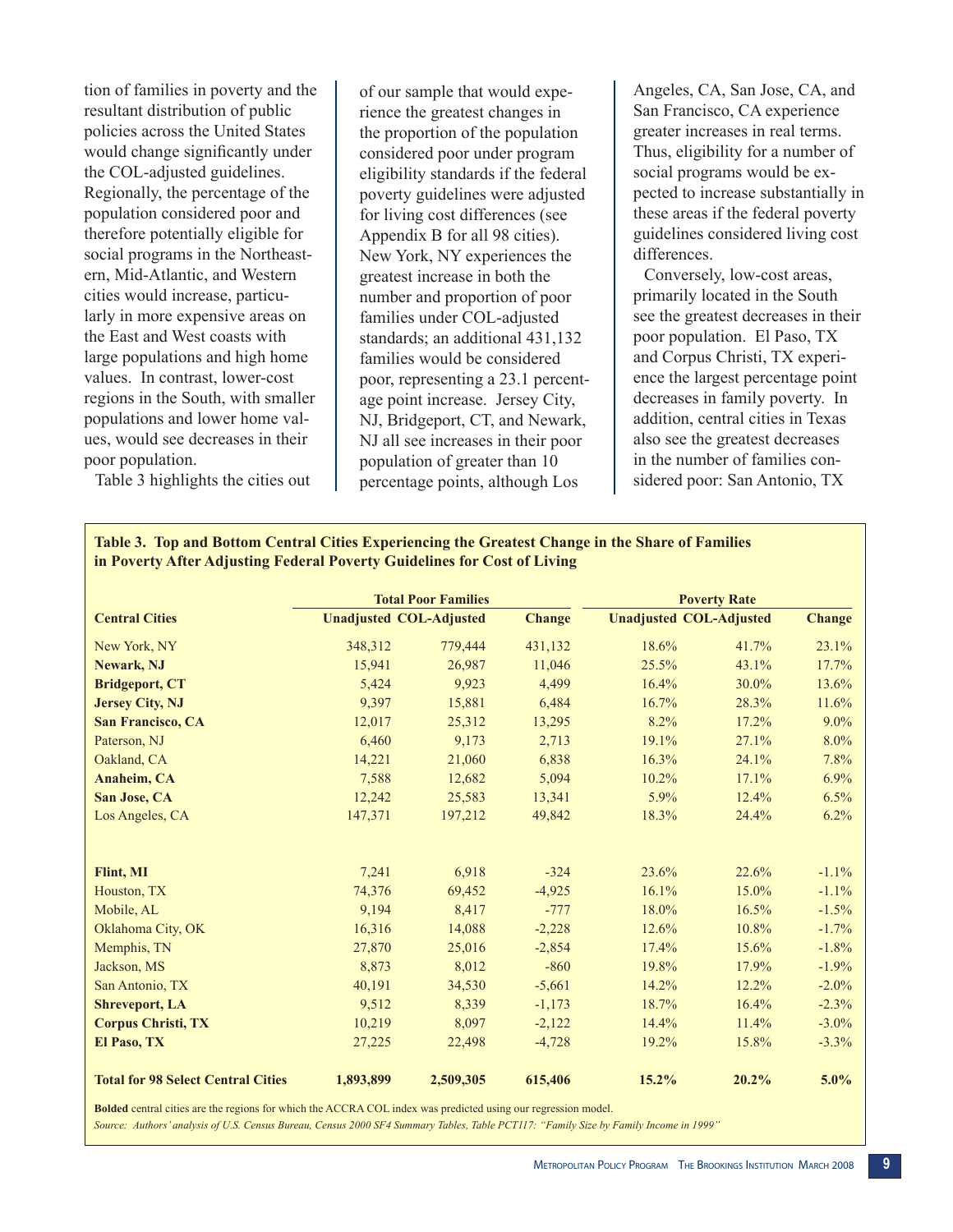tion of families in poverty and the resultant distribution of public policies across the United States would change significantly under the COL-adjusted guidelines. Regionally, the percentage of the population considered poor and therefore potentially eligible for social programs in the Northeastern, Mid-Atlantic, and Western cities would increase, particularly in more expensive areas on the East and West coasts with large populations and high home values. In contrast, lower-cost regions in the South, with smaller populations and lower home values, would see decreases in their poor population.

Table 3 highlights the cities out

of our sample that would experience the greatest changes in the proportion of the population considered poor under program eligibility standards if the federal poverty guidelines were adjusted for living cost differences (see Appendix B for all 98 cities). New York, NY experiences the greatest increase in both the number and proportion of poor families under COL-adjusted standards; an additional 431,132 families would be considered poor, representing a 23.1 percentage point increase. Jersey City, NJ, Bridgeport, CT, and Newark, NJ all see increases in their poor population of greater than 10 percentage points, although Los

Angeles, CA, San Jose, CA, and San Francisco, CA experience greater increases in real terms. Thus, eligibility for a number of social programs would be expected to increase substantially in these areas if the federal poverty guidelines considered living cost differences.

Conversely, low-cost areas, primarily located in the South see the greatest decreases in their poor population. El Paso, TX and Corpus Christi, TX experience the largest percentage point decreases in family poverty. In addition, central cities in Texas also see the greatest decreases in the number of families considered poor: San Antonio, TX

#### **Table 3. Top and Bottom Central Cities Experiencing the Greatest Change in the Share of Families in Poverty After Adjusting Federal Poverty Guidelines for Cost of Living**

|                                           |                                | <b>Total Poor Families</b> |               | <b>Poverty Rate</b>            |          |               |
|-------------------------------------------|--------------------------------|----------------------------|---------------|--------------------------------|----------|---------------|
| <b>Central Cities</b>                     | <b>Unadjusted COL-Adjusted</b> |                            | <b>Change</b> | <b>Unadjusted COL-Adjusted</b> |          | <b>Change</b> |
| New York, NY                              | 348,312                        | 779,444                    | 431,132       | 18.6%                          | 41.7%    | 23.1%         |
| Newark, NJ                                | 15,941                         | 26,987                     | 11,046        | 25.5%                          | 43.1%    | 17.7%         |
| <b>Bridgeport, CT</b>                     | 5,424                          | 9.923                      | 4,499         | 16.4%                          | 30.0%    | 13.6%         |
| <b>Jersey City, NJ</b>                    | 9,397                          | 15,881                     | 6,484         | 16.7%                          | 28.3%    | 11.6%         |
| <b>San Francisco, CA</b>                  | 12,017                         | 25,312                     | 13,295        | 8.2%                           | 17.2%    | 9.0%          |
| Paterson, NJ                              | 6,460                          | 9,173                      | 2,713         | 19.1%                          | 27.1%    | $8.0\%$       |
| Oakland, CA                               | 14,221                         | 21,060                     | 6,838         | 16.3%                          | 24.1%    | 7.8%          |
| Anaheim, CA                               | 7,588                          | 12,682                     | 5,094         | 10.2%                          | 17.1%    | 6.9%          |
| San Jose, CA                              | 12,242                         | 25,583                     | 13,341        | 5.9%                           | 12.4%    | 6.5%          |
| Los Angeles, CA                           | 147,371                        | 197,212                    | 49,842        | 18.3%                          | 24.4%    | 6.2%          |
| Flint, MI                                 | 7,241                          | 6,918                      | $-324$        | 23.6%                          | 22.6%    | $-1.1%$       |
| Houston, TX                               | 74,376                         | 69,452                     | $-4,925$      | 16.1%                          | $15.0\%$ | $-1.1%$       |
| Mobile, AL                                | 9,194                          | 8,417                      | $-777$        | 18.0%                          | 16.5%    | $-1.5%$       |
| Oklahoma City, OK                         | 16,316                         | 14,088                     | $-2,228$      | 12.6%                          | 10.8%    | $-1.7\%$      |
| Memphis, TN                               | 27,870                         | 25,016                     | $-2,854$      | 17.4%                          | 15.6%    | $-1.8%$       |
| Jackson, MS                               | 8,873                          | 8,012                      | $-860$        | 19.8%                          | 17.9%    | $-1.9%$       |
| San Antonio, TX                           | 40,191                         | 34,530                     | $-5,661$      | 14.2%                          | 12.2%    | $-2.0\%$      |
| <b>Shreveport, LA</b>                     | 9,512                          | 8,339                      | $-1,173$      | 18.7%                          | 16.4%    | $-2.3%$       |
| <b>Corpus Christi, TX</b>                 | 10,219                         | 8,097                      | $-2,122$      | 14.4%                          | 11.4%    | $-3.0\%$      |
| El Paso, TX                               | 27,225                         | 22,498                     | $-4,728$      | 19.2%                          | 15.8%    | $-3.3%$       |
| <b>Total for 98 Select Central Cities</b> | 1,893,899                      | 2,509,305                  | 615,406       | 15.2%                          | 20.2%    | $5.0\%$       |

**Bolded** central cities are the regions for which the ACCRA COL index was predicted using our regression model.

*Source: Authors' analysis of U.S. Census Bureau, Census 2000 SF4 Summary Tables, Table PCT117: "Family Size by Family Income in 1999"*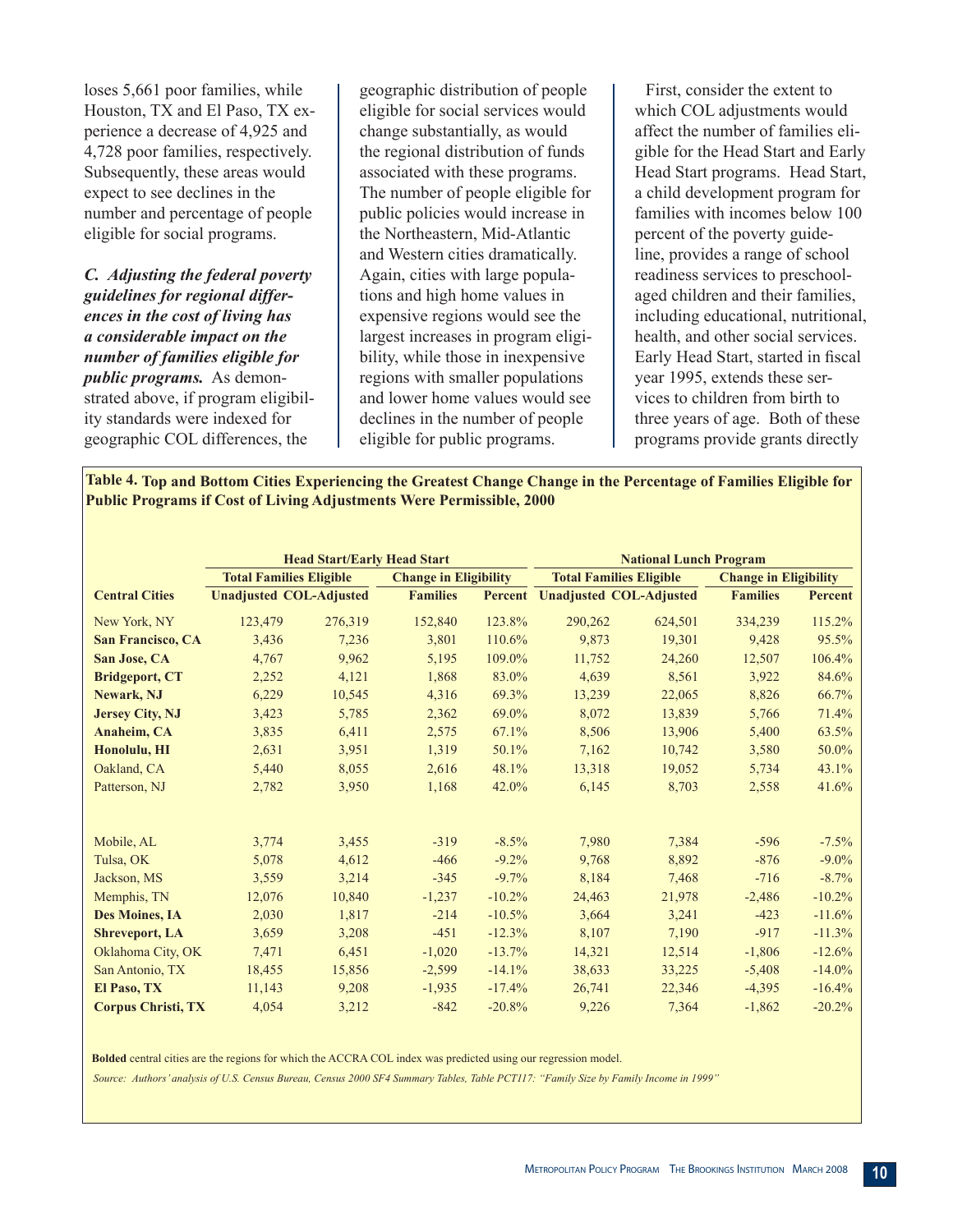loses 5,661 poor families, while Houston, TX and El Paso, TX experience a decrease of 4,925 and 4,728 poor families, respectively. Subsequently, these areas would expect to see declines in the number and percentage of people eligible for social programs.

*C. Adjusting the federal poverty guidelines for regional differences in the cost of living has a considerable impact on the number of families eligible for public programs.* As demonstrated above, if program eligibility standards were indexed for geographic COL differences, the

geographic distribution of people eligible for social services would change substantially, as would the regional distribution of funds associated with these programs. The number of people eligible for public policies would increase in the Northeastern, Mid-Atlantic and Western cities dramatically. Again, cities with large populations and high home values in expensive regions would see the largest increases in program eligibility, while those in inexpensive regions with smaller populations and lower home values would see declines in the number of people eligible for public programs.

First, consider the extent to which COL adjustments would affect the number of families eligible for the Head Start and Early Head Start programs. Head Start, a child development program for families with incomes below 100 percent of the poverty guideline, provides a range of school readiness services to preschoolaged children and their families, including educational, nutritional, health, and other social services. Early Head Start, started in fiscal year 1995, extends these services to children from birth to three years of age. Both of these programs provide grants directly

**Table 4. Top and Bottom Cities Experiencing the Greatest Change Change in the Percentage of Families Eligible for Public Programs if Cost of Living Adjustments Were Permissible, 2000**

|                           | <b>Head Start/Early Head Start</b> |                                |                              | <b>National Lunch Program</b> |         |                                 |                              |          |
|---------------------------|------------------------------------|--------------------------------|------------------------------|-------------------------------|---------|---------------------------------|------------------------------|----------|
|                           |                                    | <b>Total Families Eligible</b> | <b>Change in Eligibility</b> |                               |         | <b>Total Families Eligible</b>  | <b>Change in Eligibility</b> |          |
| <b>Central Cities</b>     |                                    | <b>Unadjusted COL-Adjusted</b> | <b>Families</b>              |                               |         | Percent Unadjusted COL-Adjusted | <b>Families</b>              | Percent  |
| New York, NY              | 123,479                            | 276,319                        | 152,840                      | 123.8%                        | 290,262 | 624,501                         | 334,239                      | 115.2%   |
| <b>San Francisco, CA</b>  | 3,436                              | 7,236                          | 3,801                        | 110.6%                        | 9,873   | 19,301                          | 9,428                        | 95.5%    |
| San Jose, CA              | 4,767                              | 9,962                          | 5,195                        | 109.0%                        | 11,752  | 24,260                          | 12,507                       | 106.4%   |
| <b>Bridgeport, CT</b>     | 2,252                              | 4,121                          | 1,868                        | 83.0%                         | 4,639   | 8,561                           | 3,922                        | 84.6%    |
| Newark, NJ                | 6,229                              | 10,545                         | 4,316                        | 69.3%                         | 13,239  | 22,065                          | 8,826                        | 66.7%    |
| <b>Jersey City, NJ</b>    | 3,423                              | 5,785                          | 2,362                        | 69.0%                         | 8,072   | 13,839                          | 5,766                        | 71.4%    |
| Anaheim, CA               | 3,835                              | 6,411                          | 2,575                        | 67.1%                         | 8,506   | 13,906                          | 5,400                        | 63.5%    |
| Honolulu, HI              | 2,631                              | 3,951                          | 1,319                        | 50.1%                         | 7,162   | 10,742                          | 3,580                        | 50.0%    |
| Oakland, CA               | 5,440                              | 8,055                          | 2,616                        | 48.1%                         | 13,318  | 19,052                          | 5,734                        | 43.1%    |
| Patterson, NJ             | 2,782                              | 3,950                          | 1,168                        | 42.0%                         | 6,145   | 8,703                           | 2,558                        | 41.6%    |
| Mobile, AL                | 3,774                              | 3.455                          | $-319$                       | $-8.5\%$                      | 7.980   | 7,384                           | $-596$                       | $-7.5\%$ |
| Tulsa, OK                 | 5,078                              | 4,612                          | $-466$                       | $-9.2%$                       | 9,768   | 8,892                           | $-876$                       | $-9.0\%$ |
| Jackson, MS               | 3,559                              | 3,214                          | $-345$                       | $-9.7%$                       | 8,184   | 7,468                           | $-716$                       | $-8.7\%$ |
| Memphis, TN               | 12,076                             | 10,840                         | $-1,237$                     | $-10.2%$                      | 24,463  | 21,978                          | $-2,486$                     | $-10.2%$ |
| <b>Des Moines, IA</b>     | 2,030                              | 1,817                          | $-214$                       | $-10.5%$                      | 3,664   | 3,241                           | $-423$                       | $-11.6%$ |
| <b>Shreveport, LA</b>     | 3,659                              | 3,208                          | $-451$                       | $-12.3%$                      | 8,107   | 7,190                           | $-917$                       | $-11.3%$ |
| Oklahoma City, OK         | 7,471                              | 6,451                          | $-1,020$                     | $-13.7%$                      | 14,321  | 12,514                          | $-1,806$                     | $-12.6%$ |
| San Antonio, TX           | 18,455                             | 15,856                         | $-2,599$                     | $-14.1%$                      | 38,633  | 33,225                          | $-5,408$                     | $-14.0%$ |
| El Paso, TX               | 11,143                             | 9,208                          | $-1,935$                     | $-17.4%$                      | 26,741  | 22,346                          | $-4,395$                     | $-16.4%$ |
| <b>Corpus Christi, TX</b> | 4,054                              | 3,212                          | $-842$                       | $-20.8%$                      | 9,226   | 7,364                           | $-1,862$                     | $-20.2%$ |

**Bolded** central cities are the regions for which the ACCRA COL index was predicted using our regression model.

*Source: Authors' analysis of U.S. Census Bureau, Census 2000 SF4 Summary Tables, Table PCT117: "Family Size by Family Income in 1999"*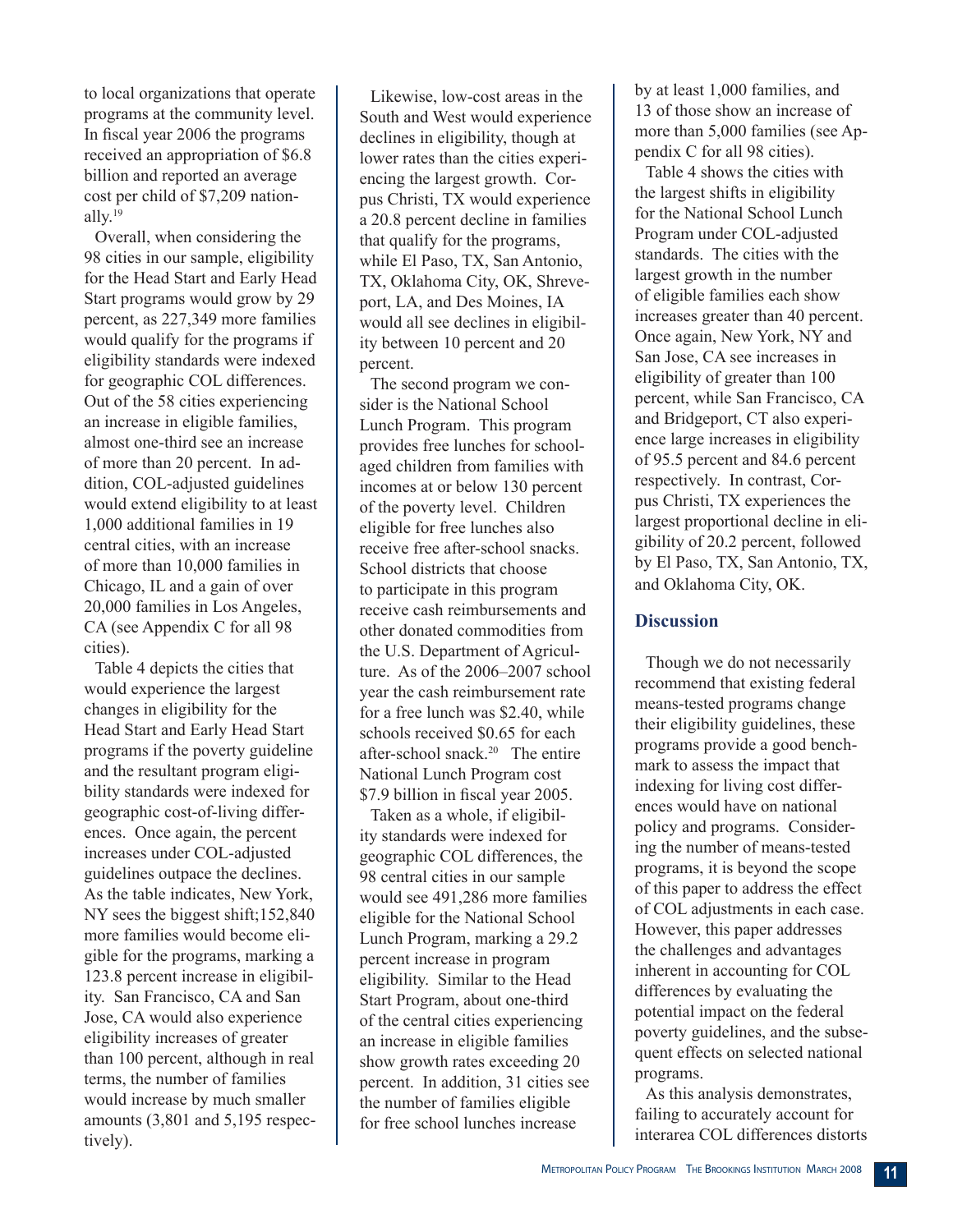to local organizations that operate programs at the community level. In fiscal year 2006 the programs received an appropriation of \$6.8 billion and reported an average cost per child of \$7,209 nationally.<sup>19</sup>

Overall, when considering the 98 cities in our sample, eligibility for the Head Start and Early Head Start programs would grow by 29 percent, as 227,349 more families would qualify for the programs if eligibility standards were indexed for geographic COL differences. Out of the 58 cities experiencing an increase in eligible families, almost one-third see an increase of more than 20 percent. In addition, COL-adjusted guidelines would extend eligibility to at least 1,000 additional families in 19 central cities, with an increase of more than 10,000 families in Chicago, IL and a gain of over 20,000 families in Los Angeles, CA (see Appendix C for all 98 cities).

Table 4 depicts the cities that would experience the largest changes in eligibility for the Head Start and Early Head Start programs if the poverty guideline and the resultant program eligibility standards were indexed for geographic cost-of-living differences. Once again, the percent increases under COL-adjusted guidelines outpace the declines. As the table indicates, New York, NY sees the biggest shift;152,840 more families would become eligible for the programs, marking a 123.8 percent increase in eligibility. San Francisco, CA and San Jose, CA would also experience eligibility increases of greater than 100 percent, although in real terms, the number of families would increase by much smaller amounts (3,801 and 5,195 respectively).

Likewise, low-cost areas in the South and West would experience declines in eligibility, though at lower rates than the cities experiencing the largest growth. Corpus Christi, TX would experience a 20.8 percent decline in families that qualify for the programs, while El Paso, TX, San Antonio, TX, Oklahoma City, OK, Shreveport, LA, and Des Moines, IA would all see declines in eligibility between 10 percent and 20 percent.

The second program we consider is the National School Lunch Program. This program provides free lunches for schoolaged children from families with incomes at or below 130 percent of the poverty level. Children eligible for free lunches also receive free after-school snacks. School districts that choose to participate in this program receive cash reimbursements and other donated commodities from the U.S. Department of Agriculture. As of the 2006–2007 school year the cash reimbursement rate for a free lunch was \$2.40, while schools received \$0.65 for each after-school snack.20 The entire National Lunch Program cost \$7.9 billion in fiscal year 2005.

Taken as a whole, if eligibility standards were indexed for geographic COL differences, the 98 central cities in our sample would see 491,286 more families eligible for the National School Lunch Program, marking a 29.2 percent increase in program eligibility. Similar to the Head Start Program, about one-third of the central cities experiencing an increase in eligible families show growth rates exceeding 20 percent. In addition, 31 cities see the number of families eligible for free school lunches increase

by at least 1,000 families, and 13 of those show an increase of more than 5,000 families (see Appendix C for all 98 cities).

Table 4 shows the cities with the largest shifts in eligibility for the National School Lunch Program under COL-adjusted standards. The cities with the largest growth in the number of eligible families each show increases greater than 40 percent. Once again, New York, NY and San Jose, CA see increases in eligibility of greater than 100 percent, while San Francisco, CA and Bridgeport, CT also experience large increases in eligibility of 95.5 percent and 84.6 percent respectively. In contrast, Corpus Christi, TX experiences the largest proportional decline in eligibility of 20.2 percent, followed by El Paso, TX, San Antonio, TX, and Oklahoma City, OK.

## **Discussion**

Though we do not necessarily recommend that existing federal means-tested programs change their eligibility guidelines, these programs provide a good benchmark to assess the impact that indexing for living cost differences would have on national policy and programs. Considering the number of means-tested programs, it is beyond the scope of this paper to address the effect of COL adjustments in each case. However, this paper addresses the challenges and advantages inherent in accounting for COL differences by evaluating the potential impact on the federal poverty guidelines, and the subsequent effects on selected national programs.

As this analysis demonstrates, failing to accurately account for interarea COL differences distorts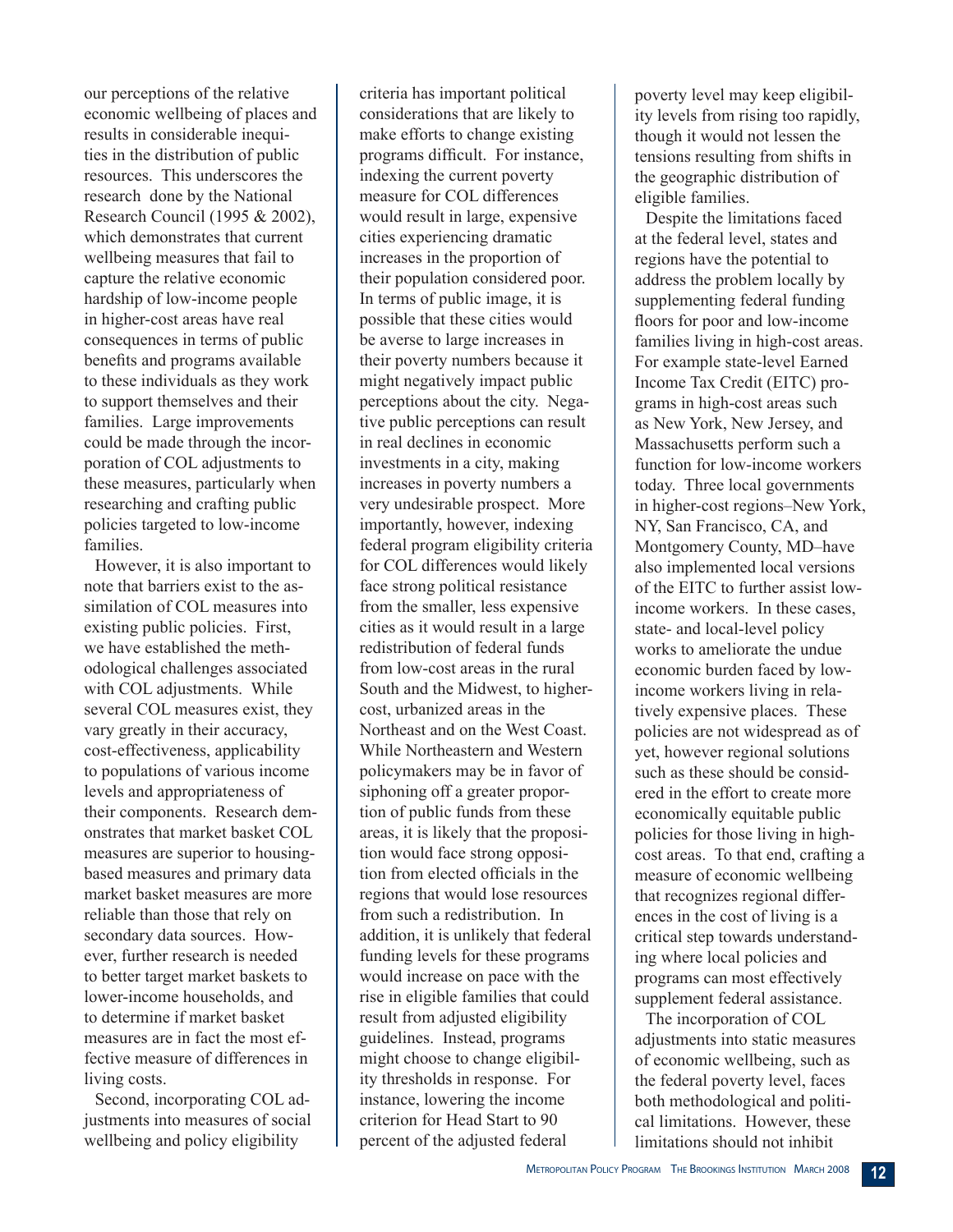our perceptions of the relative economic wellbeing of places and results in considerable inequities in the distribution of public resources. This underscores the research done by the National Research Council (1995 & 2002), which demonstrates that current wellbeing measures that fail to capture the relative economic hardship of low-income people in higher-cost areas have real consequences in terms of public benefits and programs available to these individuals as they work to support themselves and their families. Large improvements could be made through the incorporation of COL adjustments to these measures, particularly when researching and crafting public policies targeted to low-income families.

However, it is also important to note that barriers exist to the assimilation of COL measures into existing public policies. First, we have established the methodological challenges associated with COL adjustments. While several COL measures exist, they vary greatly in their accuracy, cost-effectiveness, applicability to populations of various income levels and appropriateness of their components. Research demonstrates that market basket COL measures are superior to housingbased measures and primary data market basket measures are more reliable than those that rely on secondary data sources. However, further research is needed to better target market baskets to lower-income households, and to determine if market basket measures are in fact the most effective measure of differences in living costs.

Second, incorporating COL adjustments into measures of social wellbeing and policy eligibility

criteria has important political considerations that are likely to make efforts to change existing programs difficult. For instance, indexing the current poverty measure for COL differences would result in large, expensive cities experiencing dramatic increases in the proportion of their population considered poor. In terms of public image, it is possible that these cities would be averse to large increases in their poverty numbers because it might negatively impact public perceptions about the city. Negative public perceptions can result in real declines in economic investments in a city, making increases in poverty numbers a very undesirable prospect. More importantly, however, indexing federal program eligibility criteria for COL differences would likely face strong political resistance from the smaller, less expensive cities as it would result in a large redistribution of federal funds from low-cost areas in the rural South and the Midwest, to highercost, urbanized areas in the Northeast and on the West Coast. While Northeastern and Western policymakers may be in favor of siphoning off a greater proportion of public funds from these areas, it is likely that the proposition would face strong opposition from elected officials in the regions that would lose resources from such a redistribution. In addition, it is unlikely that federal funding levels for these programs would increase on pace with the rise in eligible families that could result from adjusted eligibility guidelines. Instead, programs might choose to change eligibility thresholds in response. For instance, lowering the income criterion for Head Start to 90 percent of the adjusted federal

poverty level may keep eligibility levels from rising too rapidly, though it would not lessen the tensions resulting from shifts in the geographic distribution of eligible families.

Despite the limitations faced at the federal level, states and regions have the potential to address the problem locally by supplementing federal funding floors for poor and low-income families living in high-cost areas. For example state-level Earned Income Tax Credit (EITC) programs in high-cost areas such as New York, New Jersey, and Massachusetts perform such a function for low-income workers today. Three local governments in higher-cost regions–New York, NY, San Francisco, CA, and Montgomery County, MD–have also implemented local versions of the EITC to further assist lowincome workers. In these cases, state- and local-level policy works to ameliorate the undue economic burden faced by lowincome workers living in relatively expensive places. These policies are not widespread as of yet, however regional solutions such as these should be considered in the effort to create more economically equitable public policies for those living in highcost areas. To that end, crafting a measure of economic wellbeing that recognizes regional differences in the cost of living is a critical step towards understanding where local policies and programs can most effectively supplement federal assistance.

The incorporation of COL adjustments into static measures of economic wellbeing, such as the federal poverty level, faces both methodological and political limitations. However, these limitations should not inhibit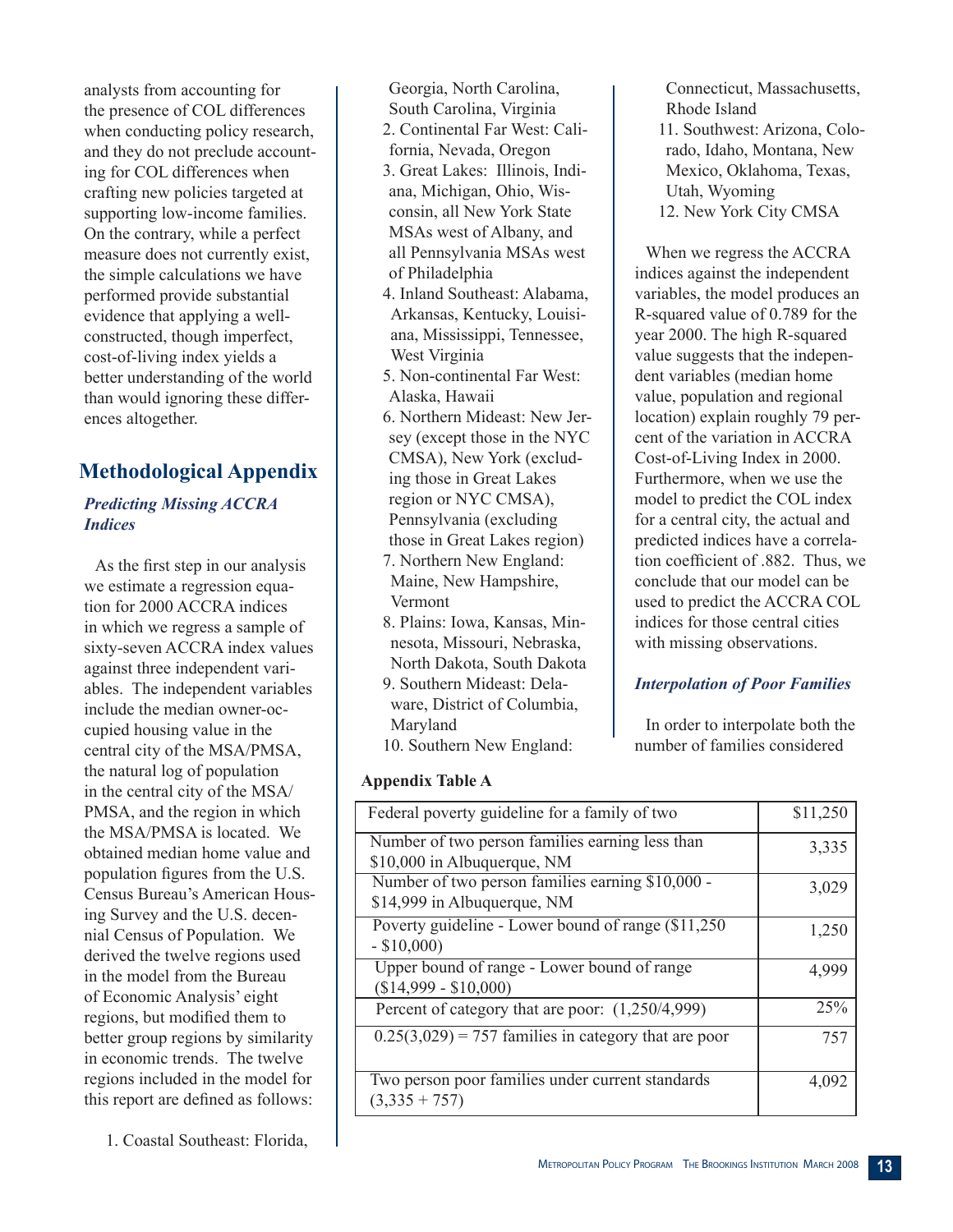analysts from accounting for the presence of COL differences when conducting policy research, and they do not preclude accounting for COL differences when crafting new policies targeted at supporting low-income families. On the contrary, while a perfect measure does not currently exist, the simple calculations we have performed provide substantial evidence that applying a wellconstructed, though imperfect, cost-of-living index yields a better understanding of the world than would ignoring these differences altogether.

# **Methodological Appendix**

## *Predicting Missing ACCRA Indices*

As the first step in our analysis we estimate a regression equation for 2000 ACCRA indices in which we regress a sample of sixty-seven ACCRA index values against three independent variables. The independent variables include the median owner-occupied housing value in the central city of the MSA/PMSA, the natural log of population in the central city of the MSA/ PMSA, and the region in which the MSA/PMSA is located. We obtained median home value and population figures from the U.S. Census Bureau's American Housing Survey and the U.S. decennial Census of Population. We derived the twelve regions used in the model from the Bureau of Economic Analysis' eight regions, but modified them to better group regions by similarity in economic trends. The twelve regions included in the model for this report are defined as follows:

1. Coastal Southeast: Florida,

Georgia, North Carolina, South Carolina, Virginia

- 2. Continental Far West: Cali-
- fornia, Nevada, Oregon 3. Great Lakes: Illinois, Indiana, Michigan, Ohio, Wisconsin, all New York State MSAs west of Albany, and all Pennsylvania MSAs west of Philadelphia
- 4. Inland Southeast: Alabama, Arkansas, Kentucky, Louisiana, Mississippi, Tennessee, West Virginia
- 5. Non-continental Far West: Alaska, Hawaii
- 6. Northern Mideast: New Jersey (except those in the NYC CMSA), New York (excluding those in Great Lakes region or NYC CMSA), Pennsylvania (excluding those in Great Lakes region)
- 7. Northern New England: Maine, New Hampshire, Vermont
- 8. Plains: Iowa, Kansas, Minnesota, Missouri, Nebraska, North Dakota, South Dakota
- 9. Southern Mideast: Delaware, District of Columbia, Maryland
- 10. Southern New England:

**Appendix Table A**

| Federal poverty guideline for a family of two                                   | \$11,250 |
|---------------------------------------------------------------------------------|----------|
| Number of two person families earning less than<br>\$10,000 in Albuquerque, NM  | 3,335    |
| Number of two person families earning \$10,000 -<br>\$14,999 in Albuquerque, NM | 3,029    |
| Poverty guideline - Lower bound of range (\$11,250)<br>$-$ \$10,000)            | 1,250    |
| Upper bound of range - Lower bound of range<br>$($14,999 - $10,000)$            | 4,999    |
| Percent of category that are poor: $(1,250/4,999)$                              | 25%      |
| $0.25(3,029) = 757$ families in category that are poor                          | 757      |
| Two person poor families under current standards<br>$(3,335 + 757)$             | 4,092    |

Connecticut, Massachusetts, Rhode Island 11. Southwest: Arizona, Colorado, Idaho, Montana, New Mexico, Oklahoma, Texas, Utah, Wyoming 12. New York City CMSA

When we regress the ACCRA indices against the independent variables, the model produces an R-squared value of 0.789 for the year 2000. The high R-squared value suggests that the independent variables (median home value, population and regional location) explain roughly 79 percent of the variation in ACCRA Cost-of-Living Index in 2000. Furthermore, when we use the model to predict the COL index for a central city, the actual and predicted indices have a correlation coefficient of .882. Thus, we conclude that our model can be used to predict the ACCRA COL indices for those central cities with missing observations.

# *Interpolation of Poor Families*

In order to interpolate both the number of families considered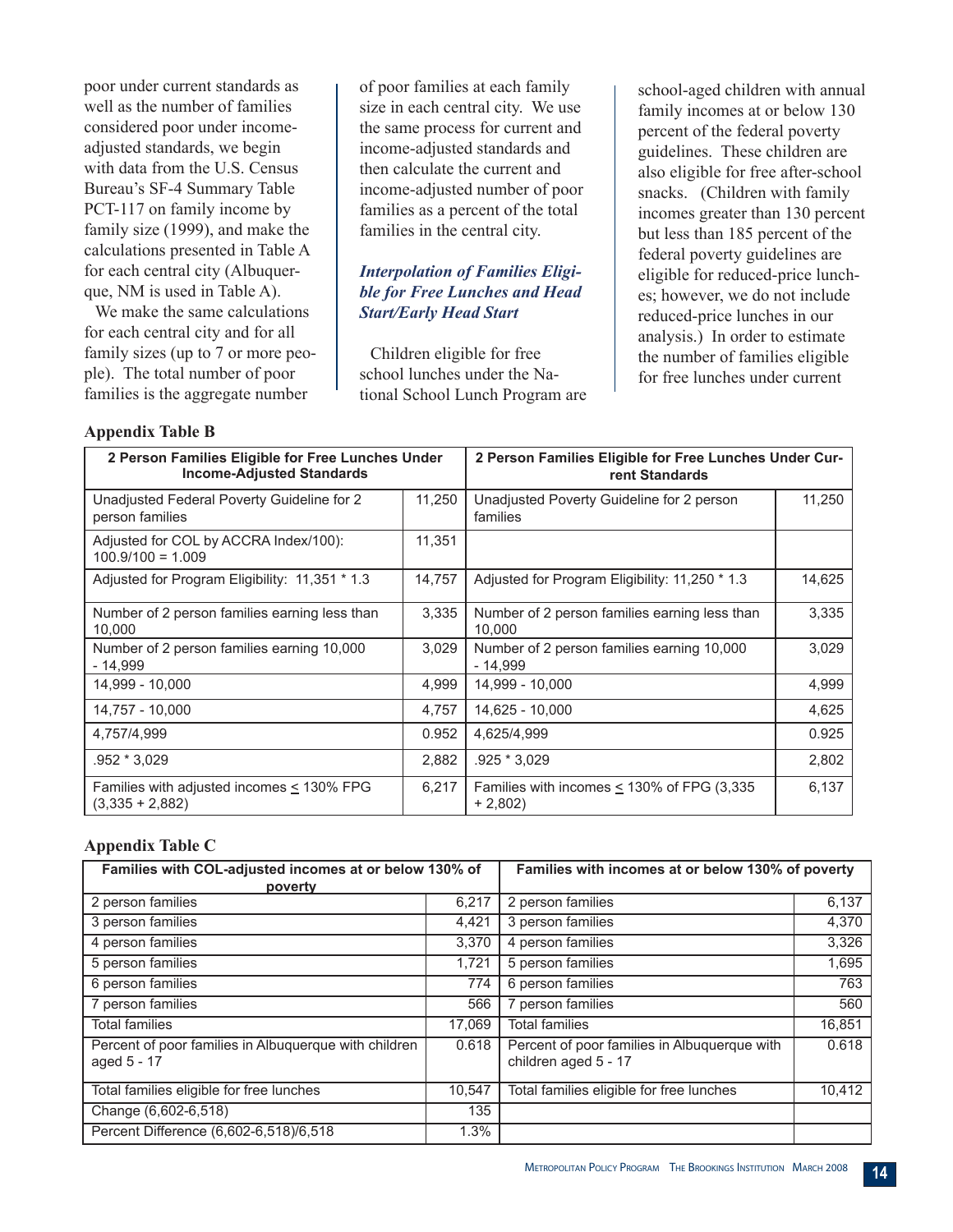poor under current standards as well as the number of families considered poor under incomeadjusted standards, we begin with data from the U.S. Census Bureau's SF-4 Summary Table PCT-117 on family income by family size (1999), and make the calculations presented in Table A for each central city (Albuquerque, NM is used in Table A).

We make the same calculations for each central city and for all family sizes (up to 7 or more people). The total number of poor families is the aggregate number

of poor families at each family size in each central city. We use the same process for current and income-adjusted standards and then calculate the current and income-adjusted number of poor families as a percent of the total families in the central city.

## *Interpolation of Families Eligible for Free Lunches and Head Start/Early Head Start*

Children eligible for free school lunches under the National School Lunch Program are school-aged children with annual family incomes at or below 130 percent of the federal poverty guidelines. These children are also eligible for free after-school snacks. (Children with family incomes greater than 130 percent but less than 185 percent of the federal poverty guidelines are eligible for reduced-price lunches; however, we do not include reduced-price lunches in our analysis.) In order to estimate the number of families eligible for free lunches under current

#### **Appendix Table B**

| 2 Person Families Eligible for Free Lunches Under<br><b>Income-Adjusted Standards</b> |        | 2 Person Families Eligible for Free Lunches Under Cur-<br>rent Standards |        |  |  |
|---------------------------------------------------------------------------------------|--------|--------------------------------------------------------------------------|--------|--|--|
| Unadjusted Federal Poverty Guideline for 2<br>person families                         | 11,250 | Unadjusted Poverty Guideline for 2 person<br>families                    | 11,250 |  |  |
| Adjusted for COL by ACCRA Index/100):<br>$100.9/100 = 1.009$                          | 11,351 |                                                                          |        |  |  |
| Adjusted for Program Eligibility: 11,351 * 1.3                                        | 14,757 | Adjusted for Program Eligibility: 11,250 * 1.3                           | 14,625 |  |  |
| Number of 2 person families earning less than<br>10,000                               | 3,335  | Number of 2 person families earning less than<br>10,000                  | 3,335  |  |  |
| Number of 2 person families earning 10,000<br>- 14,999                                | 3,029  | Number of 2 person families earning 10,000<br>- 14,999                   | 3,029  |  |  |
| 14.999 - 10.000                                                                       | 4,999  | 14,999 - 10,000                                                          | 4,999  |  |  |
| 14,757 - 10,000                                                                       | 4,757  | 14,625 - 10,000                                                          | 4,625  |  |  |
| 4,757/4,999                                                                           | 0.952  | 4,625/4,999                                                              | 0.925  |  |  |
| .952 * 3,029                                                                          | 2,882  | .925 * 3,029                                                             | 2,802  |  |  |
| Families with adjusted incomes $\leq$ 130% FPG<br>$(3,335 + 2,882)$                   | 6,217  | Families with incomes $\leq$ 130% of FPG (3,335<br>$+2,802$              | 6,137  |  |  |

#### **Appendix Table C**

| Families with COL-adjusted incomes at or below 130% of               |        | Families with incomes at or below 130% of poverty                    |        |
|----------------------------------------------------------------------|--------|----------------------------------------------------------------------|--------|
| poverty                                                              |        |                                                                      |        |
| 2 person families                                                    | 6.217  | 2 person families                                                    | 6,137  |
| 3 person families                                                    | 4,421  | 3 person families                                                    | 4,370  |
| 4 person families                                                    | 3.370  | 4 person families                                                    | 3,326  |
| 5 person families                                                    | 1,721  | 5 person families                                                    | 1,695  |
| 6 person families                                                    | 774    | 6 person families                                                    | 763    |
| 7 person families                                                    | 566    | 7 person families                                                    | 560    |
| <b>Total families</b>                                                | 17.069 | <b>Total families</b>                                                | 16,851 |
| Percent of poor families in Albuquerque with children<br>aged 5 - 17 | 0.618  | Percent of poor families in Albuquerque with<br>children aged 5 - 17 | 0.618  |
| Total families eligible for free lunches                             | 10.547 | Total families eligible for free lunches                             | 10,412 |
| Change (6,602-6,518)                                                 | 135    |                                                                      |        |
| Percent Difference (6,602-6,518)/6,518                               | 1.3%   |                                                                      |        |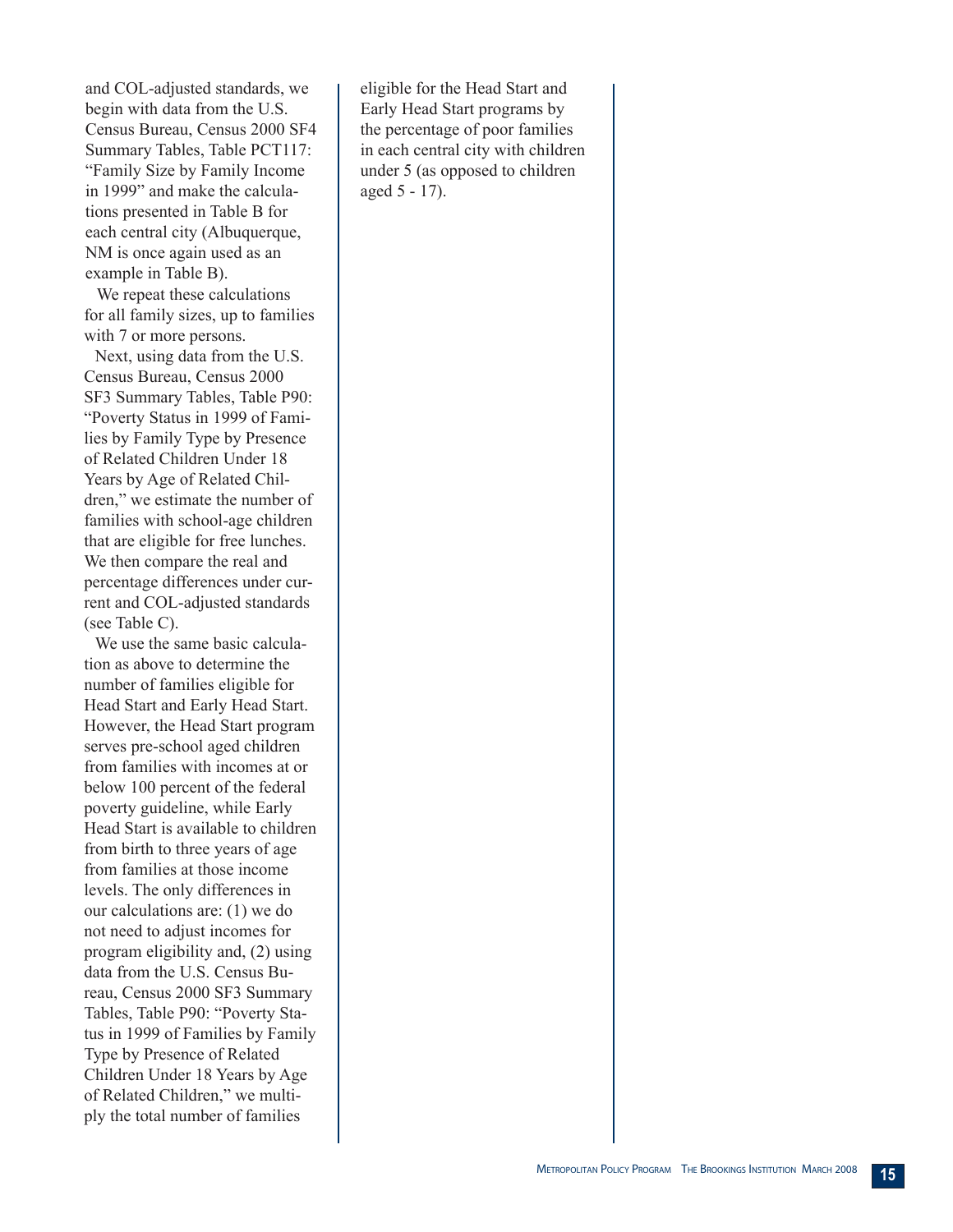and COL-adjusted standards, we begin with data from the U.S. Census Bureau, Census 2000 SF4 Summary Tables, Table PCT117: "Family Size by Family Income in 1999" and make the calculations presented in Table B for each central city (Albuquerque, NM is once again used as an example in Table B).

 We repeat these calculations for all family sizes, up to families with 7 or more persons.

Next, using data from the U.S. Census Bureau, Census 2000 SF3 Summary Tables, Table P90: "Poverty Status in 1999 of Families by Family Type by Presence of Related Children Under 18 Years by Age of Related Children," we estimate the number of families with school-age children that are eligible for free lunches. We then compare the real and percentage differences under current and COL-adjusted standards (see Table C).

We use the same basic calculation as above to determine the number of families eligible for Head Start and Early Head Start. However, the Head Start program serves pre-school aged children from families with incomes at or below 100 percent of the federal poverty guideline, while Early Head Start is available to children from birth to three years of age from families at those income levels. The only differences in our calculations are: (1) we do not need to adjust incomes for program eligibility and, (2) using data from the U.S. Census Bureau, Census 2000 SF3 Summary Tables, Table P90: "Poverty Status in 1999 of Families by Family Type by Presence of Related Children Under 18 Years by Age of Related Children," we multiply the total number of families

eligible for the Head Start and Early Head Start programs by the percentage of poor families in each central city with children under 5 (as opposed to children aged 5 - 17).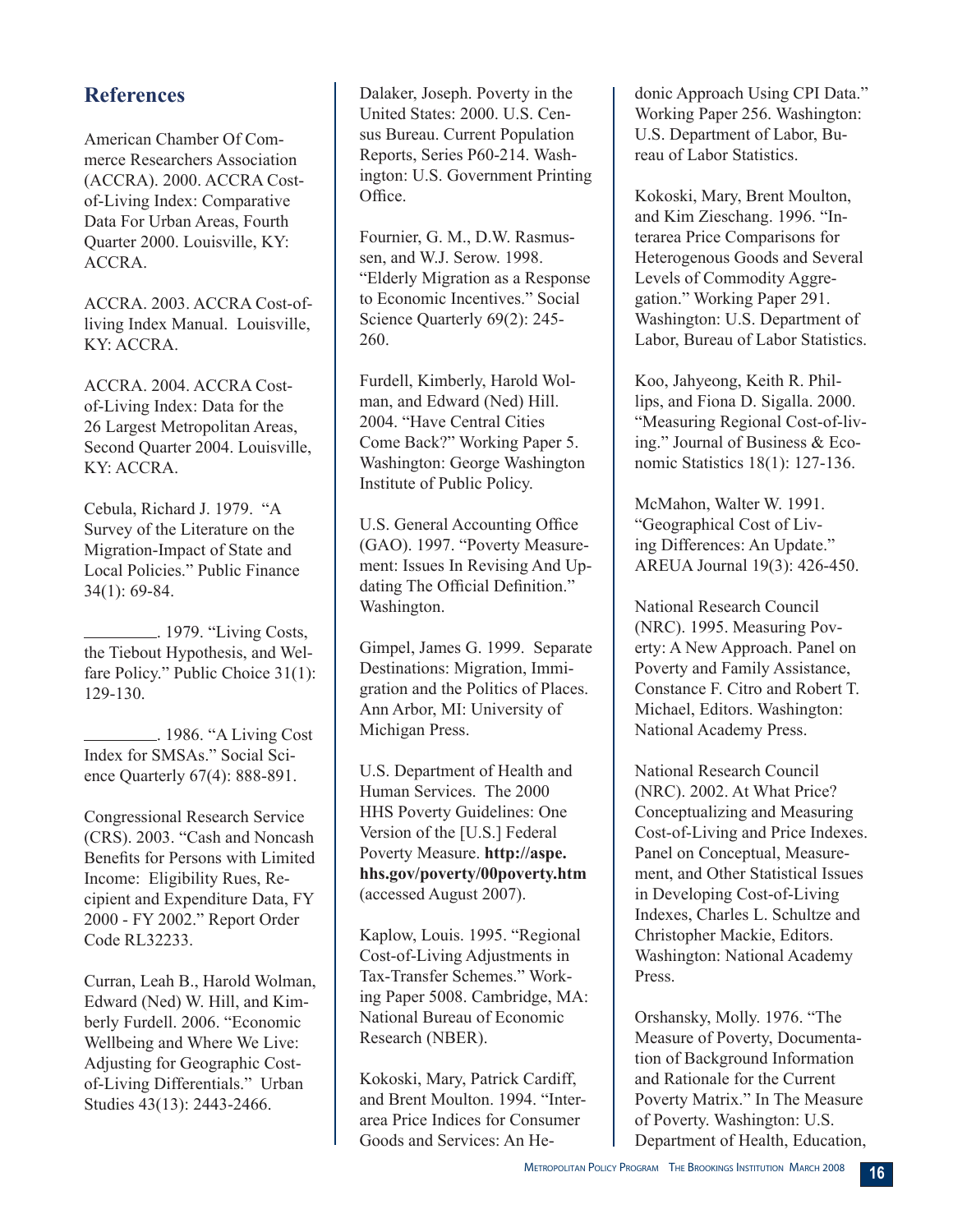# **References**

American Chamber Of Commerce Researchers Association (ACCRA). 2000. ACCRA Costof-Living Index: Comparative Data For Urban Areas, Fourth Quarter 2000. Louisville, KY: ACCRA.

ACCRA. 2003. ACCRA Cost-ofliving Index Manual. Louisville, KY: ACCRA.

ACCRA. 2004. ACCRA Costof-Living Index: Data for the 26 Largest Metropolitan Areas, Second Quarter 2004. Louisville, KY: ACCRA.

Cebula, Richard J. 1979. "A Survey of the Literature on the Migration-Impact of State and Local Policies." Public Finance 34(1): 69-84.

 . 1979. "Living Costs, the Tiebout Hypothesis, and Welfare Policy." Public Choice 31(1): 129-130.

 . 1986. "A Living Cost Index for SMSAs." Social Science Quarterly 67(4): 888-891.

Congressional Research Service (CRS). 2003. "Cash and Noncash Benefits for Persons with Limited Income: Eligibility Rues, Recipient and Expenditure Data, FY 2000 - FY 2002." Report Order Code RL32233.

Curran, Leah B., Harold Wolman, Edward (Ned) W. Hill, and Kimberly Furdell. 2006. "Economic Wellbeing and Where We Live: Adjusting for Geographic Costof-Living Differentials." Urban Studies 43(13): 2443-2466.

Dalaker, Joseph. Poverty in the United States: 2000. U.S. Census Bureau. Current Population Reports, Series P60-214. Washington: U.S. Government Printing Office.

Fournier, G. M., D.W. Rasmussen, and W.J. Serow. 1998. "Elderly Migration as a Response to Economic Incentives." Social Science Ouarterly 69(2): 245-260.

Furdell, Kimberly, Harold Wolman, and Edward (Ned) Hill. 2004. "Have Central Cities Come Back?" Working Paper 5. Washington: George Washington Institute of Public Policy.

U.S. General Accounting Office (GAO). 1997. "Poverty Measurement: Issues In Revising And Updating The Official Definition." Washington.

Gimpel, James G. 1999. Separate Destinations: Migration, Immigration and the Politics of Places. Ann Arbor, MI: University of Michigan Press.

U.S. Department of Health and Human Services. The 2000 HHS Poverty Guidelines: One Version of the [U.S.] Federal Poverty Measure. **http://aspe. hhs.gov/poverty/00poverty.htm**  (accessed August 2007).

Kaplow, Louis. 1995. "Regional Cost-of-Living Adjustments in Tax-Transfer Schemes." Working Paper 5008. Cambridge, MA: National Bureau of Economic Research (NBER).

Kokoski, Mary, Patrick Cardiff, and Brent Moulton. 1994. "Interarea Price Indices for Consumer Goods and Services: An Hedonic Approach Using CPI Data." Working Paper 256. Washington: U.S. Department of Labor, Bureau of Labor Statistics.

Kokoski, Mary, Brent Moulton, and Kim Zieschang. 1996. "Interarea Price Comparisons for Heterogenous Goods and Several Levels of Commodity Aggregation." Working Paper 291. Washington: U.S. Department of Labor, Bureau of Labor Statistics.

Koo, Jahyeong, Keith R. Phillips, and Fiona D. Sigalla. 2000. "Measuring Regional Cost-of-living." Journal of Business & Economic Statistics 18(1): 127-136.

McMahon, Walter W. 1991. "Geographical Cost of Living Differences: An Update." AREUA Journal 19(3): 426-450.

National Research Council (NRC). 1995. Measuring Poverty: A New Approach. Panel on Poverty and Family Assistance, Constance F. Citro and Robert T. Michael, Editors. Washington: National Academy Press.

National Research Council (NRC). 2002. At What Price? Conceptualizing and Measuring Cost-of-Living and Price Indexes. Panel on Conceptual, Measurement, and Other Statistical Issues in Developing Cost-of-Living Indexes, Charles L. Schultze and Christopher Mackie, Editors. Washington: National Academy Press.

Orshansky, Molly. 1976. "The Measure of Poverty, Documentation of Background Information and Rationale for the Current Poverty Matrix." In The Measure of Poverty. Washington: U.S. Department of Health, Education,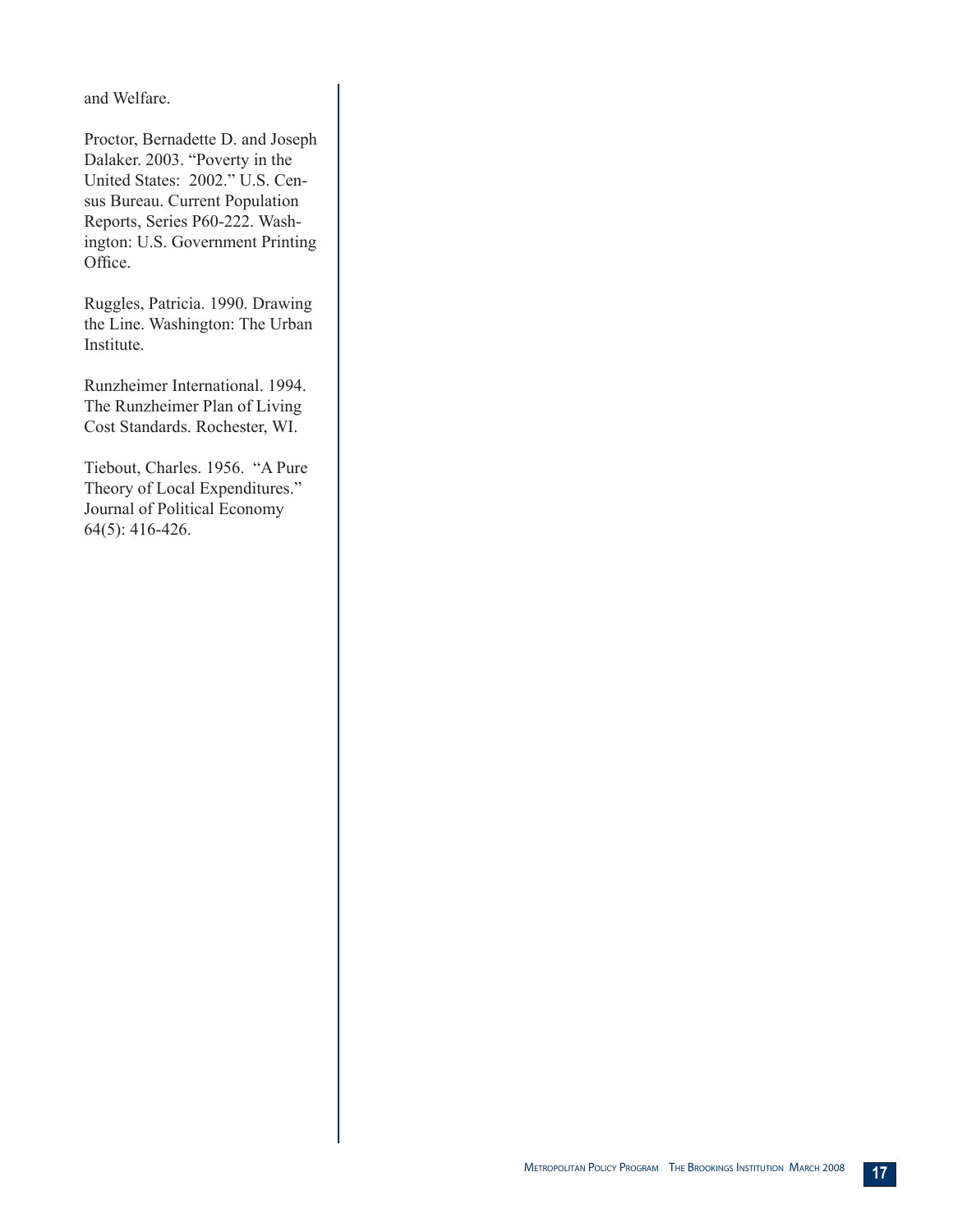and Welfare.

Proctor, Bernadette D. and Joseph Dalaker. 2003. "Poverty in the United States: 2002." U.S. Census Bureau. Current Population Reports, Series P60-222. Washington: U.S. Government Printing Office.

Ruggles, Patricia. 1990. Drawing the Line. Washington: The Urban Institute.

Runzheimer International. 1994. The Runzheimer Plan of Living Cost Standards. Rochester, WI.

Tiebout, Charles. 1956. "A Pure Theory of Local Expenditures." Journal of Political Economy 64(5): 416-426.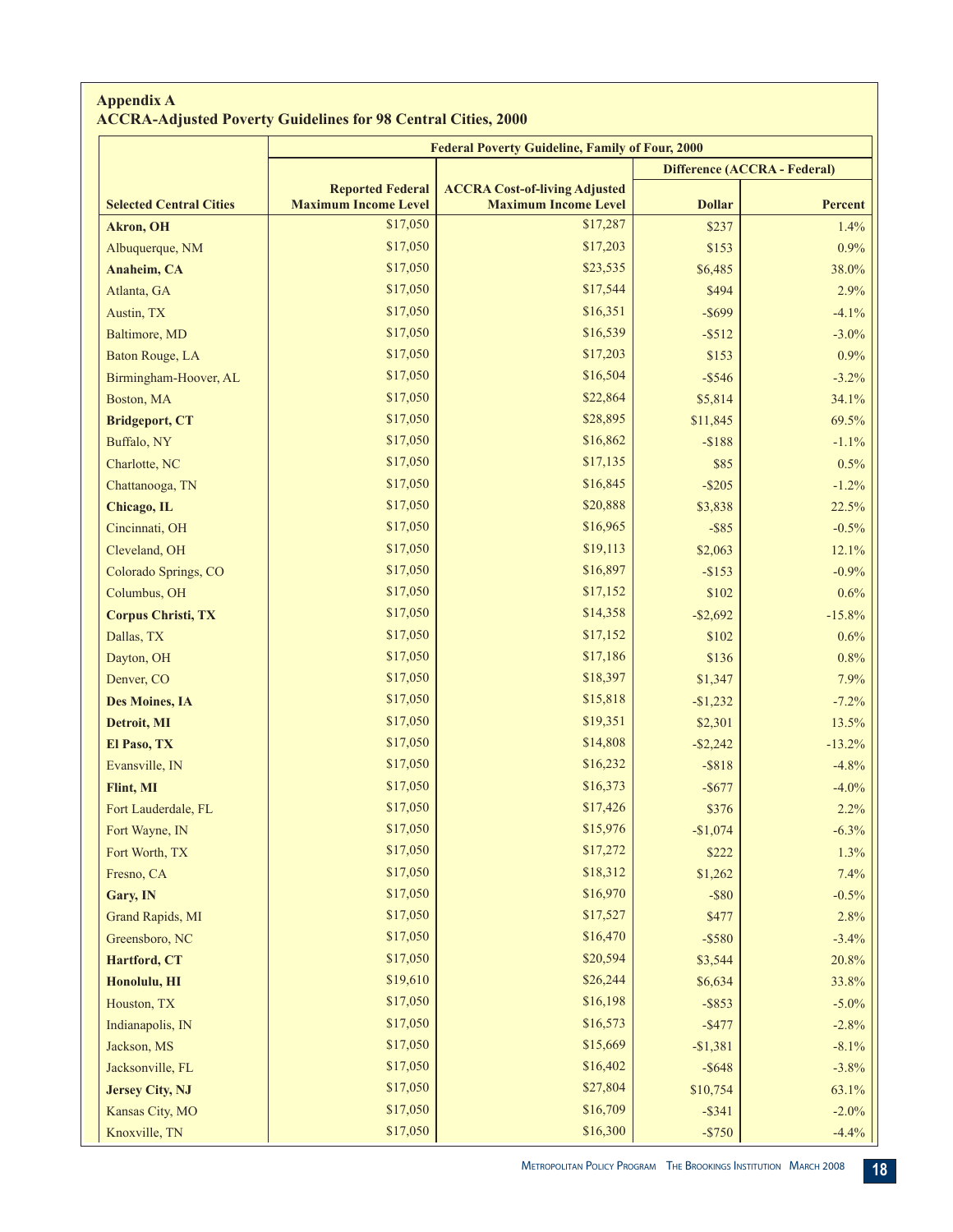#### **Appendix A ACCRA-Adjusted Poverty Guidelines for 98 Central Cities, 2000**

|                                | <b>Federal Poverty Guideline, Family of Four, 2000</b> |                                                                     |                              |                |  |  |  |
|--------------------------------|--------------------------------------------------------|---------------------------------------------------------------------|------------------------------|----------------|--|--|--|
|                                |                                                        |                                                                     | Difference (ACCRA - Federal) |                |  |  |  |
| <b>Selected Central Cities</b> | <b>Reported Federal</b><br><b>Maximum Income Level</b> | <b>ACCRA Cost-of-living Adjusted</b><br><b>Maximum Income Level</b> | <b>Dollar</b>                | <b>Percent</b> |  |  |  |
| <b>Akron</b> , OH              | \$17,050                                               | \$17,287                                                            | \$237                        | 1.4%           |  |  |  |
| Albuquerque, NM                | \$17,050                                               | \$17,203                                                            | \$153                        | 0.9%           |  |  |  |
| Anaheim, CA                    | \$17,050                                               | \$23,535                                                            | \$6,485                      | 38.0%          |  |  |  |
| Atlanta, GA                    | \$17,050                                               | \$17,544                                                            | \$494                        | 2.9%           |  |  |  |
| Austin, TX                     | \$17,050                                               | \$16,351                                                            | $-$ \$699                    | $-4.1%$        |  |  |  |
| Baltimore, MD                  | \$17,050                                               | \$16,539                                                            | $-$ \$512                    | $-3.0\%$       |  |  |  |
| Baton Rouge, LA                | \$17,050                                               | \$17,203                                                            | \$153                        | $0.9\%$        |  |  |  |
| Birmingham-Hoover, AL          | \$17,050                                               | \$16,504                                                            | $-$ \$546                    | $-3.2%$        |  |  |  |
| Boston, MA                     | \$17,050                                               | \$22,864                                                            | \$5,814                      | 34.1%          |  |  |  |
| <b>Bridgeport, CT</b>          | \$17,050                                               | \$28,895                                                            | \$11,845                     | 69.5%          |  |  |  |
| Buffalo, NY                    | \$17,050                                               | \$16,862                                                            | $- $188$                     | $-1.1%$        |  |  |  |
| Charlotte, NC                  | \$17,050                                               | \$17,135                                                            | \$85                         | 0.5%           |  |  |  |
| Chattanooga, TN                | \$17,050                                               | \$16,845                                                            | $-$ \$205                    | $-1.2%$        |  |  |  |
| Chicago, IL                    | \$17,050                                               | \$20,888                                                            | \$3,838                      | 22.5%          |  |  |  |
| Cincinnati, OH                 | \$17,050                                               | \$16,965                                                            | $-$ \$85                     | $-0.5%$        |  |  |  |
| Cleveland, OH                  | \$17,050                                               | \$19,113                                                            | \$2,063                      | 12.1%          |  |  |  |
| Colorado Springs, CO           | \$17,050                                               | \$16,897                                                            | $-$ \$153                    | $-0.9\%$       |  |  |  |
| Columbus, OH                   | \$17,050                                               | \$17,152                                                            | \$102                        | 0.6%           |  |  |  |
| <b>Corpus Christi, TX</b>      | \$17,050                                               | \$14,358                                                            | $-$ \$2,692                  | $-15.8%$       |  |  |  |
| Dallas, TX                     | \$17,050                                               | \$17,152                                                            | \$102                        | 0.6%           |  |  |  |
| Dayton, OH                     | \$17,050                                               | \$17,186                                                            | \$136                        | 0.8%           |  |  |  |
| Denver, CO                     | \$17,050                                               | \$18,397                                                            | \$1,347                      | 7.9%           |  |  |  |
| <b>Des Moines, IA</b>          | \$17,050                                               | \$15,818                                                            | $-$1,232$                    | $-7.2%$        |  |  |  |
| Detroit, MI                    | \$17,050                                               | \$19,351                                                            | \$2,301                      | 13.5%          |  |  |  |
| El Paso, TX                    | \$17,050                                               | \$14,808                                                            | $-$ \$2,242                  | $-13.2%$       |  |  |  |
| Evansville, IN                 | \$17,050                                               | \$16,232                                                            | $-$ \$818                    | $-4.8%$        |  |  |  |
| Flint, MI                      | \$17,050                                               | \$16,373                                                            | $-$ \$677                    | $-4.0%$        |  |  |  |
| Fort Lauderdale, FL            | \$17,050                                               | \$17,426                                                            | \$376                        | 2.2%           |  |  |  |
| Fort Wayne, IN                 | \$17,050                                               | \$15,976                                                            | $-$1,074$                    | $-6.3\%$       |  |  |  |
| Fort Worth, TX                 | \$17,050                                               | \$17,272                                                            | \$222                        | 1.3%           |  |  |  |
| Fresno, CA                     | \$17,050                                               | \$18,312                                                            | \$1,262                      | 7.4%           |  |  |  |
| Gary, IN                       | \$17,050                                               | \$16,970                                                            | $-$ \$80                     | $-0.5%$        |  |  |  |
| Grand Rapids, MI               | \$17,050                                               | \$17,527                                                            | \$477                        | 2.8%           |  |  |  |
| Greensboro, NC                 | \$17,050                                               | \$16,470                                                            | $-$ \$580                    | $-3.4%$        |  |  |  |
| Hartford, CT                   | \$17,050                                               | \$20,594                                                            | \$3,544                      | 20.8%          |  |  |  |
| Honolulu, HI                   | \$19,610                                               | \$26,244                                                            | \$6,634                      | 33.8%          |  |  |  |
| Houston, TX                    | \$17,050                                               | \$16,198                                                            | $-$ \$853                    | $-5.0\%$       |  |  |  |
| Indianapolis, IN               | \$17,050                                               | \$16,573                                                            | $-$ \$477                    | $-2.8%$        |  |  |  |
| Jackson, MS                    | \$17,050                                               | \$15,669                                                            | $-$1,381$                    | $-8.1\%$       |  |  |  |
| Jacksonville, FL               | \$17,050                                               | \$16,402                                                            | $-$ \$648                    | $-3.8%$        |  |  |  |
| <b>Jersey City, NJ</b>         | \$17,050                                               | \$27,804                                                            | \$10,754                     | 63.1%          |  |  |  |
| Kansas City, MO                | \$17,050                                               | \$16,709                                                            | $-$ \$341                    | $-2.0\%$       |  |  |  |
| Knoxville, TN                  | \$17,050                                               | \$16,300                                                            | $-$ \$750                    | $-4.4%$        |  |  |  |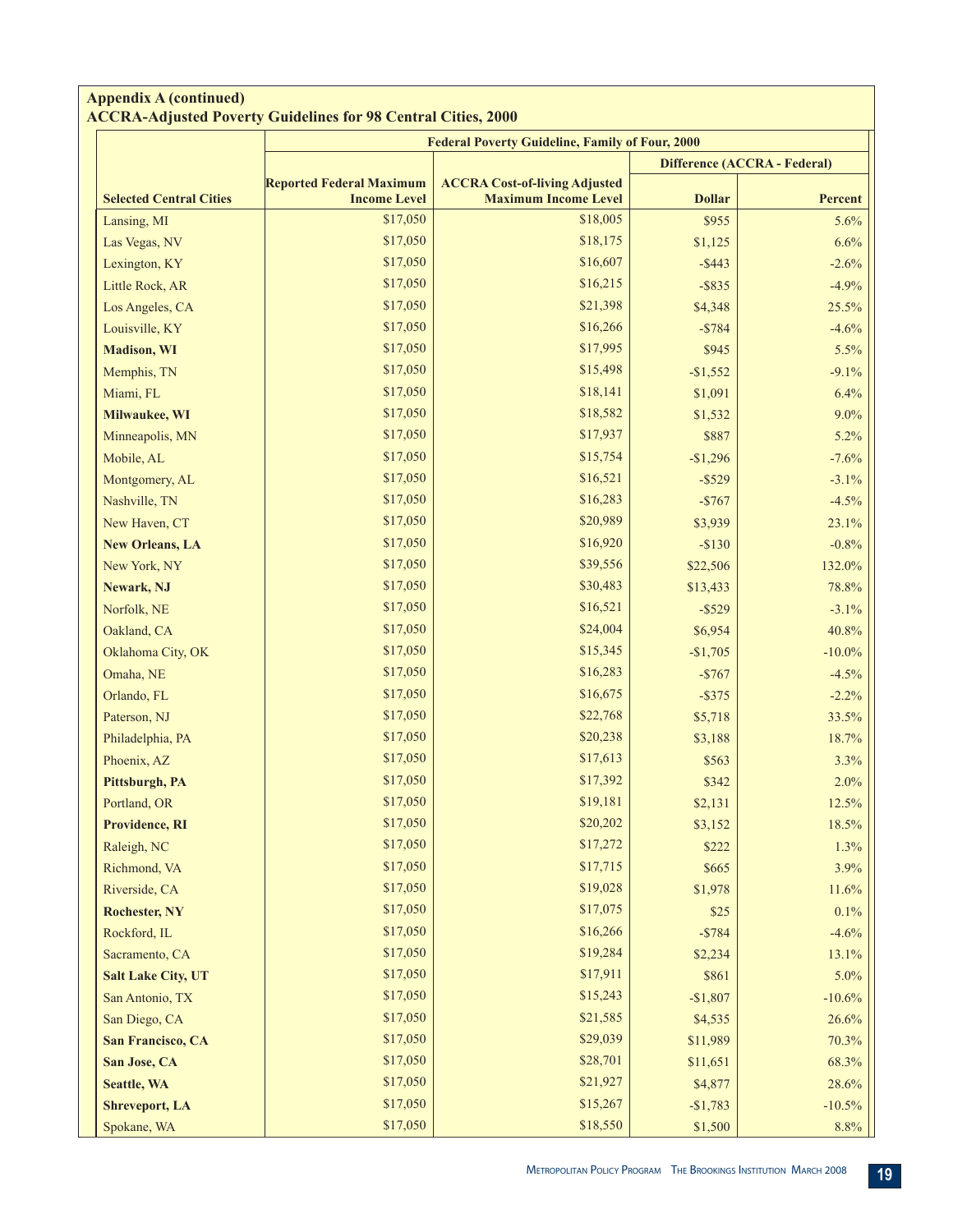#### **Appendix A (continued) ACCRA-Adjusted Poverty Guidelines for 98 Central Cities, 2000**

|                                | <b>Federal Poverty Guideline, Family of Four, 2000</b> |                                      |                              |           |  |  |  |  |
|--------------------------------|--------------------------------------------------------|--------------------------------------|------------------------------|-----------|--|--|--|--|
|                                |                                                        |                                      | Difference (ACCRA - Federal) |           |  |  |  |  |
|                                | <b>Reported Federal Maximum</b>                        | <b>ACCRA Cost-of-living Adjusted</b> |                              |           |  |  |  |  |
| <b>Selected Central Cities</b> | <b>Income Level</b>                                    | <b>Maximum Income Level</b>          | <b>Dollar</b>                | Percent   |  |  |  |  |
| Lansing, MI                    | \$17,050                                               | \$18,005                             | \$955                        | 5.6%      |  |  |  |  |
| Las Vegas, NV                  | \$17,050                                               | \$18,175                             | \$1,125                      | 6.6%      |  |  |  |  |
| Lexington, KY                  | \$17,050                                               | \$16,607                             | $-$ \$443                    | $-2.6%$   |  |  |  |  |
| Little Rock, AR                | \$17,050                                               | \$16,215                             | $-$ \$835                    | $-4.9%$   |  |  |  |  |
| Los Angeles, CA                | \$17,050                                               | \$21,398                             | \$4,348                      | 25.5%     |  |  |  |  |
| Louisville, KY                 | \$17,050                                               | \$16,266                             | $-$ \$784                    | $-4.6%$   |  |  |  |  |
| <b>Madison</b> , WI            | \$17,050                                               | \$17,995                             | \$945                        | 5.5%      |  |  |  |  |
| Memphis, TN                    | \$17,050                                               | \$15,498                             | $-$1,552$                    | $-9.1%$   |  |  |  |  |
| Miami, FL                      | \$17,050                                               | \$18,141                             | \$1,091                      | 6.4%      |  |  |  |  |
| Milwaukee, WI                  | \$17,050                                               | \$18,582                             | \$1,532                      | 9.0%      |  |  |  |  |
| Minneapolis, MN                | \$17,050                                               | \$17,937                             | \$887                        | 5.2%      |  |  |  |  |
| Mobile, AL                     | \$17,050                                               | \$15,754                             | $-$1,296$                    | $-7.6%$   |  |  |  |  |
| Montgomery, AL                 | \$17,050                                               | \$16,521                             | $-$ \$529                    | $-3.1%$   |  |  |  |  |
| Nashville, TN                  | \$17,050                                               | \$16,283                             | $-$767$                      | $-4.5%$   |  |  |  |  |
| New Haven, CT                  | \$17,050                                               | \$20,989                             | \$3,939                      | 23.1%     |  |  |  |  |
| <b>New Orleans, LA</b>         | \$17,050                                               | \$16,920                             | $-$130$                      | $-0.8%$   |  |  |  |  |
| New York, NY                   | \$17,050                                               | \$39,556                             | \$22,506                     | 132.0%    |  |  |  |  |
| Newark, NJ                     | \$17,050                                               | \$30,483                             | \$13,433                     | 78.8%     |  |  |  |  |
| Norfolk, NE                    | \$17,050                                               | \$16,521                             | $-$ \$529                    | $-3.1%$   |  |  |  |  |
| Oakland, CA                    | \$17,050                                               | \$24,004                             | \$6,954                      | 40.8%     |  |  |  |  |
| Oklahoma City, OK              | \$17,050                                               | \$15,345                             | $-$1,705$                    | $-10.0\%$ |  |  |  |  |
| Omaha, NE                      | \$17,050                                               | \$16,283                             | $-$767$                      | $-4.5%$   |  |  |  |  |
| Orlando, FL                    | \$17,050                                               | \$16,675                             | $-$ \$375                    | $-2.2%$   |  |  |  |  |
| Paterson, NJ                   | \$17,050                                               | \$22,768                             | \$5,718                      | 33.5%     |  |  |  |  |
| Philadelphia, PA               | \$17,050                                               | \$20,238                             | \$3,188                      | 18.7%     |  |  |  |  |
| Phoenix, AZ                    | \$17,050                                               | \$17,613                             | \$563                        | 3.3%      |  |  |  |  |
| Pittsburgh, PA                 | \$17,050                                               | \$17,392                             | \$342                        | 2.0%      |  |  |  |  |
| Portland, OR                   | \$17,050                                               | \$19,181                             | \$2,131                      | 12.5%     |  |  |  |  |
| Providence, RI                 | \$17,050                                               | \$20,202                             | \$3,152                      | 18.5%     |  |  |  |  |
| Raleigh, NC                    | \$17,050                                               | \$17,272                             | \$222                        | 1.3%      |  |  |  |  |
| Richmond, VA                   | \$17,050                                               | \$17,715                             | \$665                        | 3.9%      |  |  |  |  |
| Riverside, CA                  | \$17,050                                               | \$19,028                             | \$1,978                      | 11.6%     |  |  |  |  |
| <b>Rochester, NY</b>           | \$17,050                                               | \$17,075                             | \$25                         | 0.1%      |  |  |  |  |
| Rockford, IL                   | \$17,050                                               | \$16,266                             | $-$ \$784                    | $-4.6%$   |  |  |  |  |
| Sacramento, CA                 | \$17,050                                               | \$19,284                             | \$2,234                      | 13.1%     |  |  |  |  |
| <b>Salt Lake City, UT</b>      | \$17,050                                               | \$17,911                             | \$861                        | 5.0%      |  |  |  |  |
| San Antonio, TX                | \$17,050                                               | \$15,243                             | $-$1,807$                    | $-10.6%$  |  |  |  |  |
| San Diego, CA                  | \$17,050                                               | \$21,585                             | \$4,535                      | 26.6%     |  |  |  |  |
| San Francisco, CA              | \$17,050                                               | \$29,039                             | \$11,989                     | 70.3%     |  |  |  |  |
| San Jose, CA                   | \$17,050                                               | \$28,701                             | \$11,651                     | 68.3%     |  |  |  |  |
| <b>Seattle, WA</b>             | \$17,050                                               | \$21,927                             | \$4,877                      | 28.6%     |  |  |  |  |
| <b>Shreveport, LA</b>          | \$17,050                                               | \$15,267                             | $-$1,783$                    | $-10.5%$  |  |  |  |  |
| Spokane, WA                    | \$17,050                                               | \$18,550                             | \$1,500                      | 8.8%      |  |  |  |  |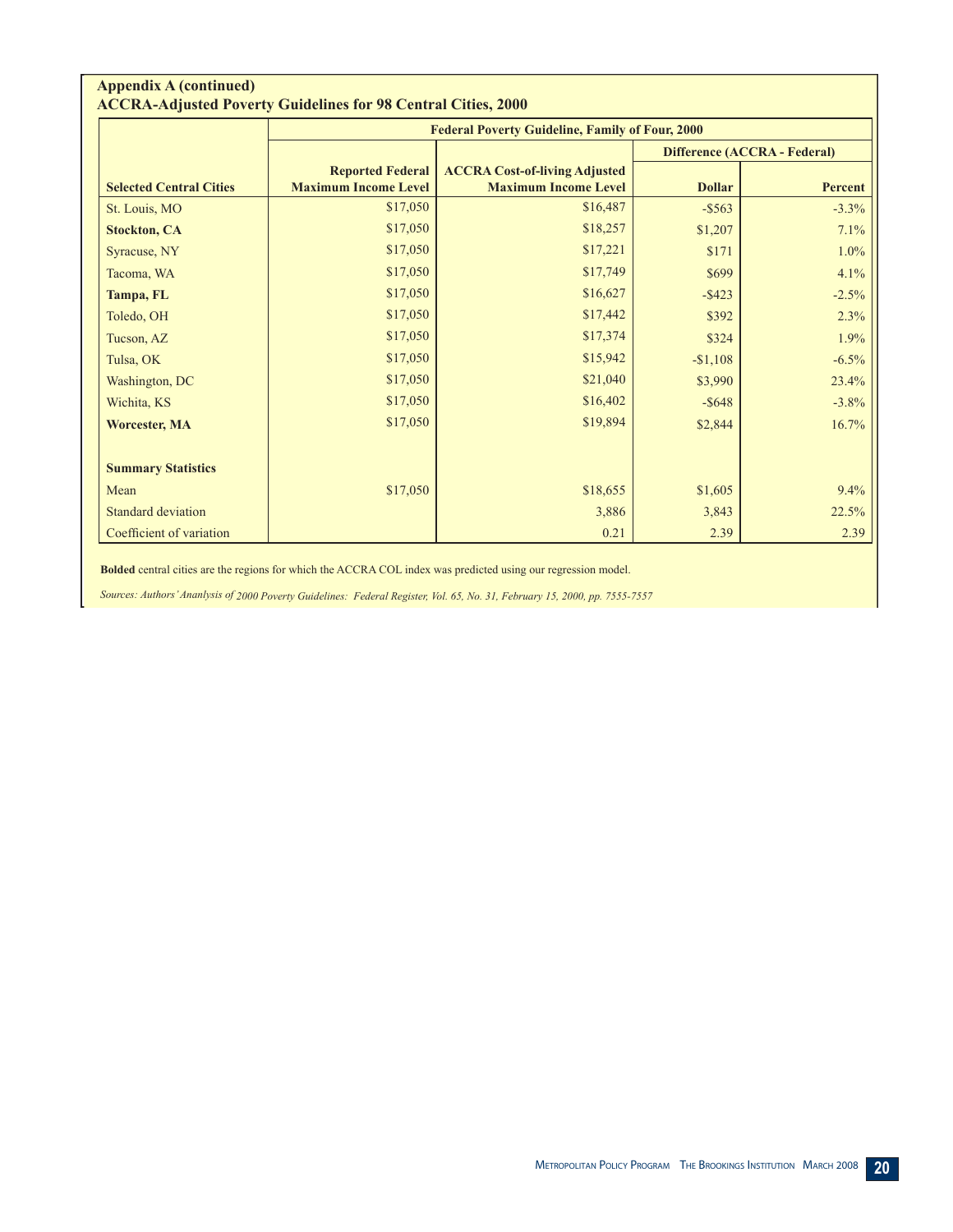#### **Appendix A (continued) ACCRA-Adjusted Poverty Guidelines for 98 Central Cities, 2000**

|                                |                                                        | <b>Federal Poverty Guideline, Family of Four, 2000</b>              |                                     |         |  |  |  |
|--------------------------------|--------------------------------------------------------|---------------------------------------------------------------------|-------------------------------------|---------|--|--|--|
|                                |                                                        |                                                                     | <b>Difference (ACCRA - Federal)</b> |         |  |  |  |
| <b>Selected Central Cities</b> | <b>Reported Federal</b><br><b>Maximum Income Level</b> | <b>ACCRA Cost-of-living Adjusted</b><br><b>Maximum Income Level</b> | <b>Dollar</b>                       | Percent |  |  |  |
| St. Louis, MO                  | \$17,050                                               | \$16,487                                                            | $-$ \$563                           | $-3.3%$ |  |  |  |
| <b>Stockton, CA</b>            | \$17,050                                               | \$18,257                                                            | \$1,207                             | 7.1%    |  |  |  |
| Syracuse, NY                   | \$17,050                                               | \$17,221                                                            | \$171                               | $1.0\%$ |  |  |  |
| Tacoma, WA                     | \$17,050                                               | \$17,749                                                            | \$699                               | 4.1%    |  |  |  |
| Tampa, FL                      | \$17,050                                               | \$16,627                                                            | $-$ \$423                           | $-2.5%$ |  |  |  |
| Toledo, OH                     | \$17,050                                               | \$17,442                                                            | \$392                               | 2.3%    |  |  |  |
| Tucson, AZ                     | \$17,050                                               | \$17,374                                                            | \$324                               | 1.9%    |  |  |  |
| Tulsa, OK                      | \$17,050                                               | \$15,942                                                            | $-$1,108$                           | $-6.5%$ |  |  |  |
| Washington, DC                 | \$17,050                                               | \$21,040                                                            | \$3,990                             | 23.4%   |  |  |  |
| Wichita, KS                    | \$17,050                                               | \$16,402                                                            | $-$ \$648                           | $-3.8%$ |  |  |  |
| <b>Worcester, MA</b>           | \$17,050                                               | \$19,894                                                            | \$2,844                             | 16.7%   |  |  |  |
| <b>Summary Statistics</b>      |                                                        |                                                                     |                                     |         |  |  |  |
| Mean                           | \$17,050                                               | \$18,655                                                            | \$1,605                             | 9.4%    |  |  |  |
| <b>Standard deviation</b>      |                                                        | 3,886                                                               | 3,843                               | 22.5%   |  |  |  |
| Coefficient of variation       |                                                        | 0.21                                                                | 2.39                                | 2.39    |  |  |  |

**Bolded** central cities are the regions for which the ACCRA COL index was predicted using our regression model.

*Sources: Authors' Ananlysis of 2000 Poverty Guidelines: Federal Register, Vol. 65, No. 31, February 15, 2000, pp. 7555-7557*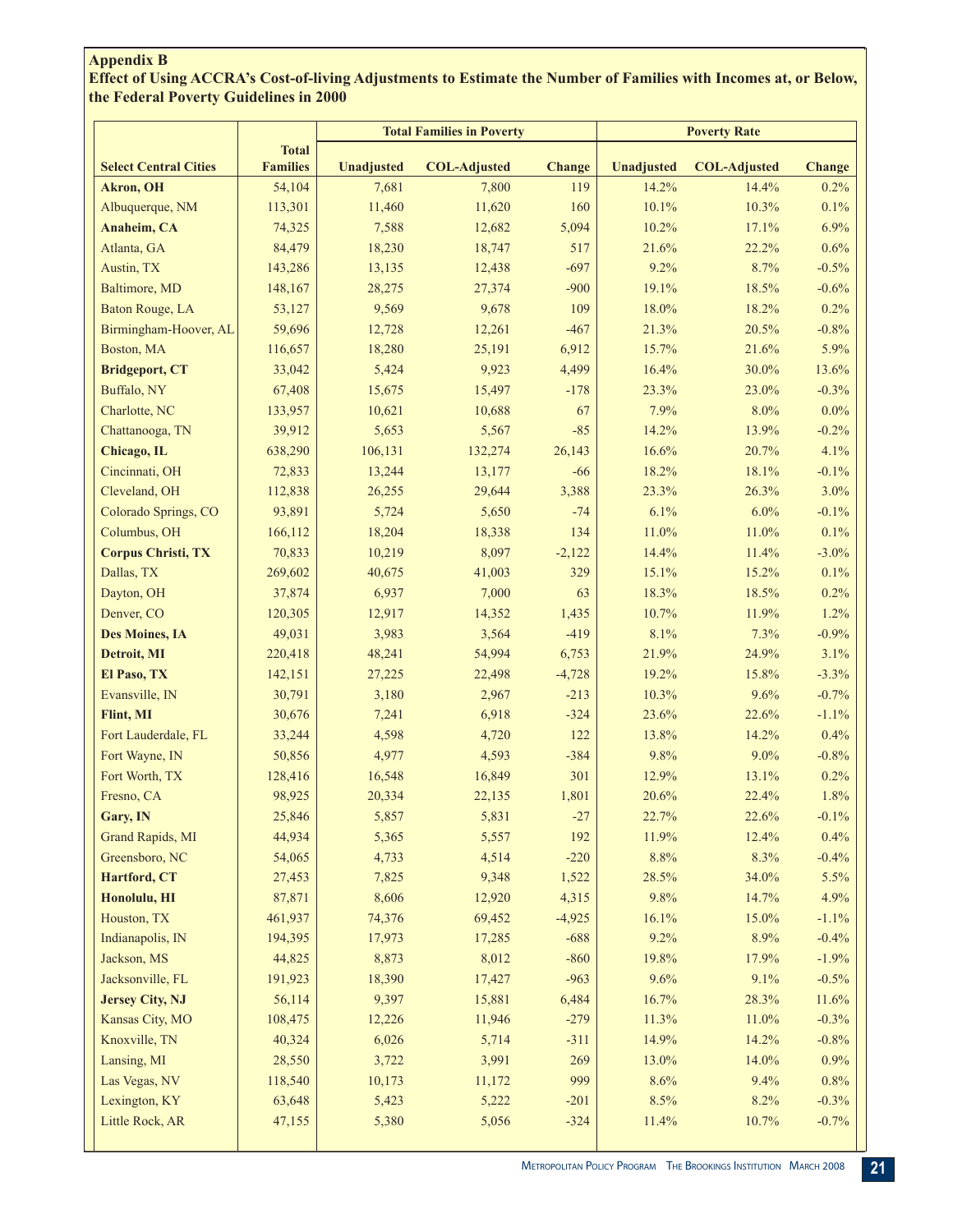# **Appendix B**

**Effect of Using ACCRA's Cost-of-living Adjustments to Estimate the Number of Families with Incomes at, or Below, the Federal Poverty Guidelines in 2000**

| <b>Total</b><br><b>Select Central Cities</b><br><b>Families</b><br>Change<br>Unadjusted<br><b>COL-Adjusted</b><br>Unadjusted<br><b>COL-Adjusted</b><br><b>Change</b><br>54,104<br>7,681<br>14.2%<br>14.4%<br>0.2%<br><b>Akron</b> , OH<br>7,800<br>119<br>Albuquerque, NM<br>11,620<br>10.1%<br>10.3%<br>0.1%<br>113,301<br>11,460<br>160<br>6.9%<br>Anaheim, CA<br>7,588<br>5,094<br>10.2%<br>17.1%<br>74,325<br>12,682<br>Atlanta, GA<br>84,479<br>18,230<br>517<br>21.6%<br>22.2%<br>0.6%<br>18,747<br>143,286<br>$-697$<br>9.2%<br>8.7%<br>$-0.5%$<br>Austin, TX<br>13,135<br>12,438<br>Baltimore, MD<br>148,167<br>$-900$<br>18.5%<br>$-0.6%$<br>28,275<br>27,374<br>19.1%<br>Baton Rouge, LA<br>53,127<br>9,569<br>9,678<br>109<br>18.0%<br>18.2%<br>0.2%<br>Birmingham-Hoover, AL<br>59,696<br>12,728<br>$-467$<br>21.3%<br>20.5%<br>$-0.8%$<br>12,261<br>5.9%<br>Boston, MA<br>116,657<br>18,280<br>25,191<br>6,912<br>15.7%<br>21.6%<br><b>Bridgeport, CT</b><br>33,042<br>5,424<br>9,923<br>4,499<br>16.4%<br>13.6%<br>30.0%<br>Buffalo, NY<br>67,408<br>15,675<br>15,497<br>$-178$<br>$-0.3%$<br>23.3%<br>23.0%<br>7.9%<br>$0.0\%$<br>Charlotte, NC<br>133,957<br>10,621<br>10,688<br>67<br>8.0%<br>Chattanooga, TN<br>39,912<br>5,653<br>$-85$<br>14.2%<br>13.9%<br>$-0.2%$<br>5,567<br>Chicago, IL<br>638,290<br>106,131<br>132,274<br>26,143<br>16.6%<br>20.7%<br>4.1%<br>Cincinnati, OH<br>72,833<br>13,244<br>13,177<br>18.2%<br>$-0.1%$<br>$-66$<br>18.1%<br>Cleveland, OH<br>112,838<br>3,388<br>23.3%<br>3.0%<br>26,255<br>29,644<br>26.3%<br>6.1%<br>Colorado Springs, CO<br>93,891<br>5,724<br>5,650<br>$-74$<br>6.0%<br>$-0.1%$<br>11.0%<br>0.1%<br>Columbus, OH<br>166,112<br>18,204<br>134<br>11.0%<br>18,338<br><b>Corpus Christi, TX</b><br>70,833<br>10,219<br>8,097<br>14.4%<br>$-3.0\%$<br>$-2,122$<br>11.4%<br>Dallas, TX<br>269,602<br>41,003<br>329<br>15.1%<br>15.2%<br>0.1%<br>40,675<br>Dayton, OH<br>37,874<br>6,937<br>7,000<br>63<br>18.3%<br>0.2%<br>18.5%<br>Denver, CO<br>120,305<br>12,917<br>1,435<br>10.7%<br>1.2%<br>14,352<br>11.9% |
|-----------------------------------------------------------------------------------------------------------------------------------------------------------------------------------------------------------------------------------------------------------------------------------------------------------------------------------------------------------------------------------------------------------------------------------------------------------------------------------------------------------------------------------------------------------------------------------------------------------------------------------------------------------------------------------------------------------------------------------------------------------------------------------------------------------------------------------------------------------------------------------------------------------------------------------------------------------------------------------------------------------------------------------------------------------------------------------------------------------------------------------------------------------------------------------------------------------------------------------------------------------------------------------------------------------------------------------------------------------------------------------------------------------------------------------------------------------------------------------------------------------------------------------------------------------------------------------------------------------------------------------------------------------------------------------------------------------------------------------------------------------------------------------------------------------------------------------------------------------------------------------------------------------------------------------------------------------------------------------------------------------------------------------------------------------------------------------|
|                                                                                                                                                                                                                                                                                                                                                                                                                                                                                                                                                                                                                                                                                                                                                                                                                                                                                                                                                                                                                                                                                                                                                                                                                                                                                                                                                                                                                                                                                                                                                                                                                                                                                                                                                                                                                                                                                                                                                                                                                                                                                   |
|                                                                                                                                                                                                                                                                                                                                                                                                                                                                                                                                                                                                                                                                                                                                                                                                                                                                                                                                                                                                                                                                                                                                                                                                                                                                                                                                                                                                                                                                                                                                                                                                                                                                                                                                                                                                                                                                                                                                                                                                                                                                                   |
|                                                                                                                                                                                                                                                                                                                                                                                                                                                                                                                                                                                                                                                                                                                                                                                                                                                                                                                                                                                                                                                                                                                                                                                                                                                                                                                                                                                                                                                                                                                                                                                                                                                                                                                                                                                                                                                                                                                                                                                                                                                                                   |
|                                                                                                                                                                                                                                                                                                                                                                                                                                                                                                                                                                                                                                                                                                                                                                                                                                                                                                                                                                                                                                                                                                                                                                                                                                                                                                                                                                                                                                                                                                                                                                                                                                                                                                                                                                                                                                                                                                                                                                                                                                                                                   |
|                                                                                                                                                                                                                                                                                                                                                                                                                                                                                                                                                                                                                                                                                                                                                                                                                                                                                                                                                                                                                                                                                                                                                                                                                                                                                                                                                                                                                                                                                                                                                                                                                                                                                                                                                                                                                                                                                                                                                                                                                                                                                   |
|                                                                                                                                                                                                                                                                                                                                                                                                                                                                                                                                                                                                                                                                                                                                                                                                                                                                                                                                                                                                                                                                                                                                                                                                                                                                                                                                                                                                                                                                                                                                                                                                                                                                                                                                                                                                                                                                                                                                                                                                                                                                                   |
|                                                                                                                                                                                                                                                                                                                                                                                                                                                                                                                                                                                                                                                                                                                                                                                                                                                                                                                                                                                                                                                                                                                                                                                                                                                                                                                                                                                                                                                                                                                                                                                                                                                                                                                                                                                                                                                                                                                                                                                                                                                                                   |
|                                                                                                                                                                                                                                                                                                                                                                                                                                                                                                                                                                                                                                                                                                                                                                                                                                                                                                                                                                                                                                                                                                                                                                                                                                                                                                                                                                                                                                                                                                                                                                                                                                                                                                                                                                                                                                                                                                                                                                                                                                                                                   |
|                                                                                                                                                                                                                                                                                                                                                                                                                                                                                                                                                                                                                                                                                                                                                                                                                                                                                                                                                                                                                                                                                                                                                                                                                                                                                                                                                                                                                                                                                                                                                                                                                                                                                                                                                                                                                                                                                                                                                                                                                                                                                   |
|                                                                                                                                                                                                                                                                                                                                                                                                                                                                                                                                                                                                                                                                                                                                                                                                                                                                                                                                                                                                                                                                                                                                                                                                                                                                                                                                                                                                                                                                                                                                                                                                                                                                                                                                                                                                                                                                                                                                                                                                                                                                                   |
|                                                                                                                                                                                                                                                                                                                                                                                                                                                                                                                                                                                                                                                                                                                                                                                                                                                                                                                                                                                                                                                                                                                                                                                                                                                                                                                                                                                                                                                                                                                                                                                                                                                                                                                                                                                                                                                                                                                                                                                                                                                                                   |
|                                                                                                                                                                                                                                                                                                                                                                                                                                                                                                                                                                                                                                                                                                                                                                                                                                                                                                                                                                                                                                                                                                                                                                                                                                                                                                                                                                                                                                                                                                                                                                                                                                                                                                                                                                                                                                                                                                                                                                                                                                                                                   |
|                                                                                                                                                                                                                                                                                                                                                                                                                                                                                                                                                                                                                                                                                                                                                                                                                                                                                                                                                                                                                                                                                                                                                                                                                                                                                                                                                                                                                                                                                                                                                                                                                                                                                                                                                                                                                                                                                                                                                                                                                                                                                   |
|                                                                                                                                                                                                                                                                                                                                                                                                                                                                                                                                                                                                                                                                                                                                                                                                                                                                                                                                                                                                                                                                                                                                                                                                                                                                                                                                                                                                                                                                                                                                                                                                                                                                                                                                                                                                                                                                                                                                                                                                                                                                                   |
|                                                                                                                                                                                                                                                                                                                                                                                                                                                                                                                                                                                                                                                                                                                                                                                                                                                                                                                                                                                                                                                                                                                                                                                                                                                                                                                                                                                                                                                                                                                                                                                                                                                                                                                                                                                                                                                                                                                                                                                                                                                                                   |
|                                                                                                                                                                                                                                                                                                                                                                                                                                                                                                                                                                                                                                                                                                                                                                                                                                                                                                                                                                                                                                                                                                                                                                                                                                                                                                                                                                                                                                                                                                                                                                                                                                                                                                                                                                                                                                                                                                                                                                                                                                                                                   |
|                                                                                                                                                                                                                                                                                                                                                                                                                                                                                                                                                                                                                                                                                                                                                                                                                                                                                                                                                                                                                                                                                                                                                                                                                                                                                                                                                                                                                                                                                                                                                                                                                                                                                                                                                                                                                                                                                                                                                                                                                                                                                   |
|                                                                                                                                                                                                                                                                                                                                                                                                                                                                                                                                                                                                                                                                                                                                                                                                                                                                                                                                                                                                                                                                                                                                                                                                                                                                                                                                                                                                                                                                                                                                                                                                                                                                                                                                                                                                                                                                                                                                                                                                                                                                                   |
|                                                                                                                                                                                                                                                                                                                                                                                                                                                                                                                                                                                                                                                                                                                                                                                                                                                                                                                                                                                                                                                                                                                                                                                                                                                                                                                                                                                                                                                                                                                                                                                                                                                                                                                                                                                                                                                                                                                                                                                                                                                                                   |
|                                                                                                                                                                                                                                                                                                                                                                                                                                                                                                                                                                                                                                                                                                                                                                                                                                                                                                                                                                                                                                                                                                                                                                                                                                                                                                                                                                                                                                                                                                                                                                                                                                                                                                                                                                                                                                                                                                                                                                                                                                                                                   |
|                                                                                                                                                                                                                                                                                                                                                                                                                                                                                                                                                                                                                                                                                                                                                                                                                                                                                                                                                                                                                                                                                                                                                                                                                                                                                                                                                                                                                                                                                                                                                                                                                                                                                                                                                                                                                                                                                                                                                                                                                                                                                   |
|                                                                                                                                                                                                                                                                                                                                                                                                                                                                                                                                                                                                                                                                                                                                                                                                                                                                                                                                                                                                                                                                                                                                                                                                                                                                                                                                                                                                                                                                                                                                                                                                                                                                                                                                                                                                                                                                                                                                                                                                                                                                                   |
|                                                                                                                                                                                                                                                                                                                                                                                                                                                                                                                                                                                                                                                                                                                                                                                                                                                                                                                                                                                                                                                                                                                                                                                                                                                                                                                                                                                                                                                                                                                                                                                                                                                                                                                                                                                                                                                                                                                                                                                                                                                                                   |
|                                                                                                                                                                                                                                                                                                                                                                                                                                                                                                                                                                                                                                                                                                                                                                                                                                                                                                                                                                                                                                                                                                                                                                                                                                                                                                                                                                                                                                                                                                                                                                                                                                                                                                                                                                                                                                                                                                                                                                                                                                                                                   |
| $-419$<br>8.1%<br>$-0.9%$<br><b>Des Moines, IA</b><br>49,031<br>3,983<br>3,564<br>7.3%                                                                                                                                                                                                                                                                                                                                                                                                                                                                                                                                                                                                                                                                                                                                                                                                                                                                                                                                                                                                                                                                                                                                                                                                                                                                                                                                                                                                                                                                                                                                                                                                                                                                                                                                                                                                                                                                                                                                                                                            |
| 21.9%<br>Detroit, MI<br>48,241<br>54,994<br>6,753<br>24.9%<br>3.1%<br>220,418                                                                                                                                                                                                                                                                                                                                                                                                                                                                                                                                                                                                                                                                                                                                                                                                                                                                                                                                                                                                                                                                                                                                                                                                                                                                                                                                                                                                                                                                                                                                                                                                                                                                                                                                                                                                                                                                                                                                                                                                     |
| El Paso, TX<br>19.2%<br>15.8%<br>$-3.3%$<br>142,151<br>27,225<br>22,498<br>$-4,728$                                                                                                                                                                                                                                                                                                                                                                                                                                                                                                                                                                                                                                                                                                                                                                                                                                                                                                                                                                                                                                                                                                                                                                                                                                                                                                                                                                                                                                                                                                                                                                                                                                                                                                                                                                                                                                                                                                                                                                                               |
| Evansville, IN<br>30,791<br>3,180<br>$-213$<br>10.3%<br>9.6%<br>$-0.7%$<br>2,967                                                                                                                                                                                                                                                                                                                                                                                                                                                                                                                                                                                                                                                                                                                                                                                                                                                                                                                                                                                                                                                                                                                                                                                                                                                                                                                                                                                                                                                                                                                                                                                                                                                                                                                                                                                                                                                                                                                                                                                                  |
| Flint, MI<br>6,918<br>$-324$<br>23.6%<br>$-1.1%$<br>30,676<br>7,241<br>22.6%                                                                                                                                                                                                                                                                                                                                                                                                                                                                                                                                                                                                                                                                                                                                                                                                                                                                                                                                                                                                                                                                                                                                                                                                                                                                                                                                                                                                                                                                                                                                                                                                                                                                                                                                                                                                                                                                                                                                                                                                      |
| Fort Lauderdale, FL<br>33,244<br>122<br>13.8%<br>0.4%<br>4,598<br>4,720<br>14.2%                                                                                                                                                                                                                                                                                                                                                                                                                                                                                                                                                                                                                                                                                                                                                                                                                                                                                                                                                                                                                                                                                                                                                                                                                                                                                                                                                                                                                                                                                                                                                                                                                                                                                                                                                                                                                                                                                                                                                                                                  |
| 9.8%<br>Fort Wayne, IN<br>50,856<br>4,977<br>4,593<br>$-384$<br>9.0%<br>$-0.8%$                                                                                                                                                                                                                                                                                                                                                                                                                                                                                                                                                                                                                                                                                                                                                                                                                                                                                                                                                                                                                                                                                                                                                                                                                                                                                                                                                                                                                                                                                                                                                                                                                                                                                                                                                                                                                                                                                                                                                                                                   |
| Fort Worth, TX<br>128,416<br>16,548<br>16,849<br>301<br>12.9%<br>13.1%<br>0.2%                                                                                                                                                                                                                                                                                                                                                                                                                                                                                                                                                                                                                                                                                                                                                                                                                                                                                                                                                                                                                                                                                                                                                                                                                                                                                                                                                                                                                                                                                                                                                                                                                                                                                                                                                                                                                                                                                                                                                                                                    |
| 98,925<br>Fresno, CA<br>20,334<br>1,801<br>20.6%<br>22.4%<br>1.8%<br>22,135                                                                                                                                                                                                                                                                                                                                                                                                                                                                                                                                                                                                                                                                                                                                                                                                                                                                                                                                                                                                                                                                                                                                                                                                                                                                                                                                                                                                                                                                                                                                                                                                                                                                                                                                                                                                                                                                                                                                                                                                       |
| 25,846<br>5,831<br>$-27$<br>22.7%<br>$-0.1%$<br>5,857<br>22.6%<br>Gary, IN                                                                                                                                                                                                                                                                                                                                                                                                                                                                                                                                                                                                                                                                                                                                                                                                                                                                                                                                                                                                                                                                                                                                                                                                                                                                                                                                                                                                                                                                                                                                                                                                                                                                                                                                                                                                                                                                                                                                                                                                        |
| Grand Rapids, MI<br>44,934<br>5,365<br>192<br>11.9%<br>12.4%<br>0.4%<br>5,557                                                                                                                                                                                                                                                                                                                                                                                                                                                                                                                                                                                                                                                                                                                                                                                                                                                                                                                                                                                                                                                                                                                                                                                                                                                                                                                                                                                                                                                                                                                                                                                                                                                                                                                                                                                                                                                                                                                                                                                                     |
| Greensboro, NC<br>54,065<br>4,733<br>4,514<br>$-220$<br>8.8%<br>8.3%<br>$-0.4%$                                                                                                                                                                                                                                                                                                                                                                                                                                                                                                                                                                                                                                                                                                                                                                                                                                                                                                                                                                                                                                                                                                                                                                                                                                                                                                                                                                                                                                                                                                                                                                                                                                                                                                                                                                                                                                                                                                                                                                                                   |
| Hartford, CT<br>7,825<br>9,348<br>1,522<br>28.5%<br>34.0%<br>5.5%<br>27,453                                                                                                                                                                                                                                                                                                                                                                                                                                                                                                                                                                                                                                                                                                                                                                                                                                                                                                                                                                                                                                                                                                                                                                                                                                                                                                                                                                                                                                                                                                                                                                                                                                                                                                                                                                                                                                                                                                                                                                                                       |
| Honolulu, HI<br>87,871<br>8,606<br>4,315<br>9.8%<br>4.9%<br>12,920<br>14.7%                                                                                                                                                                                                                                                                                                                                                                                                                                                                                                                                                                                                                                                                                                                                                                                                                                                                                                                                                                                                                                                                                                                                                                                                                                                                                                                                                                                                                                                                                                                                                                                                                                                                                                                                                                                                                                                                                                                                                                                                       |
| Houston, TX<br>461,937<br>74,376<br>69,452<br>$-4,925$<br>16.1%<br>$-1.1%$<br>15.0%                                                                                                                                                                                                                                                                                                                                                                                                                                                                                                                                                                                                                                                                                                                                                                                                                                                                                                                                                                                                                                                                                                                                                                                                                                                                                                                                                                                                                                                                                                                                                                                                                                                                                                                                                                                                                                                                                                                                                                                               |
| Indianapolis, IN<br>17,973<br>$-688$<br>9.2%<br>$-0.4%$<br>194,395<br>17,285<br>8.9%                                                                                                                                                                                                                                                                                                                                                                                                                                                                                                                                                                                                                                                                                                                                                                                                                                                                                                                                                                                                                                                                                                                                                                                                                                                                                                                                                                                                                                                                                                                                                                                                                                                                                                                                                                                                                                                                                                                                                                                              |
| Jackson, MS<br>44,825<br>8,873<br>8,012<br>$-1.9%$<br>$-860$<br>19.8%<br>17.9%                                                                                                                                                                                                                                                                                                                                                                                                                                                                                                                                                                                                                                                                                                                                                                                                                                                                                                                                                                                                                                                                                                                                                                                                                                                                                                                                                                                                                                                                                                                                                                                                                                                                                                                                                                                                                                                                                                                                                                                                    |
| Jacksonville, FL<br>191,923<br>18,390<br>17,427<br>$-963$<br>9.6%<br>9.1%<br>$-0.5%$                                                                                                                                                                                                                                                                                                                                                                                                                                                                                                                                                                                                                                                                                                                                                                                                                                                                                                                                                                                                                                                                                                                                                                                                                                                                                                                                                                                                                                                                                                                                                                                                                                                                                                                                                                                                                                                                                                                                                                                              |
| <b>Jersey City, NJ</b><br>56,114<br>9,397<br>6,484<br>16.7%<br>11.6%<br>15,881<br>28.3%                                                                                                                                                                                                                                                                                                                                                                                                                                                                                                                                                                                                                                                                                                                                                                                                                                                                                                                                                                                                                                                                                                                                                                                                                                                                                                                                                                                                                                                                                                                                                                                                                                                                                                                                                                                                                                                                                                                                                                                           |
| Kansas City, MO<br>$-279$<br>$-0.3%$<br>108,475<br>12,226<br>11,946<br>11.3%<br>11.0%                                                                                                                                                                                                                                                                                                                                                                                                                                                                                                                                                                                                                                                                                                                                                                                                                                                                                                                                                                                                                                                                                                                                                                                                                                                                                                                                                                                                                                                                                                                                                                                                                                                                                                                                                                                                                                                                                                                                                                                             |
| Knoxville, TN<br>6,026<br>$-311$<br>14.9%<br>$-0.8%$<br>40,324<br>5,714<br>14.2%                                                                                                                                                                                                                                                                                                                                                                                                                                                                                                                                                                                                                                                                                                                                                                                                                                                                                                                                                                                                                                                                                                                                                                                                                                                                                                                                                                                                                                                                                                                                                                                                                                                                                                                                                                                                                                                                                                                                                                                                  |
| 269<br>0.9%<br>Lansing, MI<br>28,550<br>3,722<br>3,991<br>13.0%<br>14.0%                                                                                                                                                                                                                                                                                                                                                                                                                                                                                                                                                                                                                                                                                                                                                                                                                                                                                                                                                                                                                                                                                                                                                                                                                                                                                                                                                                                                                                                                                                                                                                                                                                                                                                                                                                                                                                                                                                                                                                                                          |
| 999<br>118,540<br>8.6%<br>$0.8\%$<br>Las Vegas, NV<br>10,173<br>11,172<br>9.4%                                                                                                                                                                                                                                                                                                                                                                                                                                                                                                                                                                                                                                                                                                                                                                                                                                                                                                                                                                                                                                                                                                                                                                                                                                                                                                                                                                                                                                                                                                                                                                                                                                                                                                                                                                                                                                                                                                                                                                                                    |
| 63,648<br>5,222<br>$-201$<br>8.5%<br>$-0.3%$<br>Lexington, KY<br>5,423<br>8.2%                                                                                                                                                                                                                                                                                                                                                                                                                                                                                                                                                                                                                                                                                                                                                                                                                                                                                                                                                                                                                                                                                                                                                                                                                                                                                                                                                                                                                                                                                                                                                                                                                                                                                                                                                                                                                                                                                                                                                                                                    |
| $-0.7%$<br>Little Rock, AR<br>47,155<br>5,380<br>5,056<br>$-324$<br>11.4%<br>10.7%                                                                                                                                                                                                                                                                                                                                                                                                                                                                                                                                                                                                                                                                                                                                                                                                                                                                                                                                                                                                                                                                                                                                                                                                                                                                                                                                                                                                                                                                                                                                                                                                                                                                                                                                                                                                                                                                                                                                                                                                |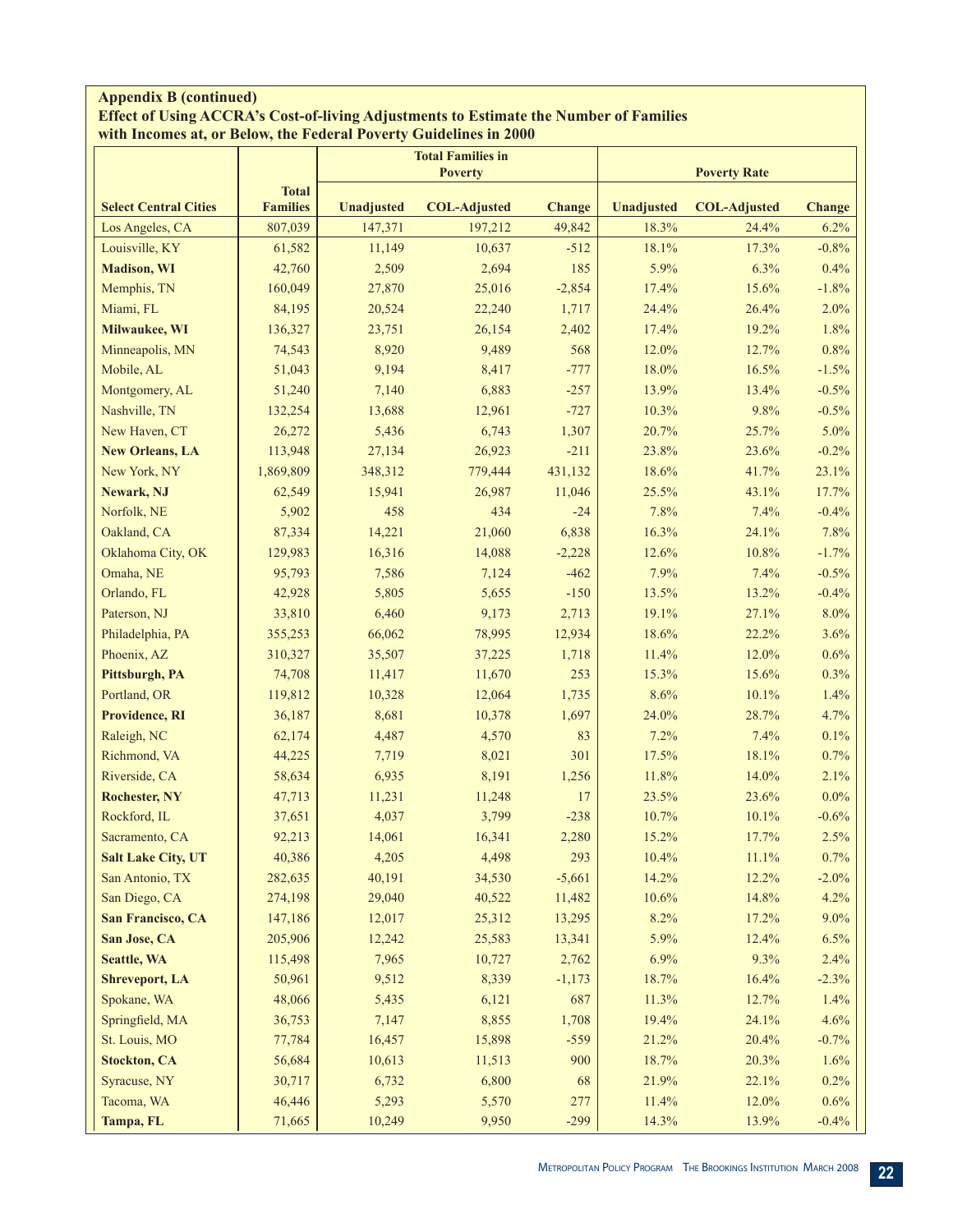#### **Appendix B (continued) Effect of Using ACCRA's Cost-of-living Adjustments to Estimate the Number of Families with Incomes at, or Below, the Federal Poverty Guidelines in 2000**

|                              |                 |            | <b>Total Families in</b> |               |                   |                     |               |
|------------------------------|-----------------|------------|--------------------------|---------------|-------------------|---------------------|---------------|
|                              | <b>Total</b>    |            | <b>Poverty</b>           |               |                   | <b>Poverty Rate</b> |               |
| <b>Select Central Cities</b> | <b>Families</b> | Unadjusted | <b>COL-Adjusted</b>      | <b>Change</b> | <b>Unadjusted</b> | <b>COL-Adjusted</b> | <b>Change</b> |
| Los Angeles, CA              | 807,039         | 147,371    | 197,212                  | 49,842        | 18.3%             | 24.4%               | 6.2%          |
| Louisville, KY               | 61,582          | 11,149     | 10,637                   | $-512$        | 18.1%             | 17.3%               | $-0.8%$       |
| <b>Madison</b> , WI          | 42,760          | 2,509      | 2,694                    | 185           | 5.9%              | 6.3%                | 0.4%          |
| Memphis, TN                  | 160,049         | 27,870     | 25,016                   | $-2,854$      | 17.4%             | 15.6%               | $-1.8%$       |
| Miami, FL                    | 84,195          | 20,524     | 22,240                   | 1,717         | 24.4%             | 26.4%               | 2.0%          |
| Milwaukee, WI                | 136,327         | 23,751     | 26,154                   | 2,402         | 17.4%             | 19.2%               | 1.8%          |
| Minneapolis, MN              | 74,543          | 8,920      | 9,489                    | 568           | 12.0%             | 12.7%               | 0.8%          |
| Mobile, AL                   | 51,043          | 9,194      | 8,417                    | $-777$        | 18.0%             | 16.5%               | $-1.5%$       |
| Montgomery, AL               | 51,240          | 7,140      | 6,883                    | $-257$        | 13.9%             | 13.4%               | $-0.5%$       |
| Nashville, TN                | 132,254         | 13,688     | 12,961                   | $-727$        | 10.3%             | 9.8%                | $-0.5%$       |
| New Haven, CT                | 26,272          | 5,436      | 6,743                    | 1,307         | 20.7%             | 25.7%               | 5.0%          |
| <b>New Orleans, LA</b>       | 113,948         | 27,134     | 26,923                   | $-211$        | 23.8%             | 23.6%               | $-0.2%$       |
| New York, NY                 | 1,869,809       | 348,312    | 779,444                  | 431,132       | 18.6%             | 41.7%               | 23.1%         |
| Newark, NJ                   | 62,549          | 15,941     | 26,987                   | 11,046        | 25.5%             | 43.1%               | 17.7%         |
| Norfolk, NE                  | 5,902           | 458        | 434                      | $-24$         | 7.8%              | 7.4%                | $-0.4%$       |
| Oakland, CA                  | 87,334          | 14,221     | 21,060                   | 6,838         | 16.3%             | 24.1%               | 7.8%          |
| Oklahoma City, OK            | 129,983         | 16,316     | 14,088                   | $-2,228$      | 12.6%             | 10.8%               | $-1.7%$       |
| Omaha, NE                    | 95,793          | 7,586      | 7,124                    | $-462$        | 7.9%              | 7.4%                | $-0.5%$       |
| Orlando, FL                  | 42,928          | 5,805      | 5,655                    | $-150$        | 13.5%             | 13.2%               | $-0.4%$       |
| Paterson, NJ                 | 33,810          | 6,460      | 9,173                    | 2,713         | 19.1%             | 27.1%               | 8.0%          |
| Philadelphia, PA             | 355,253         | 66,062     | 78,995                   | 12,934        | 18.6%             | 22.2%               | 3.6%          |
| Phoenix, AZ                  | 310,327         | 35,507     | 37,225                   | 1,718         | 11.4%             | 12.0%               | 0.6%          |
| Pittsburgh, PA               | 74,708          | 11,417     | 11,670                   | 253           | 15.3%             | 15.6%               | 0.3%          |
| Portland, OR                 | 119,812         | 10,328     | 12,064                   | 1,735         | 8.6%              | 10.1%               | 1.4%          |
| Providence, RI               | 36,187          | 8,681      | 10,378                   | 1,697         | 24.0%             | 28.7%               | 4.7%          |
| Raleigh, NC                  | 62,174          | 4,487      | 4,570                    | 83            | 7.2%              | 7.4%                | 0.1%          |
| Richmond, VA                 | 44,225          | 7,719      | 8,021                    | 301           | 17.5%             | 18.1%               | 0.7%          |
| Riverside, CA                | 58,634          | 6,935      | 8,191                    | 1,256         | 11.8%             | 14.0%               | 2.1%          |
| <b>Rochester, NY</b>         | 47,713          | 11,231     | 11,248                   | 17            | 23.5%             | 23.6%               | $0.0\%$       |
| Rockford, IL                 | 37,651          | 4,037      | 3,799                    | $-238$        | 10.7%             | 10.1%               | $-0.6%$       |
| Sacramento, CA               | 92,213          | 14,061     | 16,341                   | 2,280         | 15.2%             | 17.7%               | 2.5%          |
| <b>Salt Lake City, UT</b>    | 40,386          | 4,205      | 4,498                    | 293           | 10.4%             | 11.1%               | 0.7%          |
| San Antonio, TX              | 282,635         | 40,191     | 34,530                   | $-5,661$      | 14.2%             | 12.2%               | $-2.0%$       |
| San Diego, CA                | 274,198         | 29,040     | 40,522                   | 11,482        | 10.6%             | 14.8%               | 4.2%          |
| San Francisco, CA            | 147,186         | 12,017     | 25,312                   | 13,295        | 8.2%              | 17.2%               | $9.0\%$       |
| San Jose, CA                 | 205,906         | 12,242     | 25,583                   | 13,341        | 5.9%              | 12.4%               | 6.5%          |
| <b>Seattle, WA</b>           | 115,498         | 7,965      | 10,727                   | 2,762         | 6.9%              | 9.3%                | 2.4%          |
| <b>Shreveport, LA</b>        | 50,961          | 9,512      | 8,339                    | $-1,173$      | 18.7%             | 16.4%               | $-2.3%$       |
| Spokane, WA                  | 48,066          | 5,435      | 6,121                    | 687           | 11.3%             | 12.7%               | 1.4%          |
| Springfield, MA              | 36,753          | 7,147      | 8,855                    | 1,708         | 19.4%             | 24.1%               | 4.6%          |
| St. Louis, MO                | 77,784          | 16,457     | 15,898                   | $-559$        | 21.2%             | 20.4%               | $-0.7%$       |
| <b>Stockton, CA</b>          | 56,684          | 10,613     | 11,513                   | 900           | 18.7%             | 20.3%               | 1.6%          |
| Syracuse, NY                 | 30,717          | 6,732      | 6,800                    | 68            | 21.9%             | 22.1%               | 0.2%          |
| Tacoma, WA                   | 46,446          | 5,293      | 5,570                    | 277           | 11.4%             | 12.0%               | $0.6\%$       |
|                              |                 |            |                          |               |                   |                     |               |
| Tampa, FL                    | 71,665          | 10,249     | 9,950                    | $-299$        | 14.3%             | 13.9%               | $-0.4\%$      |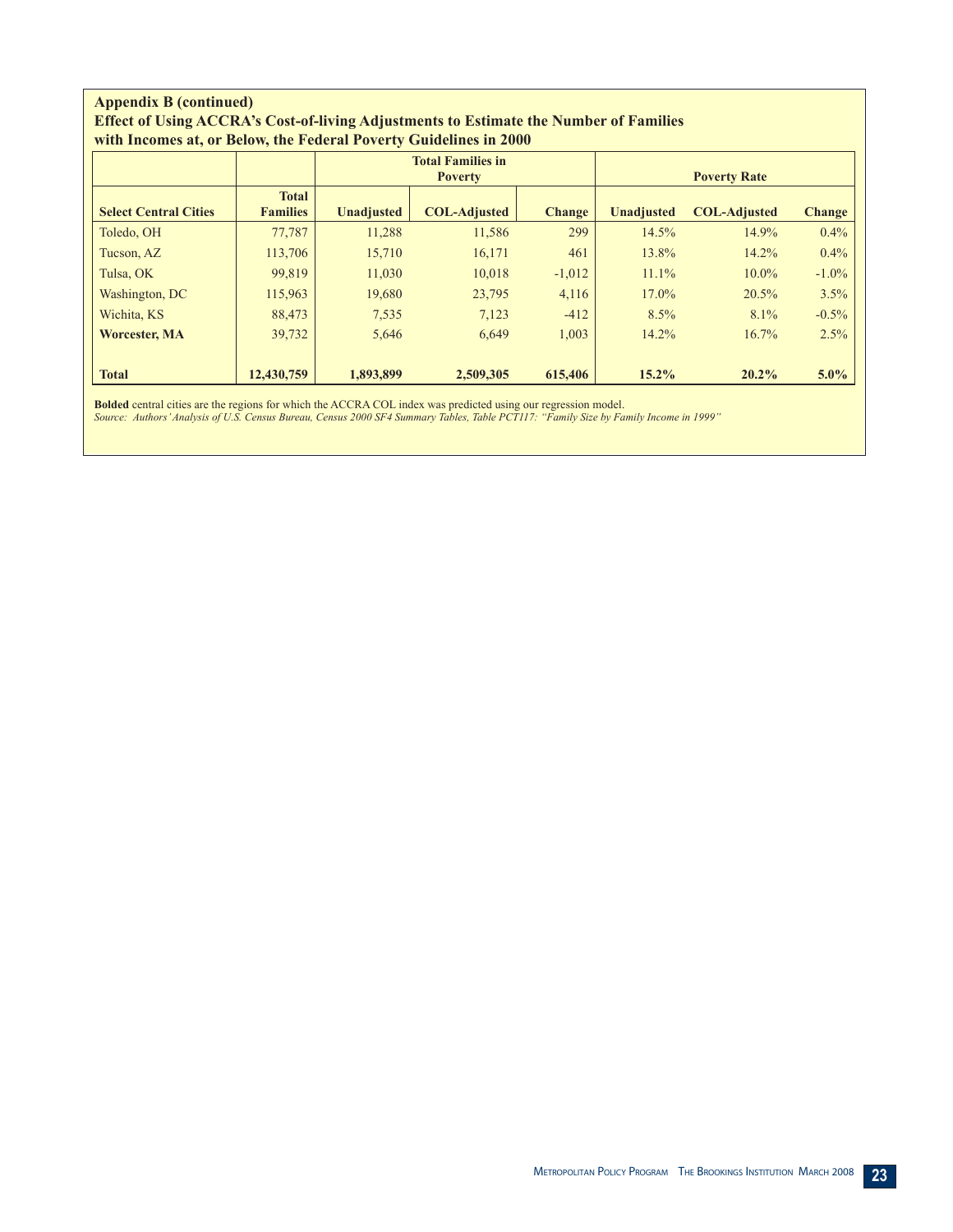#### **Appendix B (continued) Effect of Using ACCRA's Cost-of-living Adjustments to Estimate the Number of Families with Incomes at, or Below, the Federal Poverty Guidelines in 2000**

|                              |                                 |                   | <b>Total Families in</b><br><b>Poverty</b> |               | <b>Poverty Rate</b> |                     |               |  |
|------------------------------|---------------------------------|-------------------|--------------------------------------------|---------------|---------------------|---------------------|---------------|--|
| <b>Select Central Cities</b> | <b>Total</b><br><b>Families</b> | <b>Unadjusted</b> | <b>COL-Adjusted</b>                        | <b>Change</b> | <b>Unadjusted</b>   | <b>COL-Adjusted</b> | <b>Change</b> |  |
| Toledo, OH                   | 77,787                          | 11,288            | 11,586                                     | 299           | 14.5%               | 14.9%               | $0.4\%$       |  |
| Tucson, AZ                   | 113,706                         | 15,710            | 16,171                                     | 461           | 13.8%               | 14.2%               | $0.4\%$       |  |
| Tulsa, OK                    | 99,819                          | 11,030            | 10,018                                     | $-1,012$      | 11.1%               | $10.0\%$            | $-1.0\%$      |  |
| Washington, DC               | 115,963                         | 19,680            | 23,795                                     | 4,116         | 17.0%               | 20.5%               | 3.5%          |  |
| Wichita, KS                  | 88,473                          | 7.535             | 7,123                                      | $-412$        | 8.5%                | 8.1%                | $-0.5\%$      |  |
| <b>Worcester, MA</b>         | 39,732                          | 5,646             | 6,649                                      | 1,003         | 14.2%               | 16.7%               | 2.5%          |  |
| <b>Total</b>                 | 12,430,759                      | 1,893,899         | 2,509,305                                  | 615,406       | $15.2\%$            | 20.2%               | $5.0\%$       |  |

**Bolded** central cities are the regions for which the ACCRA COL index was predicted using our regression model.

*Source: Authors' Analysis of U.S. Census Bureau, Census 2000 SF4 Summary Tables, Table PCT117: "Family Size by Family Income in 1999"*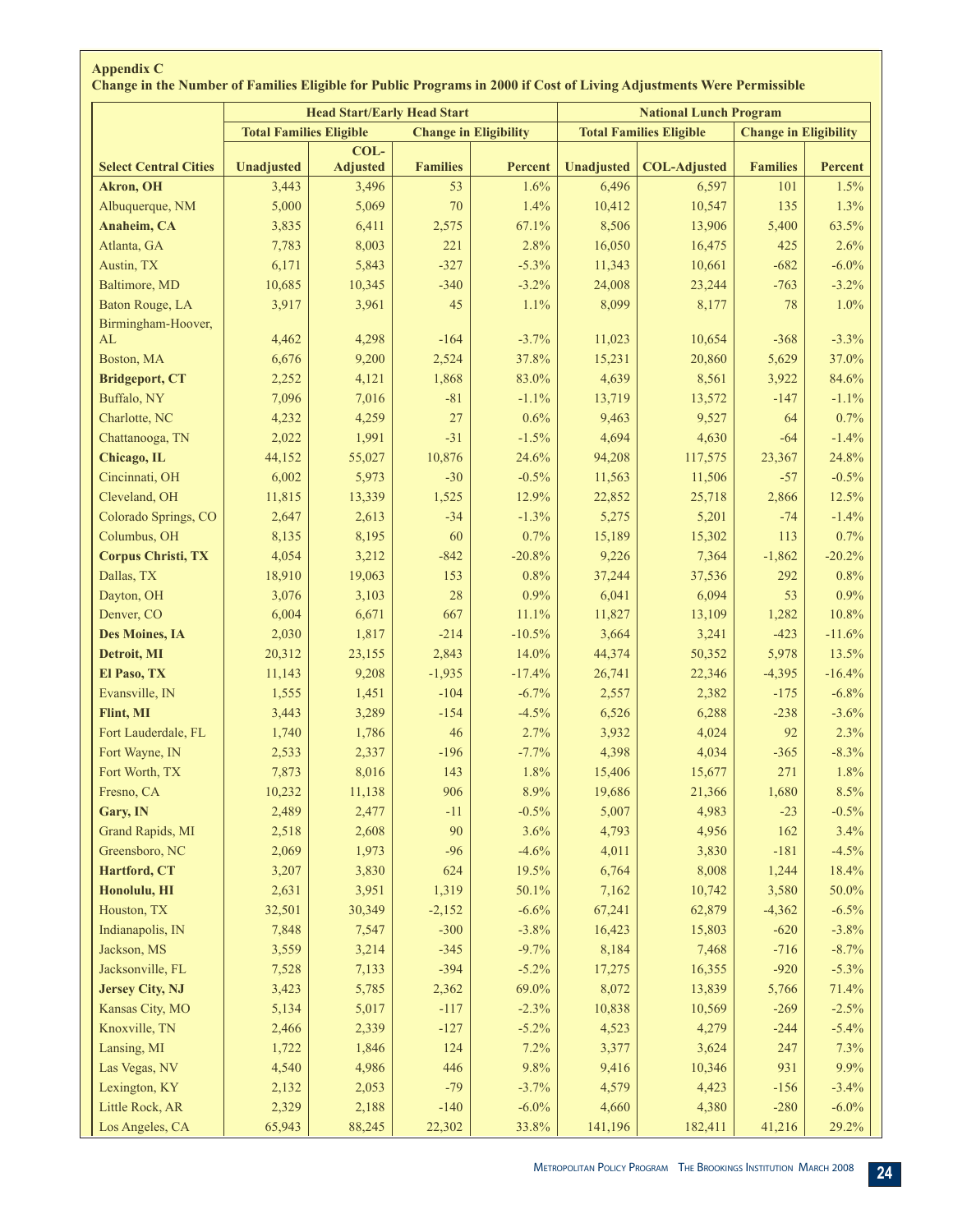|                              |                                | <b>Head Start/Early Head Start</b> |                 |                              | <b>National Lunch Program</b> |                                |                              |          |  |  |
|------------------------------|--------------------------------|------------------------------------|-----------------|------------------------------|-------------------------------|--------------------------------|------------------------------|----------|--|--|
|                              | <b>Total Families Eligible</b> |                                    |                 | <b>Change in Eligibility</b> |                               | <b>Total Families Eligible</b> | <b>Change in Eligibility</b> |          |  |  |
| <b>Select Central Cities</b> | <b>Unadjusted</b>              | COL-<br><b>Adjusted</b>            | <b>Families</b> | Percent                      | <b>Unadjusted</b>             | <b>COL-Adjusted</b>            | <b>Families</b>              | Percent  |  |  |
| <b>Akron</b> , OH            | 3,443                          | 3,496                              | 53              | 1.6%                         | 6,496                         | 6,597                          | 101                          | 1.5%     |  |  |
| Albuquerque, NM              | 5,000                          | 5,069                              | 70              | 1.4%                         | 10,412                        | 10,547                         | 135                          | 1.3%     |  |  |
| Anaheim, CA                  | 3,835                          | 6,411                              | 2,575           | 67.1%                        | 8,506                         | 13,906                         | 5,400                        | 63.5%    |  |  |
| Atlanta, GA                  | 7,783                          | 8,003                              | 221             | 2.8%                         | 16,050                        | 16,475                         | 425                          | 2.6%     |  |  |
| Austin, TX                   | 6,171                          | 5,843                              | $-327$          | $-5.3%$                      | 11,343                        | 10,661                         | $-682$                       | $-6.0\%$ |  |  |
| Baltimore, MD                | 10,685                         | 10,345                             | $-340$          | $-3.2%$                      | 24,008                        | 23,244                         | $-763$                       | $-3.2%$  |  |  |
| Baton Rouge, LA              | 3,917                          | 3,961                              | 45              | 1.1%                         | 8,099                         | 8,177                          | 78                           | 1.0%     |  |  |
| Birmingham-Hoover,           |                                |                                    |                 |                              |                               |                                |                              |          |  |  |
| AL                           | 4,462                          | 4,298                              | $-164$          | $-3.7%$                      | 11,023                        | 10,654                         | $-368$                       | $-3.3%$  |  |  |
| Boston, MA                   | 6,676                          | 9,200                              | 2,524           | 37.8%                        | 15,231                        | 20,860                         | 5,629                        | 37.0%    |  |  |
| <b>Bridgeport, CT</b>        | 2,252                          | 4,121                              | 1,868           | 83.0%                        | 4,639                         | 8,561                          | 3,922                        | 84.6%    |  |  |
| Buffalo, NY                  | 7,096                          | 7,016                              | $-81$           | $-1.1%$                      | 13,719                        | 13,572                         | $-147$                       | $-1.1%$  |  |  |
| Charlotte, NC                | 4,232                          | 4,259                              | 27              | 0.6%                         | 9,463                         | 9,527                          | 64                           | 0.7%     |  |  |
| Chattanooga, TN              | 2,022                          | 1,991                              | $-31$           | $-1.5%$                      | 4,694                         | 4,630                          | $-64$                        | $-1.4%$  |  |  |
| Chicago, IL                  | 44,152                         | 55,027                             | 10,876          | 24.6%                        | 94,208                        | 117,575                        | 23,367                       | 24.8%    |  |  |
| Cincinnati, OH               | 6,002                          | 5,973                              | $-30$           | $-0.5%$                      | 11,563                        | 11,506                         | $-57$                        | $-0.5%$  |  |  |
| Cleveland, OH                | 11,815                         | 13,339                             | 1,525           | 12.9%                        | 22,852                        | 25,718                         | 2,866                        | 12.5%    |  |  |
| Colorado Springs, CO         | 2,647                          | 2,613                              | $-34$           | $-1.3%$                      | 5,275                         | 5,201                          | $-74$                        | $-1.4%$  |  |  |
| Columbus, OH                 | 8,135                          | 8,195                              | 60              | 0.7%                         | 15,189                        | 15,302                         | 113                          | 0.7%     |  |  |
| <b>Corpus Christi, TX</b>    | 4,054                          | 3,212                              | $-842$          | $-20.8%$                     | 9,226                         | 7,364                          | $-1,862$                     | $-20.2%$ |  |  |
| Dallas, TX                   | 18,910                         | 19,063                             | 153             | 0.8%                         | 37,244                        | 37,536                         | 292                          | 0.8%     |  |  |
|                              |                                |                                    | 28              | 0.9%                         | 6,041                         |                                | 53                           | 0.9%     |  |  |
| Dayton, OH                   | 3,076                          | 3,103                              |                 |                              |                               | 6,094                          |                              |          |  |  |
| Denver, CO                   | 6,004                          | 6,671                              | 667             | 11.1%                        | 11,827                        | 13,109                         | 1,282                        | 10.8%    |  |  |
| Des Moines, IA               | 2,030                          | 1,817                              | $-214$          | $-10.5%$                     | 3,664                         | 3,241                          | $-423$                       | $-11.6%$ |  |  |
| Detroit, MI                  | 20,312                         | 23,155                             | 2,843           | 14.0%                        | 44,374                        | 50,352                         | 5,978                        | 13.5%    |  |  |
| El Paso, TX                  | 11,143                         | 9,208                              | $-1,935$        | $-17.4%$                     | 26,741                        | 22,346                         | $-4,395$                     | $-16.4%$ |  |  |
| Evansville, IN               | 1,555                          | 1,451                              | $-104$          | $-6.7%$                      | 2,557                         | 2,382                          | $-175$                       | $-6.8%$  |  |  |
| Flint, MI                    | 3,443                          | 3,289                              | $-154$          | $-4.5%$                      | 6,526                         | 6,288                          | $-238$                       | $-3.6%$  |  |  |
| Fort Lauderdale, FL          | 1,740                          | 1,786                              | 46              | 2.7%                         | 3,932                         | 4,024                          | 92                           | 2.3%     |  |  |
| Fort Wayne, IN               | 2,533                          | 2,337                              | $-196$          | $-7.7%$                      | 4,398                         | 4,034                          | $-365$                       | $-8.3%$  |  |  |
| Fort Worth, TX               | 7,873                          | 8,016                              | 143             | 1.8%                         | 15,406                        | 15,677                         | 271                          | 1.8%     |  |  |
| Fresno, CA                   | 10,232                         | 11,138                             | 906             | 8.9%                         | 19,686                        | 21,366                         | 1,680                        | 8.5%     |  |  |
| Gary, IN                     | 2,489                          | 2,477                              | $-11$           | $-0.5%$                      | 5,007                         | 4,983                          | $-23$                        | $-0.5%$  |  |  |
| Grand Rapids, MI             | 2,518                          | 2,608                              | 90              | 3.6%                         | 4,793                         | 4,956                          | 162                          | 3.4%     |  |  |
| Greensboro, NC               | 2,069                          | 1,973                              | $-96$           | $-4.6%$                      | 4,011                         | 3,830                          | $-181$                       | $-4.5%$  |  |  |
| Hartford, CT                 | 3,207                          | 3,830                              | 624             | 19.5%                        | 6,764                         | 8,008                          | 1,244                        | 18.4%    |  |  |
| Honolulu, HI                 | 2,631                          | 3,951                              | 1,319           | 50.1%                        | 7,162                         | 10,742                         | 3,580                        | 50.0%    |  |  |
| Houston, TX                  | 32,501                         | 30,349                             | $-2,152$        | $-6.6%$                      | 67,241                        | 62,879                         | $-4,362$                     | $-6.5%$  |  |  |
| Indianapolis, IN             | 7,848                          | 7,547                              | $-300$          | $-3.8%$                      | 16,423                        | 15,803                         | $-620$                       | $-3.8%$  |  |  |
| Jackson, MS                  | 3,559                          | 3,214                              | $-345$          | $-9.7%$                      | 8,184                         | 7,468                          | $-716$                       | $-8.7%$  |  |  |
| Jacksonville, FL             | 7,528                          | 7,133                              | $-394$          | $-5.2%$                      | 17,275                        | 16,355                         | $-920$                       | $-5.3%$  |  |  |
| <b>Jersey City, NJ</b>       | 3,423                          | 5,785                              | 2,362           | 69.0%                        | 8,072                         | 13,839                         | 5,766                        | 71.4%    |  |  |
| Kansas City, MO              | 5,134                          | 5,017                              | $-117$          | $-2.3%$                      | 10,838                        | 10,569                         | $-269$                       | $-2.5%$  |  |  |
| Knoxville, TN                | 2,466                          | 2,339                              | $-127$          | $-5.2%$                      | 4,523                         | 4,279                          | $-244$                       | $-5.4%$  |  |  |
| Lansing, MI                  | 1,722                          | 1,846                              | 124             | 7.2%                         | 3,377                         | 3,624                          | 247                          | 7.3%     |  |  |
| Las Vegas, NV                | 4,540                          | 4,986                              | 446             | 9.8%                         | 9,416                         | 10,346                         | 931                          | 9.9%     |  |  |
| Lexington, KY                | 2,132                          | 2,053                              | $-79$           | $-3.7%$                      | 4,579                         | 4,423                          | $-156$                       | $-3.4%$  |  |  |
| Little Rock, AR              | 2,329                          | 2,188                              | $-140$          | $-6.0\%$                     | 4,660                         | 4,380                          | $-280$                       | $-6.0\%$ |  |  |
| Los Angeles, CA              | 65,943                         | 88,245                             | 22,302          | 33.8%                        | 141,196                       | 182,411                        | 41,216                       | 29.2%    |  |  |

## **Appendix C Change in the Number of Families Eligible for Public Programs in 2000 if Cost of Living Adjustments Were Permissible**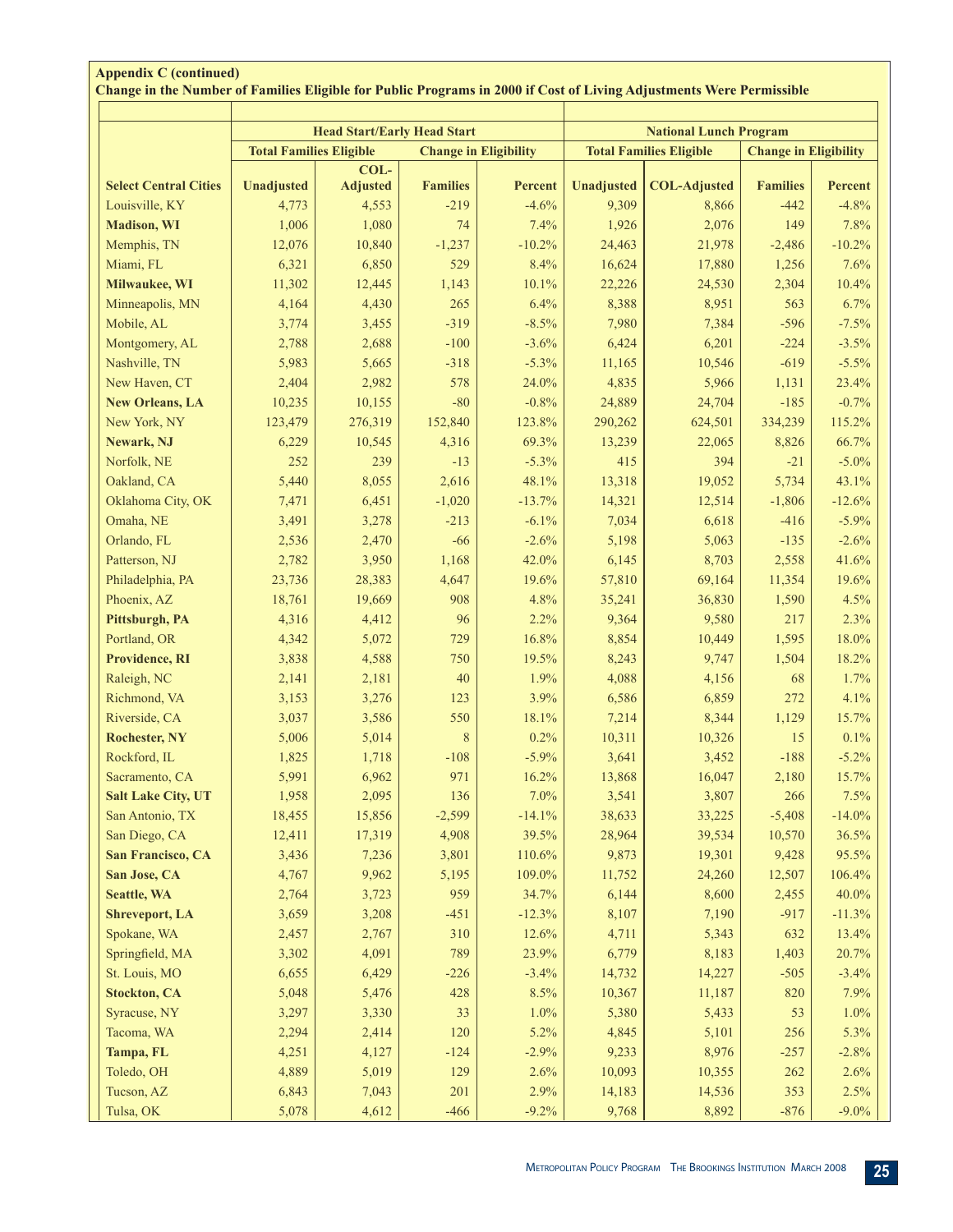|                              |                                | <b>Head Start/Early Head Start</b> |                              |          | <b>National Lunch Program</b>  |                     |                              |          |  |
|------------------------------|--------------------------------|------------------------------------|------------------------------|----------|--------------------------------|---------------------|------------------------------|----------|--|
|                              | <b>Total Families Eligible</b> |                                    | <b>Change in Eligibility</b> |          | <b>Total Families Eligible</b> |                     | <b>Change in Eligibility</b> |          |  |
| <b>Select Central Cities</b> | Unadjusted                     | COL-<br><b>Adjusted</b>            | <b>Families</b>              | Percent  | Unadjusted                     | <b>COL-Adjusted</b> | <b>Families</b>              | Percent  |  |
| Louisville, KY               | 4,773                          | 4,553                              | $-219$                       | $-4.6%$  | 9,309                          | 8,866               | $-442$                       | $-4.8%$  |  |
| <b>Madison</b> , WI          | 1,006                          | 1,080                              | 74                           | 7.4%     | 1,926                          | 2,076               | 149                          | 7.8%     |  |
| Memphis, TN                  | 12,076                         | 10,840                             | $-1,237$                     | $-10.2%$ | 24,463                         | 21,978              | $-2,486$                     | $-10.2%$ |  |
| Miami, FL                    | 6,321                          | 6,850                              | 529                          | 8.4%     | 16,624                         | 17,880              | 1,256                        | 7.6%     |  |
| Milwaukee, WI                | 11,302                         | 12,445                             | 1,143                        | 10.1%    | 22,226                         | 24,530              | 2,304                        | 10.4%    |  |
| Minneapolis, MN              | 4,164                          | 4,430                              | 265                          | 6.4%     | 8,388                          | 8,951               | 563                          | 6.7%     |  |
| Mobile, AL                   | 3,774                          | 3,455                              | $-319$                       | $-8.5%$  | 7,980                          | 7,384               | $-596$                       | $-7.5%$  |  |
| Montgomery, AL               | 2,788                          | 2,688                              | $-100$                       | $-3.6%$  | 6,424                          | 6,201               | $-224$                       | $-3.5%$  |  |
| Nashville, TN                | 5,983                          | 5,665                              | $-318$                       | $-5.3%$  | 11,165                         | 10,546              | $-619$                       | $-5.5%$  |  |
| New Haven, CT                | 2,404                          | 2,982                              | 578                          | 24.0%    | 4,835                          | 5,966               | 1,131                        | 23.4%    |  |
| <b>New Orleans, LA</b>       | 10,235                         | 10,155                             | $-80$                        | $-0.8%$  | 24,889                         | 24,704              | $-185$                       | $-0.7%$  |  |
| New York, NY                 | 123,479                        | 276,319                            | 152,840                      | 123.8%   | 290,262                        | 624,501             | 334,239                      | 115.2%   |  |
| Newark, NJ                   | 6,229                          | 10,545                             | 4,316                        | 69.3%    | 13,239                         | 22,065              | 8,826                        | 66.7%    |  |
| Norfolk, NE                  | 252                            | 239                                | $-13$                        | $-5.3%$  | 415                            | 394                 | $-21$                        | $-5.0\%$ |  |
| Oakland, CA                  | 5,440                          | 8,055                              | 2,616                        | 48.1%    | 13,318                         | 19,052              | 5,734                        | 43.1%    |  |
| Oklahoma City, OK            | 7,471                          | 6,451                              | $-1,020$                     | $-13.7%$ | 14,321                         | 12,514              | $-1,806$                     | $-12.6%$ |  |
| Omaha, NE                    | 3,491                          | 3,278                              | $-213$                       | $-6.1%$  | 7,034                          | 6,618               | $-416$                       | $-5.9%$  |  |
| Orlando, FL                  | 2,536                          | 2,470                              | $-66$                        | $-2.6%$  | 5,198                          | 5,063               | $-135$                       | $-2.6%$  |  |
| Patterson, NJ                | 2,782                          | 3,950                              | 1,168                        | 42.0%    | 6,145                          | 8,703               | 2,558                        | 41.6%    |  |
| Philadelphia, PA             | 23,736                         | 28,383                             | 4,647                        | 19.6%    | 57,810                         | 69,164              | 11,354                       | 19.6%    |  |
| Phoenix, AZ                  | 18,761                         | 19,669                             | 908                          | 4.8%     | 35,241                         | 36,830              | 1,590                        | 4.5%     |  |
| Pittsburgh, PA               | 4,316                          | 4,412                              | 96                           | 2.2%     | 9,364                          | 9,580               | 217                          | 2.3%     |  |
| Portland, OR                 | 4,342                          | 5,072                              | 729                          | 16.8%    | 8,854                          | 10,449              | 1,595                        | 18.0%    |  |
| Providence, RI               | 3,838                          | 4,588                              | 750                          | 19.5%    | 8,243                          | 9,747               | 1,504                        | 18.2%    |  |
| Raleigh, NC                  | 2,141                          | 2,181                              | 40                           | 1.9%     | 4,088                          | 4,156               | 68                           | 1.7%     |  |
| Richmond, VA                 | 3,153                          | 3,276                              | 123                          | 3.9%     | 6,586                          | 6,859               | 272                          | 4.1%     |  |
| Riverside, CA                | 3,037                          | 3,586                              | 550                          | 18.1%    | 7,214                          | 8,344               | 1,129                        | 15.7%    |  |
| <b>Rochester, NY</b>         | 5,006                          | 5,014                              | $8\phantom{1}$               | 0.2%     | 10,311                         | 10,326              | 15                           | 0.1%     |  |
| Rockford, IL                 | 1,825                          | 1,718                              | $-108$                       | $-5.9%$  | 3,641                          | 3,452               | $-188$                       | $-5.2\%$ |  |
| Sacramento, CA               | 5,991                          | 6,962                              | 971                          | 16.2%    | 13,868                         | 16,047              | 2,180                        | 15.7%    |  |
| <b>Salt Lake City, UT</b>    | 1,958                          | 2,095                              | 136                          | 7.0%     | 3,541                          | 3,807               | 266                          | 7.5%     |  |
| San Antonio, TX              | 18,455                         | 15,856                             | $-2,599$                     | $-14.1%$ | 38,633                         | 33,225              | $-5,408$                     | $-14.0%$ |  |
| San Diego, CA                | 12,411                         | 17,319                             | 4,908                        | 39.5%    | 28,964                         | 39,534              | 10,570                       | 36.5%    |  |
| San Francisco, CA            | 3,436                          | 7,236                              | 3,801                        | 110.6%   | 9,873                          | 19,301              | 9,428                        | 95.5%    |  |
| San Jose, CA                 | 4,767                          | 9,962                              | 5,195                        | 109.0%   | 11,752                         | 24,260              | 12,507                       | 106.4%   |  |
| <b>Seattle, WA</b>           | 2,764                          | 3,723                              | 959                          | 34.7%    | 6,144                          | 8,600               | 2,455                        | 40.0%    |  |
| <b>Shreveport, LA</b>        | 3,659                          | 3,208                              | $-451$                       | $-12.3%$ | 8,107                          | 7,190               | $-917$                       | $-11.3%$ |  |
| Spokane, WA                  | 2,457                          | 2,767                              | 310                          | 12.6%    | 4,711                          | 5,343               | 632                          | 13.4%    |  |
| Springfield, MA              | 3,302                          | 4,091                              | 789                          | 23.9%    | 6,779                          | 8,183               | 1,403                        | 20.7%    |  |
| St. Louis, MO                | 6,655                          | 6,429                              | $-226$                       | $-3.4%$  | 14,732                         | 14,227              | $-505$                       | $-3.4%$  |  |
| <b>Stockton, CA</b>          | 5,048                          | 5,476                              | 428                          | 8.5%     | 10,367                         | 11,187              | 820                          | 7.9%     |  |
| Syracuse, NY                 | 3,297                          | 3,330                              | 33                           | 1.0%     | 5,380                          | 5,433               | 53                           | 1.0%     |  |
| Tacoma, WA                   | 2,294                          | 2,414                              | 120                          | 5.2%     | 4,845                          | 5,101               | 256                          | 5.3%     |  |
| Tampa, FL                    | 4,251                          | 4,127                              | $-124$                       | $-2.9%$  | 9,233                          | 8,976               | $-257$                       | $-2.8%$  |  |
| Toledo, OH                   | 4,889                          | 5,019                              | 129                          | 2.6%     | 10,093                         | 10,355              | 262                          | 2.6%     |  |
| Tucson, AZ                   | 6,843                          | 7,043                              | 201                          | 2.9%     | 14,183                         | 14,536              | 353                          | 2.5%     |  |
| Tulsa, OK                    |                                |                                    |                              |          |                                |                     |                              |          |  |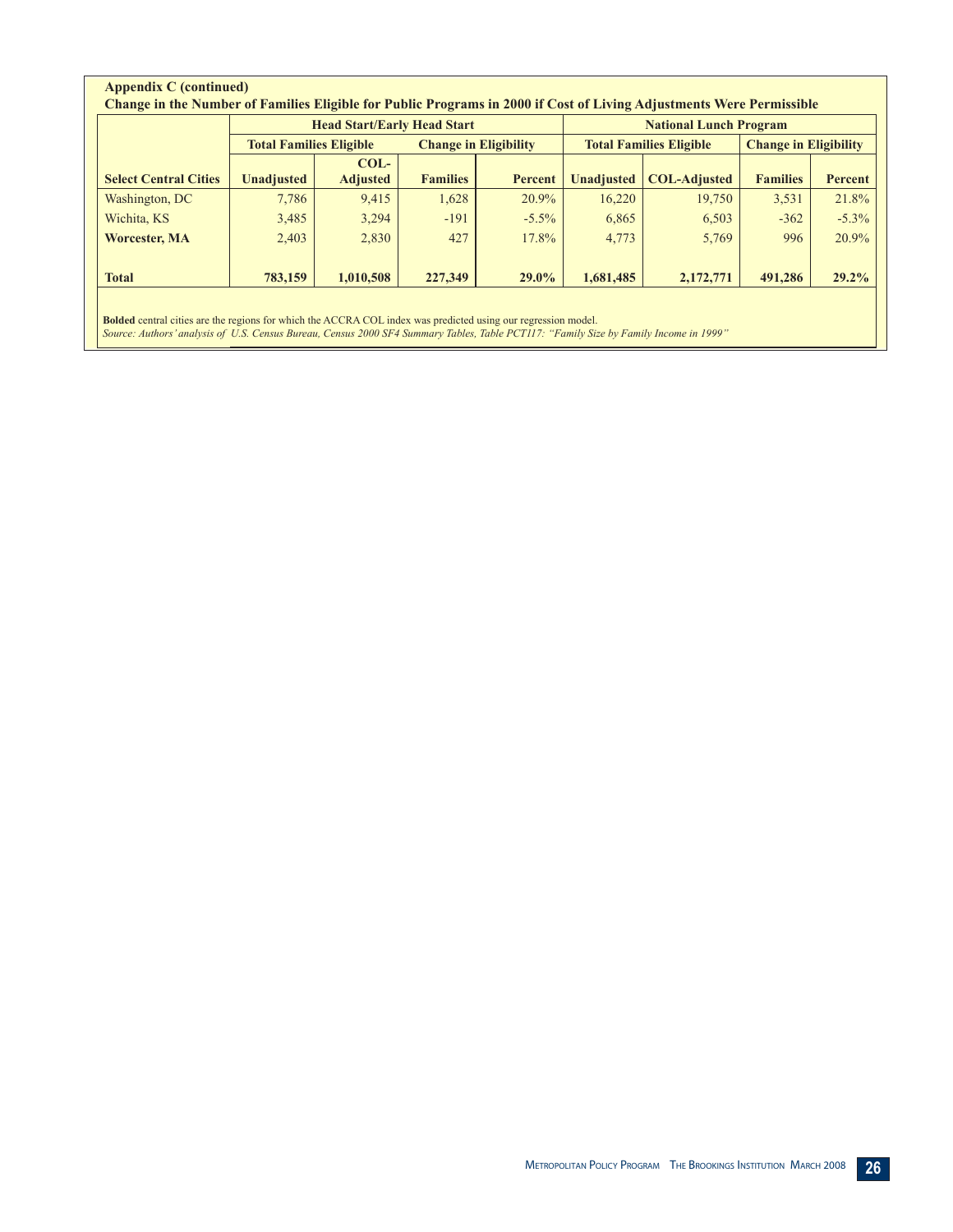|                              |                                | <b>Head Start/Early Head Start</b> |                              | <b>National Lunch Program</b> |                   |                                |                              |          |
|------------------------------|--------------------------------|------------------------------------|------------------------------|-------------------------------|-------------------|--------------------------------|------------------------------|----------|
|                              | <b>Total Families Eligible</b> |                                    | <b>Change in Eligibility</b> |                               |                   | <b>Total Families Eligible</b> | <b>Change in Eligibility</b> |          |
|                              |                                | $COL-$                             |                              |                               |                   |                                |                              |          |
| <b>Select Central Cities</b> | <b>Unadjusted</b>              | <b>Adjusted</b>                    | <b>Families</b>              | Percent                       | <b>Unadjusted</b> | <b>COL-Adjusted</b>            | <b>Families</b>              | Percent  |
| Washington, DC               | 7,786                          | 9,415                              | 1,628                        | 20.9%                         | 16,220            | 19,750                         | 3,531                        | 21.8%    |
| Wichita, KS                  | 3,485                          | 3,294                              | $-191$                       | $-5.5\%$                      | 6,865             | 6,503                          | $-362$                       | $-5.3\%$ |
| <b>Worcester, MA</b>         | 2,403                          | 2,830                              | 427                          | 17.8%                         | 4,773             | 5,769                          | 996                          | 20.9%    |
| <b>Total</b>                 | 783,159                        | 1,010,508                          | 227,349                      | 29.0%                         | 1,681,485         | 2,172,771                      | 491,286                      | $29.2\%$ |

**Bolded** central cities are the regions for which the ACCRA COL index was predicted using our regression model. *Source: Authors' analysis of U.S. Census Bureau, Census 2000 SF4 Summary Tables, Table PCT117: "Family Size by Family Income in 1999"*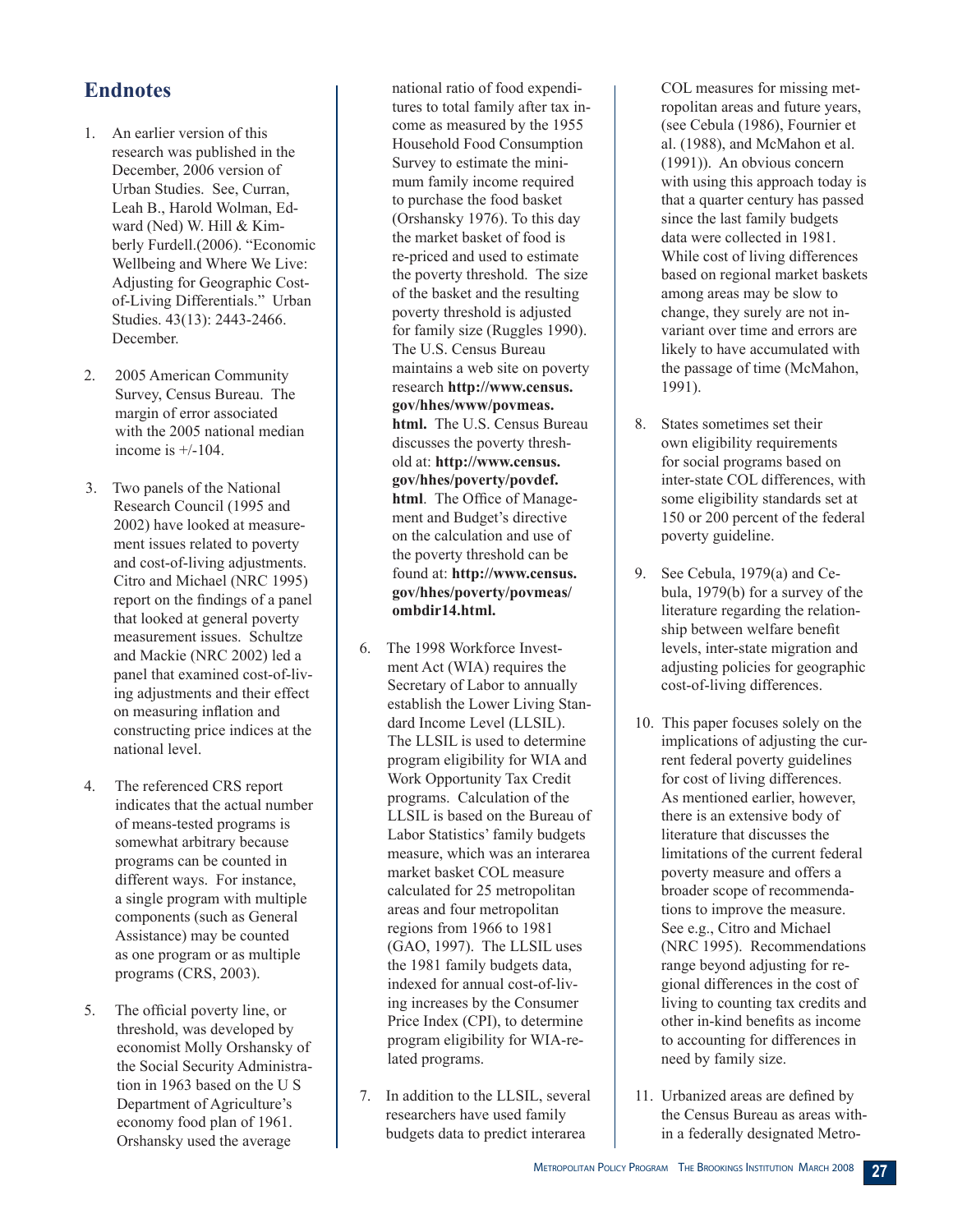# **Endnotes**

- 1. An earlier version of this research was published in the December, 2006 version of Urban Studies. See, Curran, Leah B., Harold Wolman, Edward (Ned) W. Hill & Kimberly Furdell.(2006). "Economic Wellbeing and Where We Live: Adjusting for Geographic Costof-Living Differentials." Urban Studies. 43(13): 2443-2466. December.
- 2. 2005 American Community Survey, Census Bureau. The margin of error associated with the 2005 national median income is  $+/-104$ .
- 3. Two panels of the National Research Council (1995 and 2002) have looked at measurement issues related to poverty and cost-of-living adjustments. Citro and Michael (NRC 1995) report on the findings of a panel that looked at general poverty measurement issues. Schultze and Mackie (NRC 2002) led a panel that examined cost-of-living adjustments and their effect on measuring inflation and constructing price indices at the national level.
- 4. The referenced CRS report indicates that the actual number of means-tested programs is somewhat arbitrary because programs can be counted in different ways. For instance, a single program with multiple components (such as General Assistance) may be counted as one program or as multiple programs (CRS, 2003).
- 5. The official poverty line, or threshold, was developed by economist Molly Orshansky of the Social Security Administration in 1963 based on the U S Department of Agriculture's economy food plan of 1961. Orshansky used the average

national ratio of food expenditures to total family after tax income as measured by the 1955 Household Food Consumption Survey to estimate the minimum family income required to purchase the food basket (Orshansky 1976). To this day the market basket of food is re-priced and used to estimate the poverty threshold. The size of the basket and the resulting poverty threshold is adjusted for family size (Ruggles 1990). The U.S. Census Bureau maintains a web site on poverty research **http://www.census. gov/hhes/www/povmeas. html.** The U.S. Census Bureau discusses the poverty threshold at: **http://www.census. gov/hhes/poverty/povdef. html**. The Office of Management and Budget's directive on the calculation and use of the poverty threshold can be found at: **http://www.census. gov/hhes/poverty/povmeas/ ombdir14.html.** 

- 6. The 1998 Workforce Investment Act (WIA) requires the Secretary of Labor to annually establish the Lower Living Standard Income Level (LLSIL). The LLSIL is used to determine program eligibility for WIA and Work Opportunity Tax Credit programs. Calculation of the LLSIL is based on the Bureau of Labor Statistics' family budgets measure, which was an interarea market basket COL measure calculated for 25 metropolitan areas and four metropolitan regions from 1966 to 1981 (GAO, 1997). The LLSIL uses the 1981 family budgets data, indexed for annual cost-of-living increases by the Consumer Price Index (CPI), to determine program eligibility for WIA-related programs.
- 7. In addition to the LLSIL, several researchers have used family budgets data to predict interarea

COL measures for missing metropolitan areas and future years, (see Cebula (1986), Fournier et al. (1988), and McMahon et al. (1991)). An obvious concern with using this approach today is that a quarter century has passed since the last family budgets data were collected in 1981. While cost of living differences based on regional market baskets among areas may be slow to change, they surely are not invariant over time and errors are likely to have accumulated with the passage of time (McMahon, 1991).

- 8. States sometimes set their own eligibility requirements for social programs based on inter-state COL differences, with some eligibility standards set at 150 or 200 percent of the federal poverty guideline.
- 9. See Cebula, 1979(a) and Cebula, 1979(b) for a survey of the literature regarding the relationship between welfare benefit levels, inter-state migration and adjusting policies for geographic cost-of-living differences.
- 10. This paper focuses solely on the implications of adjusting the current federal poverty guidelines for cost of living differences. As mentioned earlier, however, there is an extensive body of literature that discusses the limitations of the current federal poverty measure and offers a broader scope of recommendations to improve the measure. See e.g., Citro and Michael (NRC 1995). Recommendations range beyond adjusting for regional differences in the cost of living to counting tax credits and other in-kind benefits as income to accounting for differences in need by family size.
- 11. Urbanized areas are defined by the Census Bureau as areas within a federally designated Metro-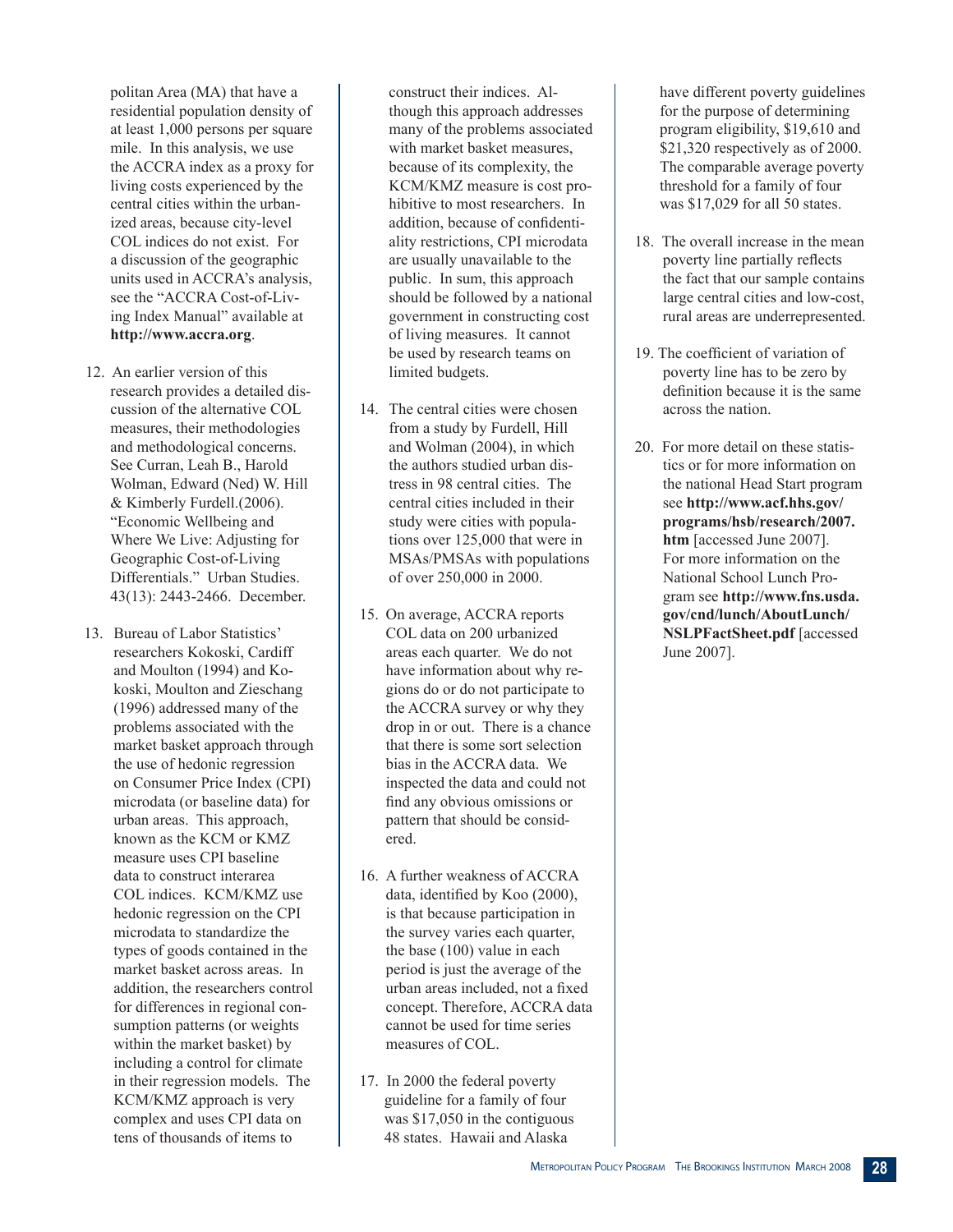politan Area (MA) that have a residential population density of at least 1,000 persons per square mile. In this analysis, we use the ACCRA index as a proxy for living costs experienced by the central cities within the urbanized areas, because city-level COL indices do not exist. For a discussion of the geographic units used in ACCRA's analysis, see the "ACCRA Cost-of-Living Index Manual" available at **http://www.accra.org**.

- 12. An earlier version of this research provides a detailed discussion of the alternative COL measures, their methodologies and methodological concerns. See Curran, Leah B., Harold Wolman, Edward (Ned) W. Hill & Kimberly Furdell.(2006). "Economic Wellbeing and Where We Live: Adjusting for Geographic Cost-of-Living Differentials." Urban Studies. 43(13): 2443-2466. December.
- 13. Bureau of Labor Statistics' researchers Kokoski, Cardiff and Moulton (1994) and Kokoski, Moulton and Zieschang (1996) addressed many of the problems associated with the market basket approach through the use of hedonic regression on Consumer Price Index (CPI) microdata (or baseline data) for urban areas. This approach, known as the KCM or KMZ measure uses CPI baseline data to construct interarea COL indices. KCM/KMZ use hedonic regression on the CPI microdata to standardize the types of goods contained in the market basket across areas. In addition, the researchers control for differences in regional consumption patterns (or weights within the market basket) by including a control for climate in their regression models. The KCM/KMZ approach is very complex and uses CPI data on tens of thousands of items to

construct their indices. Although this approach addresses many of the problems associated with market basket measures, because of its complexity, the KCM/KMZ measure is cost prohibitive to most researchers. In addition, because of confidentiality restrictions, CPI microdata are usually unavailable to the public. In sum, this approach should be followed by a national government in constructing cost of living measures. It cannot be used by research teams on limited budgets.

- 14. The central cities were chosen from a study by Furdell, Hill and Wolman (2004), in which the authors studied urban distress in 98 central cities. The central cities included in their study were cities with populations over 125,000 that were in MSAs/PMSAs with populations of over 250,000 in 2000.
- 15. On average, ACCRA reports COL data on 200 urbanized areas each quarter. We do not have information about why regions do or do not participate to the ACCRA survey or why they drop in or out. There is a chance that there is some sort selection bias in the ACCRA data. We inspected the data and could not find any obvious omissions or pattern that should be considered.
- 16. A further weakness of ACCRA data, identified by Koo (2000), is that because participation in the survey varies each quarter, the base (100) value in each period is just the average of the urban areas included, not a fixed concept. Therefore, ACCRA data cannot be used for time series measures of COL.
- 17. In 2000 the federal poverty guideline for a family of four was \$17,050 in the contiguous 48 states. Hawaii and Alaska

have different poverty guidelines for the purpose of determining program eligibility, \$19,610 and \$21,320 respectively as of 2000. The comparable average poverty threshold for a family of four was \$17,029 for all 50 states.

- 18. The overall increase in the mean poverty line partially reflects the fact that our sample contains large central cities and low-cost, rural areas are underrepresented.
- 19. The coefficient of variation of poverty line has to be zero by definition because it is the same across the nation.
- 20. For more detail on these statistics or for more information on the national Head Start program see **http://www.acf.hhs.gov/ programs/hsb/research/2007. htm** [accessed June 2007]. For more information on the National School Lunch Program see **http://www.fns.usda. gov/cnd/lunch/AboutLunch/ NSLPFactSheet.pdf** [accessed June 2007].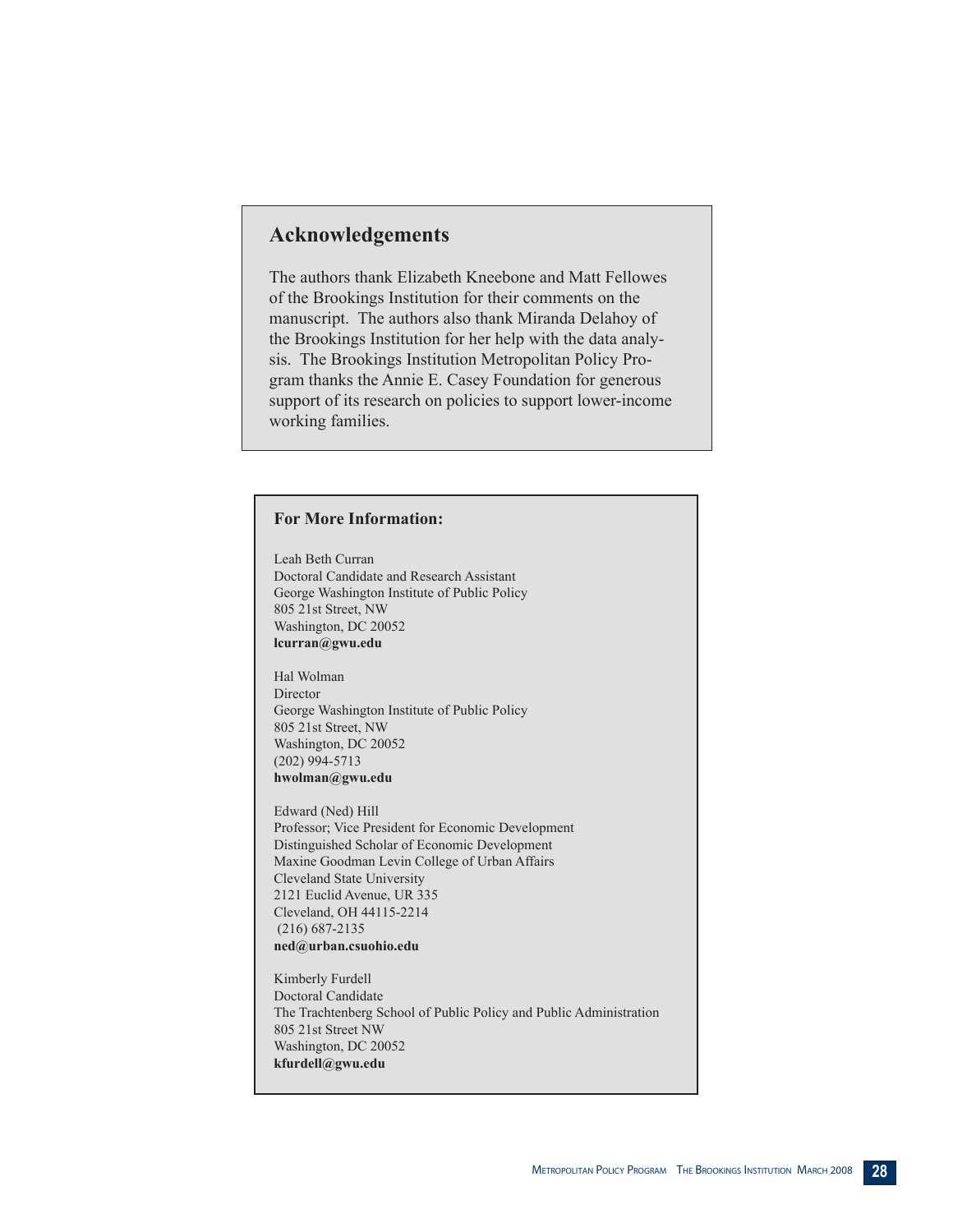# **Acknowledgements**

The authors thank Elizabeth Kneebone and Matt Fellowes of the Brookings Institution for their comments on the manuscript. The authors also thank Miranda Delahoy of the Brookings Institution for her help with the data analysis. The Brookings Institution Metropolitan Policy Program thanks the Annie E. Casey Foundation for generous support of its research on policies to support lower-income working families.

#### **For More Information:**

Leah Beth Curran Doctoral Candidate and Research Assistant George Washington Institute of Public Policy 805 21st Street, NW Washington, DC 20052 **lcurran@gwu.edu**

Hal Wolman Director George Washington Institute of Public Policy 805 21st Street, NW Washington, DC 20052 (202) 994-5713 **hwolman@gwu.edu**

Edward (Ned) Hill Professor; Vice President for Economic Development Distinguished Scholar of Economic Development Maxine Goodman Levin College of Urban Affairs Cleveland State University 2121 Euclid Avenue, UR 335 Cleveland, OH 44115-2214 (216) 687-2135 **ned@urban.csuohio.edu**

Kimberly Furdell Doctoral Candidate The Trachtenberg School of Public Policy and Public Administration 805 21st Street NW Washington, DC 20052 **kfurdell@gwu.edu**